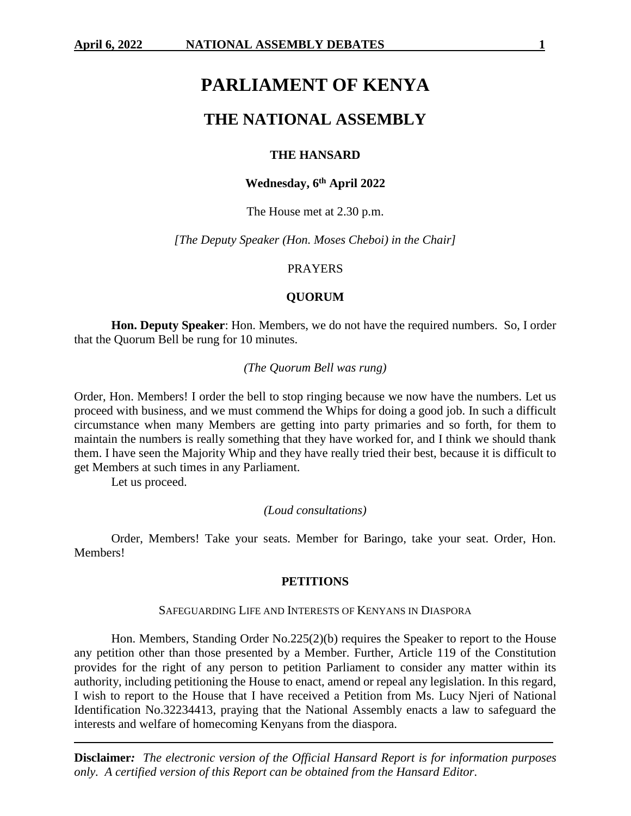# **PARLIAMENT OF KENYA**

## **THE NATIONAL ASSEMBLY**

## **THE HANSARD**

## **Wednesday, 6 th April 2022**

The House met at 2.30 p.m.

*[The Deputy Speaker (Hon. Moses Cheboi) in the Chair]*

## PRAYERS

## **QUORUM**

**Hon. Deputy Speaker**: Hon. Members, we do not have the required numbers. So, I order that the Quorum Bell be rung for 10 minutes.

## *(The Quorum Bell was rung)*

Order, Hon. Members! I order the bell to stop ringing because we now have the numbers. Let us proceed with business, and we must commend the Whips for doing a good job. In such a difficult circumstance when many Members are getting into party primaries and so forth, for them to maintain the numbers is really something that they have worked for, and I think we should thank them. I have seen the Majority Whip and they have really tried their best, because it is difficult to get Members at such times in any Parliament.

Let us proceed.

#### *(Loud consultations)*

Order, Members! Take your seats. Member for Baringo, take your seat. Order, Hon. Members!

#### **PETITIONS**

#### SAFEGUARDING LIFE AND INTERESTS OF KENYANS IN DIASPORA

Hon. Members, Standing Order No.225(2)(b) requires the Speaker to report to the House any petition other than those presented by a Member. Further, Article 119 of the Constitution provides for the right of any person to petition Parliament to consider any matter within its authority, including petitioning the House to enact, amend or repeal any legislation. In this regard, I wish to report to the House that I have received a Petition from Ms. Lucy Njeri of National Identification No.32234413, praying that the National Assembly enacts a law to safeguard the interests and welfare of homecoming Kenyans from the diaspora.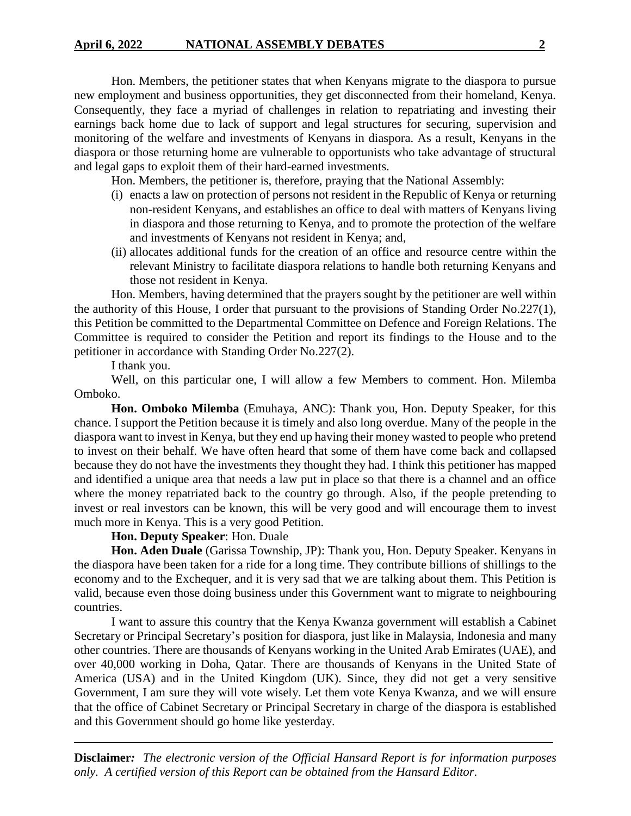Hon. Members, the petitioner states that when Kenyans migrate to the diaspora to pursue new employment and business opportunities, they get disconnected from their homeland, Kenya. Consequently, they face a myriad of challenges in relation to repatriating and investing their earnings back home due to lack of support and legal structures for securing, supervision and monitoring of the welfare and investments of Kenyans in diaspora. As a result, Kenyans in the diaspora or those returning home are vulnerable to opportunists who take advantage of structural and legal gaps to exploit them of their hard-earned investments.

Hon. Members, the petitioner is, therefore, praying that the National Assembly:

- (i) enacts a law on protection of persons not resident in the Republic of Kenya or returning non-resident Kenyans, and establishes an office to deal with matters of Kenyans living in diaspora and those returning to Kenya, and to promote the protection of the welfare and investments of Kenyans not resident in Kenya; and,
- (ii) allocates additional funds for the creation of an office and resource centre within the relevant Ministry to facilitate diaspora relations to handle both returning Kenyans and those not resident in Kenya.

Hon. Members, having determined that the prayers sought by the petitioner are well within the authority of this House, I order that pursuant to the provisions of Standing Order No.227(1), this Petition be committed to the Departmental Committee on Defence and Foreign Relations. The Committee is required to consider the Petition and report its findings to the House and to the petitioner in accordance with Standing Order No.227(2).

I thank you.

Well, on this particular one, I will allow a few Members to comment. Hon. Milemba Omboko.

**Hon. Omboko Milemba** (Emuhaya, ANC): Thank you, Hon. Deputy Speaker, for this chance. I support the Petition because it is timely and also long overdue. Many of the people in the diaspora want to invest in Kenya, but they end up having their money wasted to people who pretend to invest on their behalf. We have often heard that some of them have come back and collapsed because they do not have the investments they thought they had. I think this petitioner has mapped and identified a unique area that needs a law put in place so that there is a channel and an office where the money repatriated back to the country go through. Also, if the people pretending to invest or real investors can be known, this will be very good and will encourage them to invest much more in Kenya. This is a very good Petition.

## **Hon. Deputy Speaker**: Hon. Duale

**Hon. Aden Duale** (Garissa Township, JP): Thank you, Hon. Deputy Speaker. Kenyans in the diaspora have been taken for a ride for a long time. They contribute billions of shillings to the economy and to the Exchequer, and it is very sad that we are talking about them. This Petition is valid, because even those doing business under this Government want to migrate to neighbouring countries.

I want to assure this country that the Kenya Kwanza government will establish a Cabinet Secretary or Principal Secretary's position for diaspora, just like in Malaysia, Indonesia and many other countries. There are thousands of Kenyans working in the United Arab Emirates (UAE), and over 40,000 working in Doha, Qatar. There are thousands of Kenyans in the United State of America (USA) and in the United Kingdom (UK). Since, they did not get a very sensitive Government, I am sure they will vote wisely. Let them vote Kenya Kwanza, and we will ensure that the office of Cabinet Secretary or Principal Secretary in charge of the diaspora is established and this Government should go home like yesterday.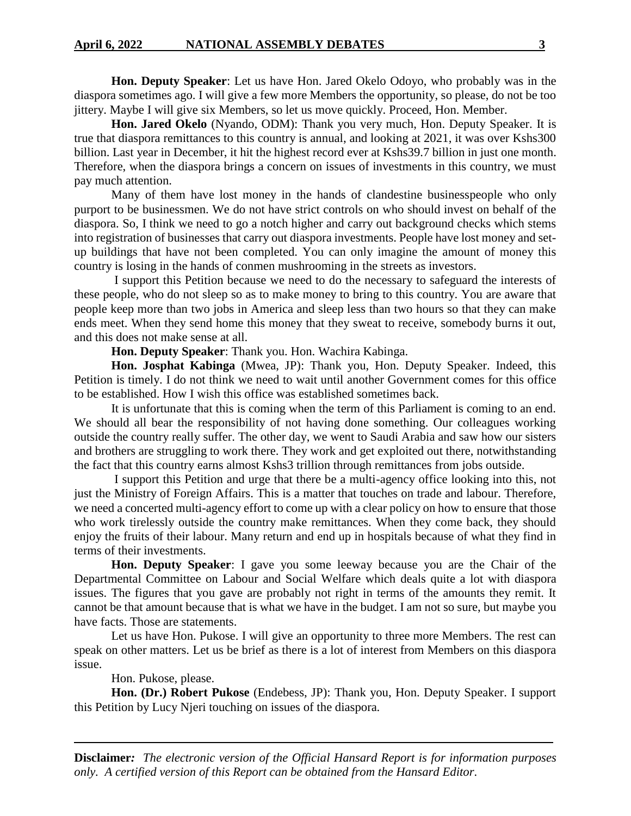**Hon. Deputy Speaker**: Let us have Hon. Jared Okelo Odoyo, who probably was in the diaspora sometimes ago. I will give a few more Members the opportunity, so please, do not be too jittery. Maybe I will give six Members, so let us move quickly. Proceed, Hon. Member.

**Hon. Jared Okelo** (Nyando, ODM): Thank you very much, Hon. Deputy Speaker. It is true that diaspora remittances to this country is annual, and looking at 2021, it was over Kshs300 billion. Last year in December, it hit the highest record ever at Kshs39.7 billion in just one month. Therefore, when the diaspora brings a concern on issues of investments in this country, we must pay much attention.

Many of them have lost money in the hands of clandestine businesspeople who only purport to be businessmen. We do not have strict controls on who should invest on behalf of the diaspora. So, I think we need to go a notch higher and carry out background checks which stems into registration of businesses that carry out diaspora investments. People have lost money and setup buildings that have not been completed. You can only imagine the amount of money this country is losing in the hands of conmen mushrooming in the streets as investors.

I support this Petition because we need to do the necessary to safeguard the interests of these people, who do not sleep so as to make money to bring to this country. You are aware that people keep more than two jobs in America and sleep less than two hours so that they can make ends meet. When they send home this money that they sweat to receive, somebody burns it out, and this does not make sense at all.

**Hon. Deputy Speaker**: Thank you. Hon. Wachira Kabinga.

**Hon. Josphat Kabinga** (Mwea, JP): Thank you, Hon. Deputy Speaker. Indeed, this Petition is timely. I do not think we need to wait until another Government comes for this office to be established. How I wish this office was established sometimes back.

It is unfortunate that this is coming when the term of this Parliament is coming to an end. We should all bear the responsibility of not having done something. Our colleagues working outside the country really suffer. The other day, we went to Saudi Arabia and saw how our sisters and brothers are struggling to work there. They work and get exploited out there, notwithstanding the fact that this country earns almost Kshs3 trillion through remittances from jobs outside.

I support this Petition and urge that there be a multi-agency office looking into this, not just the Ministry of Foreign Affairs. This is a matter that touches on trade and labour. Therefore, we need a concerted multi-agency effort to come up with a clear policy on how to ensure that those who work tirelessly outside the country make remittances. When they come back, they should enjoy the fruits of their labour. Many return and end up in hospitals because of what they find in terms of their investments.

**Hon. Deputy Speaker**: I gave you some leeway because you are the Chair of the Departmental Committee on Labour and Social Welfare which deals quite a lot with diaspora issues. The figures that you gave are probably not right in terms of the amounts they remit. It cannot be that amount because that is what we have in the budget. I am not so sure, but maybe you have facts. Those are statements.

Let us have Hon. Pukose. I will give an opportunity to three more Members. The rest can speak on other matters. Let us be brief as there is a lot of interest from Members on this diaspora issue.

Hon. Pukose, please.

**Hon. (Dr.) Robert Pukose** (Endebess, JP): Thank you, Hon. Deputy Speaker. I support this Petition by Lucy Njeri touching on issues of the diaspora.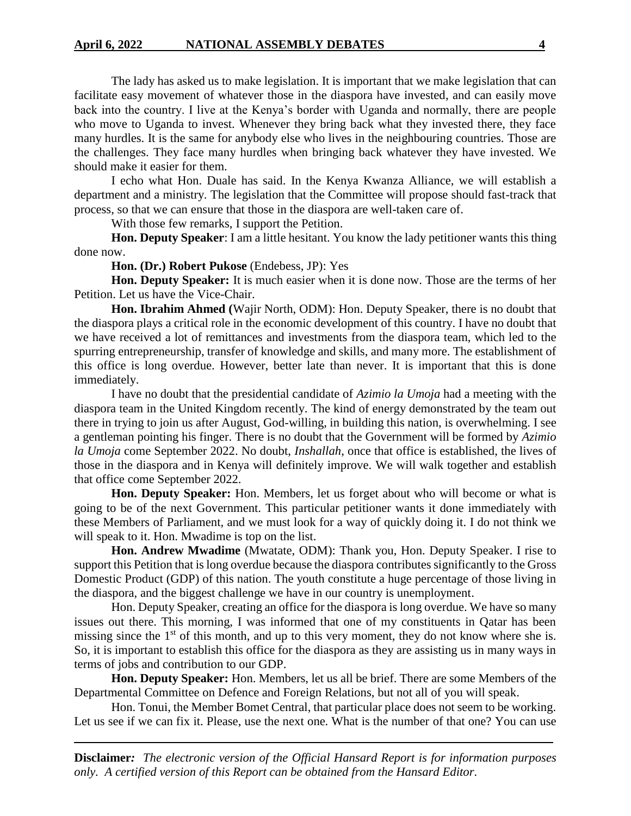The lady has asked us to make legislation. It is important that we make legislation that can facilitate easy movement of whatever those in the diaspora have invested, and can easily move back into the country. I live at the Kenya's border with Uganda and normally, there are people who move to Uganda to invest. Whenever they bring back what they invested there, they face many hurdles. It is the same for anybody else who lives in the neighbouring countries. Those are the challenges. They face many hurdles when bringing back whatever they have invested. We should make it easier for them.

I echo what Hon. Duale has said. In the Kenya Kwanza Alliance, we will establish a department and a ministry. The legislation that the Committee will propose should fast-track that process, so that we can ensure that those in the diaspora are well-taken care of.

With those few remarks, I support the Petition.

**Hon. Deputy Speaker**: I am a little hesitant. You know the lady petitioner wants this thing done now.

**Hon. (Dr.) Robert Pukose** (Endebess, JP): Yes

**Hon. Deputy Speaker:** It is much easier when it is done now. Those are the terms of her Petition. Let us have the Vice-Chair.

**Hon. Ibrahim Ahmed (**Wajir North, ODM): Hon. Deputy Speaker, there is no doubt that the diaspora plays a critical role in the economic development of this country. I have no doubt that we have received a lot of remittances and investments from the diaspora team, which led to the spurring entrepreneurship, transfer of knowledge and skills, and many more. The establishment of this office is long overdue. However, better late than never. It is important that this is done immediately.

I have no doubt that the presidential candidate of *Azimio la Umoja* had a meeting with the diaspora team in the United Kingdom recently. The kind of energy demonstrated by the team out there in trying to join us after August, God-willing, in building this nation, is overwhelming. I see a gentleman pointing his finger. There is no doubt that the Government will be formed by *Azimio la Umoja* come September 2022. No doubt, *Inshallah*, once that office is established, the lives of those in the diaspora and in Kenya will definitely improve. We will walk together and establish that office come September 2022.

**Hon. Deputy Speaker:** Hon. Members, let us forget about who will become or what is going to be of the next Government. This particular petitioner wants it done immediately with these Members of Parliament, and we must look for a way of quickly doing it. I do not think we will speak to it. Hon. Mwadime is top on the list.

**Hon. Andrew Mwadime** (Mwatate, ODM): Thank you, Hon. Deputy Speaker. I rise to support this Petition that is long overdue because the diaspora contributes significantly to the Gross Domestic Product (GDP) of this nation. The youth constitute a huge percentage of those living in the diaspora, and the biggest challenge we have in our country is unemployment.

Hon. Deputy Speaker, creating an office for the diaspora is long overdue. We have so many issues out there. This morning, I was informed that one of my constituents in Qatar has been missing since the  $1<sup>st</sup>$  of this month, and up to this very moment, they do not know where she is. So, it is important to establish this office for the diaspora as they are assisting us in many ways in terms of jobs and contribution to our GDP.

**Hon. Deputy Speaker:** Hon. Members, let us all be brief. There are some Members of the Departmental Committee on Defence and Foreign Relations, but not all of you will speak.

Hon. Tonui, the Member Bomet Central, that particular place does not seem to be working. Let us see if we can fix it. Please, use the next one. What is the number of that one? You can use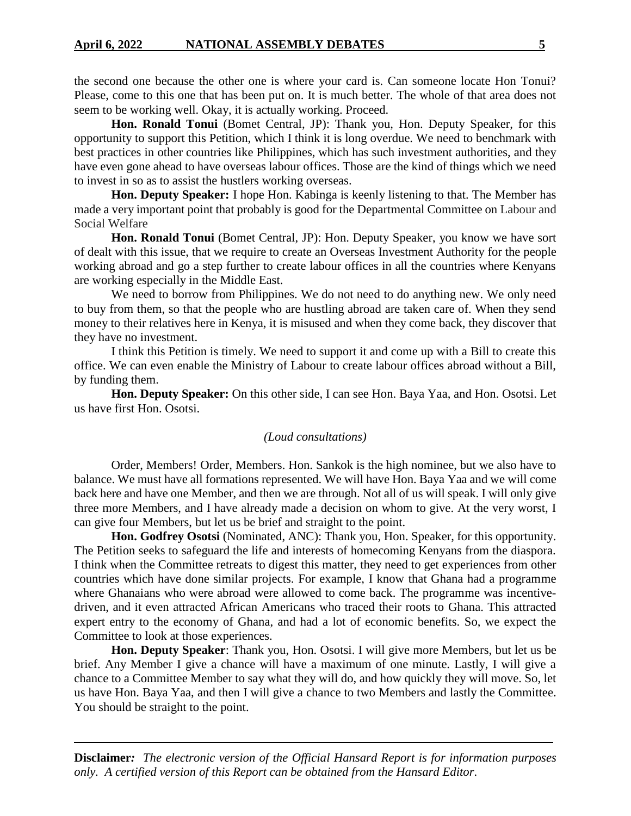the second one because the other one is where your card is. Can someone locate Hon Tonui? Please, come to this one that has been put on. It is much better. The whole of that area does not seem to be working well. Okay, it is actually working. Proceed.

**Hon. Ronald Tonui** (Bomet Central, JP): Thank you, Hon. Deputy Speaker, for this opportunity to support this Petition, which I think it is long overdue. We need to benchmark with best practices in other countries like Philippines, which has such investment authorities, and they have even gone ahead to have overseas labour offices. Those are the kind of things which we need to invest in so as to assist the hustlers working overseas.

**Hon. Deputy Speaker:** I hope Hon. Kabinga is keenly listening to that. The Member has made a very important point that probably is good for the Departmental Committee on Labour and Social Welfare

**Hon. Ronald Tonui** (Bomet Central, JP): Hon. Deputy Speaker, you know we have sort of dealt with this issue, that we require to create an Overseas Investment Authority for the people working abroad and go a step further to create labour offices in all the countries where Kenyans are working especially in the Middle East.

We need to borrow from Philippines. We do not need to do anything new. We only need to buy from them, so that the people who are hustling abroad are taken care of. When they send money to their relatives here in Kenya, it is misused and when they come back, they discover that they have no investment.

I think this Petition is timely. We need to support it and come up with a Bill to create this office. We can even enable the Ministry of Labour to create labour offices abroad without a Bill, by funding them.

**Hon. Deputy Speaker:** On this other side, I can see Hon. Baya Yaa, and Hon. Osotsi. Let us have first Hon. Osotsi.

### *(Loud consultations)*

Order, Members! Order, Members. Hon. Sankok is the high nominee, but we also have to balance. We must have all formations represented. We will have Hon. Baya Yaa and we will come back here and have one Member, and then we are through. Not all of us will speak. I will only give three more Members, and I have already made a decision on whom to give. At the very worst, I can give four Members, but let us be brief and straight to the point.

**Hon. Godfrey Osotsi** (Nominated, ANC): Thank you, Hon. Speaker, for this opportunity. The Petition seeks to safeguard the life and interests of homecoming Kenyans from the diaspora. I think when the Committee retreats to digest this matter, they need to get experiences from other countries which have done similar projects. For example, I know that Ghana had a programme where Ghanaians who were abroad were allowed to come back. The programme was incentivedriven, and it even attracted African Americans who traced their roots to Ghana. This attracted expert entry to the economy of Ghana, and had a lot of economic benefits. So, we expect the Committee to look at those experiences.

**Hon. Deputy Speaker**: Thank you, Hon. Osotsi. I will give more Members, but let us be brief. Any Member I give a chance will have a maximum of one minute. Lastly, I will give a chance to a Committee Member to say what they will do, and how quickly they will move. So, let us have Hon. Baya Yaa, and then I will give a chance to two Members and lastly the Committee. You should be straight to the point.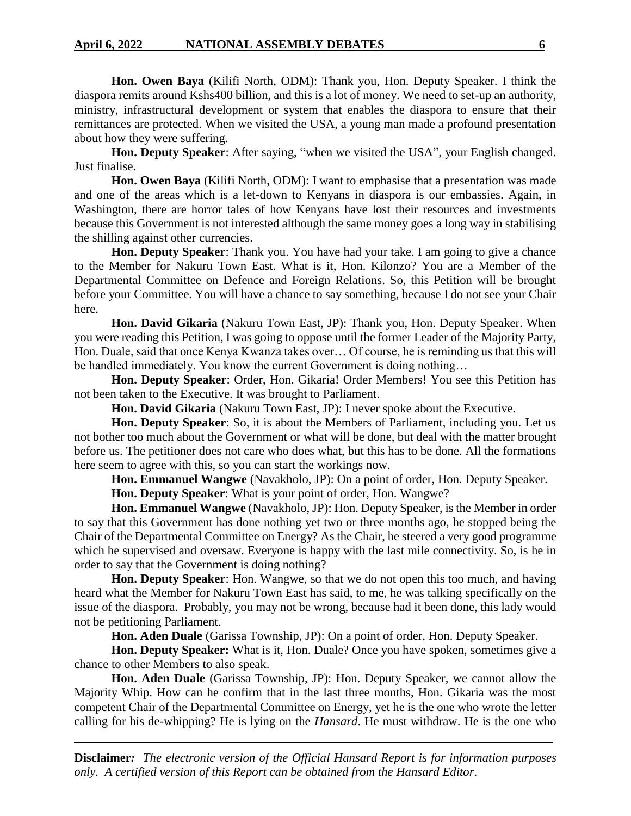**Hon. Owen Baya** (Kilifi North, ODM): Thank you, Hon. Deputy Speaker. I think the diaspora remits around Kshs400 billion, and this is a lot of money. We need to set-up an authority, ministry, infrastructural development or system that enables the diaspora to ensure that their remittances are protected. When we visited the USA, a young man made a profound presentation about how they were suffering.

**Hon. Deputy Speaker**: After saying, "when we visited the USA", your English changed. Just finalise.

**Hon. Owen Baya** (Kilifi North, ODM): I want to emphasise that a presentation was made and one of the areas which is a let-down to Kenyans in diaspora is our embassies. Again, in Washington, there are horror tales of how Kenyans have lost their resources and investments because this Government is not interested although the same money goes a long way in stabilising the shilling against other currencies.

**Hon. Deputy Speaker**: Thank you. You have had your take. I am going to give a chance to the Member for Nakuru Town East. What is it, Hon. Kilonzo? You are a Member of the Departmental Committee on Defence and Foreign Relations. So, this Petition will be brought before your Committee. You will have a chance to say something, because I do not see your Chair here.

**Hon. David Gikaria** (Nakuru Town East, JP): Thank you, Hon. Deputy Speaker. When you were reading this Petition, I was going to oppose until the former Leader of the Majority Party, Hon. Duale, said that once Kenya Kwanza takes over… Of course, he is reminding us that this will be handled immediately. You know the current Government is doing nothing…

**Hon. Deputy Speaker**: Order, Hon. Gikaria! Order Members! You see this Petition has not been taken to the Executive. It was brought to Parliament.

**Hon. David Gikaria** (Nakuru Town East, JP): I never spoke about the Executive.

**Hon. Deputy Speaker**: So, it is about the Members of Parliament, including you. Let us not bother too much about the Government or what will be done, but deal with the matter brought before us. The petitioner does not care who does what, but this has to be done. All the formations here seem to agree with this, so you can start the workings now.

**Hon. Emmanuel Wangwe** (Navakholo, JP): On a point of order, Hon. Deputy Speaker.

**Hon. Deputy Speaker**: What is your point of order, Hon. Wangwe?

**Hon. Emmanuel Wangwe** (Navakholo, JP): Hon. Deputy Speaker, is the Member in order to say that this Government has done nothing yet two or three months ago, he stopped being the Chair of the Departmental Committee on Energy? As the Chair, he steered a very good programme which he supervised and oversaw. Everyone is happy with the last mile connectivity. So, is he in order to say that the Government is doing nothing?

**Hon. Deputy Speaker**: Hon. Wangwe, so that we do not open this too much, and having heard what the Member for Nakuru Town East has said, to me, he was talking specifically on the issue of the diaspora. Probably, you may not be wrong, because had it been done, this lady would not be petitioning Parliament.

**Hon. Aden Duale** (Garissa Township, JP): On a point of order, Hon. Deputy Speaker.

**Hon. Deputy Speaker:** What is it, Hon. Duale? Once you have spoken, sometimes give a chance to other Members to also speak.

**Hon. Aden Duale** (Garissa Township, JP): Hon. Deputy Speaker, we cannot allow the Majority Whip. How can he confirm that in the last three months, Hon. Gikaria was the most competent Chair of the Departmental Committee on Energy, yet he is the one who wrote the letter calling for his de-whipping? He is lying on the *Hansard*. He must withdraw. He is the one who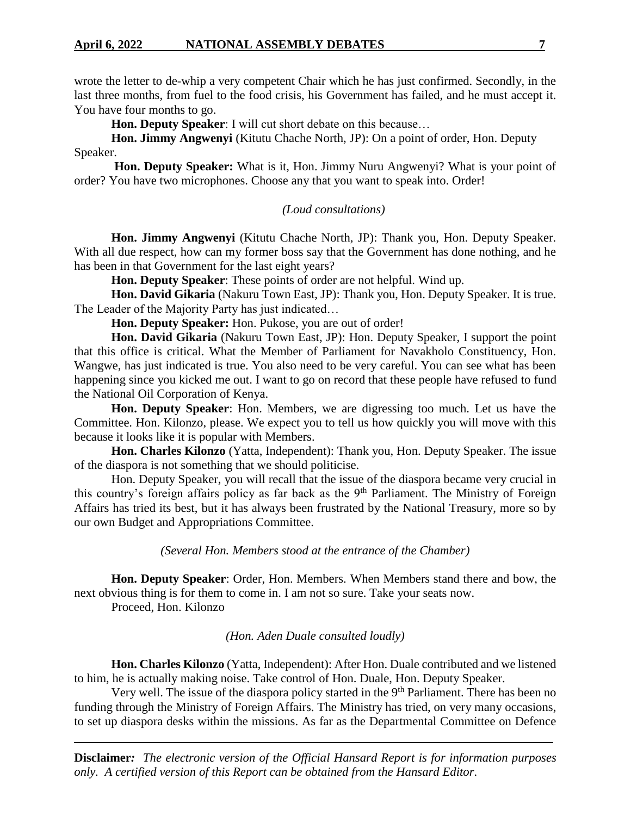wrote the letter to de-whip a very competent Chair which he has just confirmed. Secondly, in the last three months, from fuel to the food crisis, his Government has failed, and he must accept it. You have four months to go.

**Hon. Deputy Speaker**: I will cut short debate on this because…

**Hon. Jimmy Angwenyi** (Kitutu Chache North, JP): On a point of order, Hon. Deputy Speaker.

**Hon. Deputy Speaker:** What is it, Hon. Jimmy Nuru Angwenyi? What is your point of order? You have two microphones. Choose any that you want to speak into. Order!

*(Loud consultations)*

**Hon. Jimmy Angwenyi** (Kitutu Chache North, JP): Thank you, Hon. Deputy Speaker. With all due respect, how can my former boss say that the Government has done nothing, and he has been in that Government for the last eight years?

**Hon. Deputy Speaker**: These points of order are not helpful. Wind up.

**Hon. David Gikaria** (Nakuru Town East, JP): Thank you, Hon. Deputy Speaker. It is true. The Leader of the Majority Party has just indicated…

**Hon. Deputy Speaker:** Hon. Pukose, you are out of order!

**Hon. David Gikaria** (Nakuru Town East, JP): Hon. Deputy Speaker, I support the point that this office is critical. What the Member of Parliament for Navakholo Constituency, Hon. Wangwe, has just indicated is true. You also need to be very careful. You can see what has been happening since you kicked me out. I want to go on record that these people have refused to fund the National Oil Corporation of Kenya.

**Hon. Deputy Speaker**: Hon. Members, we are digressing too much. Let us have the Committee. Hon. Kilonzo, please. We expect you to tell us how quickly you will move with this because it looks like it is popular with Members.

**Hon. Charles Kilonzo** (Yatta, Independent): Thank you, Hon. Deputy Speaker. The issue of the diaspora is not something that we should politicise.

Hon. Deputy Speaker, you will recall that the issue of the diaspora became very crucial in this country's foreign affairs policy as far back as the 9<sup>th</sup> Parliament. The Ministry of Foreign Affairs has tried its best, but it has always been frustrated by the National Treasury, more so by our own Budget and Appropriations Committee.

*(Several Hon. Members stood at the entrance of the Chamber)*

**Hon. Deputy Speaker**: Order, Hon. Members. When Members stand there and bow, the next obvious thing is for them to come in. I am not so sure. Take your seats now.

Proceed, Hon. Kilonzo

*(Hon. Aden Duale consulted loudly)*

**Hon. Charles Kilonzo** (Yatta, Independent): After Hon. Duale contributed and we listened to him, he is actually making noise. Take control of Hon. Duale, Hon. Deputy Speaker.

Very well. The issue of the diaspora policy started in the 9<sup>th</sup> Parliament. There has been no funding through the Ministry of Foreign Affairs. The Ministry has tried, on very many occasions, to set up diaspora desks within the missions. As far as the Departmental Committee on Defence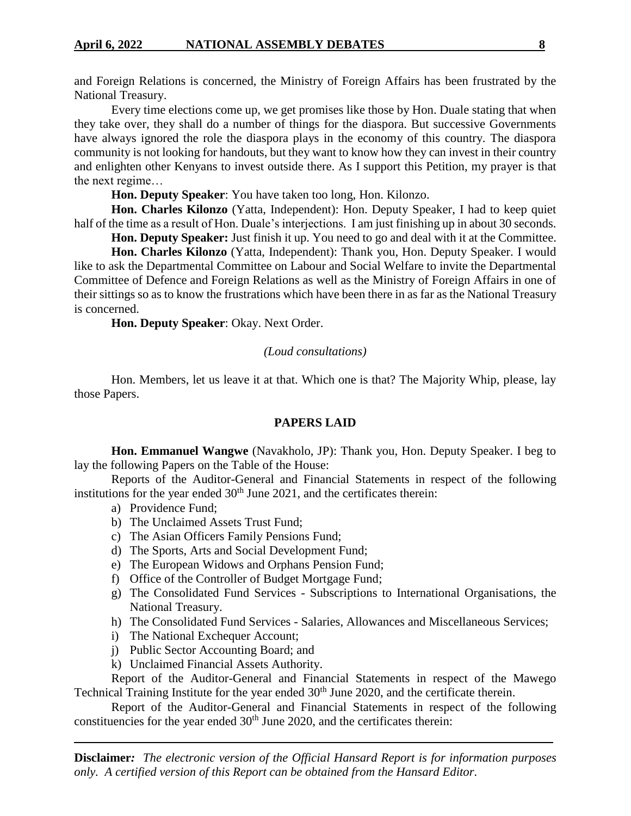and Foreign Relations is concerned, the Ministry of Foreign Affairs has been frustrated by the National Treasury.

Every time elections come up, we get promises like those by Hon. Duale stating that when they take over, they shall do a number of things for the diaspora. But successive Governments have always ignored the role the diaspora plays in the economy of this country. The diaspora community is not looking for handouts, but they want to know how they can invest in their country and enlighten other Kenyans to invest outside there. As I support this Petition, my prayer is that the next regime…

**Hon. Deputy Speaker**: You have taken too long, Hon. Kilonzo.

**Hon. Charles Kilonzo** (Yatta, Independent): Hon. Deputy Speaker, I had to keep quiet half of the time as a result of Hon. Duale's interjections. I am just finishing up in about 30 seconds.

**Hon. Deputy Speaker:** Just finish it up. You need to go and deal with it at the Committee.

**Hon. Charles Kilonzo** (Yatta, Independent): Thank you, Hon. Deputy Speaker. I would like to ask the Departmental Committee on Labour and Social Welfare to invite the Departmental Committee of Defence and Foreign Relations as well as the Ministry of Foreign Affairs in one of their sittings so as to know the frustrations which have been there in as far as the National Treasury is concerned.

**Hon. Deputy Speaker**: Okay. Next Order.

## *(Loud consultations)*

Hon. Members, let us leave it at that. Which one is that? The Majority Whip, please, lay those Papers.

## **PAPERS LAID**

**Hon. Emmanuel Wangwe** (Navakholo, JP): Thank you, Hon. Deputy Speaker. I beg to lay the following Papers on the Table of the House:

Reports of the Auditor-General and Financial Statements in respect of the following institutions for the year ended  $30<sup>th</sup>$  June 2021, and the certificates therein:

- a) Providence Fund;
- b) The Unclaimed Assets Trust Fund;
- c) The Asian Officers Family Pensions Fund;
- d) The Sports, Arts and Social Development Fund;
- e) The European Widows and Orphans Pension Fund;
- f) Office of the Controller of Budget Mortgage Fund;
- g) The Consolidated Fund Services Subscriptions to International Organisations, the National Treasury.
- h) The Consolidated Fund Services Salaries, Allowances and Miscellaneous Services;
- i) The National Exchequer Account;
- j) Public Sector Accounting Board; and
- k) Unclaimed Financial Assets Authority.

Report of the Auditor-General and Financial Statements in respect of the Mawego Technical Training Institute for the year ended 30<sup>th</sup> June 2020, and the certificate therein.

Report of the Auditor-General and Financial Statements in respect of the following constituencies for the year ended  $30<sup>th</sup>$  June 2020, and the certificates therein: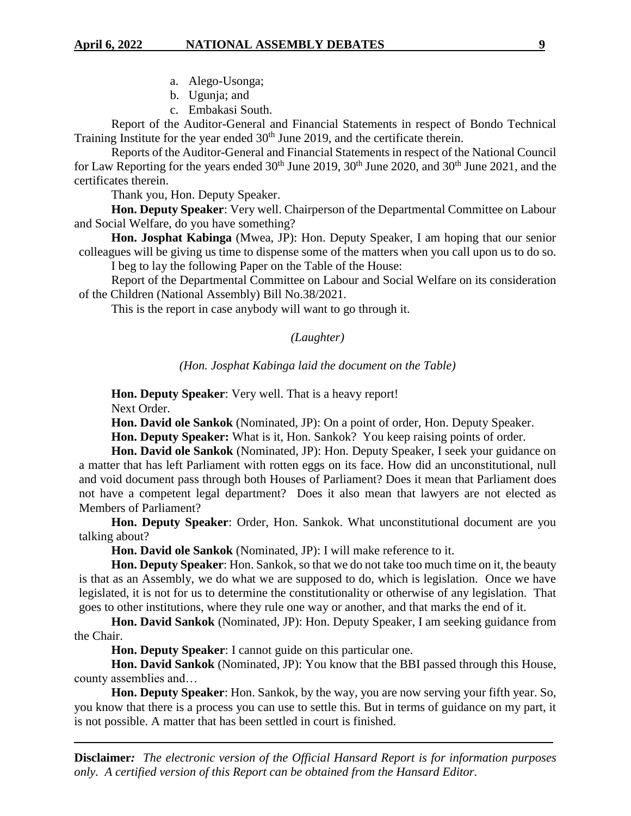- a. Alego-Usonga;
- b. Ugunja; and
- c. Embakasi South.

Report of the Auditor-General and Financial Statements in respect of Bondo Technical Training Institute for the year ended 30<sup>th</sup> June 2019, and the certificate therein.

Reports of the Auditor-General and Financial Statements in respect of the National Council for Law Reporting for the years ended  $30<sup>th</sup>$  June 2019,  $30<sup>th</sup>$  June 2020, and  $30<sup>th</sup>$  June 2021, and the certificates therein.

Thank you, Hon. Deputy Speaker.

**Hon. Deputy Speaker**: Very well. Chairperson of the Departmental Committee on Labour and Social Welfare, do you have something?

**Hon. Josphat Kabinga** (Mwea, JP): Hon. Deputy Speaker, I am hoping that our senior colleagues will be giving us time to dispense some of the matters when you call upon us to do so. I beg to lay the following Paper on the Table of the House:

Report of the Departmental Committee on Labour and Social Welfare on its consideration of the Children (National Assembly) Bill No.38/2021.

This is the report in case anybody will want to go through it.

#### *(Laughter)*

## *(Hon. Josphat Kabinga laid the document on the Table)*

**Hon. Deputy Speaker**: Very well. That is a heavy report!

Next Order.

**Hon. David ole Sankok** (Nominated, JP): On a point of order, Hon. Deputy Speaker.

**Hon. Deputy Speaker:** What is it, Hon. Sankok? You keep raising points of order.

**Hon. David ole Sankok** (Nominated, JP): Hon. Deputy Speaker, I seek your guidance on a matter that has left Parliament with rotten eggs on its face. How did an unconstitutional, null and void document pass through both Houses of Parliament? Does it mean that Parliament does not have a competent legal department? Does it also mean that lawyers are not elected as Members of Parliament?

**Hon. Deputy Speaker**: Order, Hon. Sankok. What unconstitutional document are you talking about?

**Hon. David ole Sankok** (Nominated, JP): I will make reference to it.

**Hon. Deputy Speaker**: Hon. Sankok, so that we do not take too much time on it, the beauty is that as an Assembly, we do what we are supposed to do, which is legislation. Once we have legislated, it is not for us to determine the constitutionality or otherwise of any legislation. That goes to other institutions, where they rule one way or another, and that marks the end of it.

**Hon. David Sankok** (Nominated, JP): Hon. Deputy Speaker, I am seeking guidance from the Chair.

**Hon. Deputy Speaker**: I cannot guide on this particular one.

**Hon. David Sankok** (Nominated, JP): You know that the BBI passed through this House, county assemblies and…

**Hon. Deputy Speaker**: Hon. Sankok, by the way, you are now serving your fifth year. So, you know that there is a process you can use to settle this. But in terms of guidance on my part, it is not possible. A matter that has been settled in court is finished.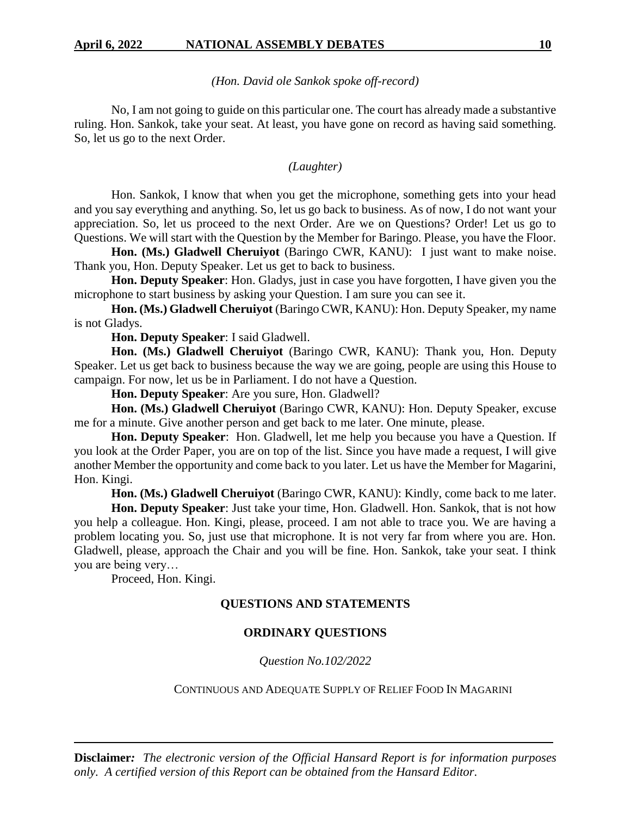## *(Hon. David ole Sankok spoke off-record)*

No, I am not going to guide on this particular one. The court has already made a substantive ruling. Hon. Sankok, take your seat. At least, you have gone on record as having said something. So, let us go to the next Order.

## *(Laughter)*

Hon. Sankok, I know that when you get the microphone, something gets into your head and you say everything and anything. So, let us go back to business. As of now, I do not want your appreciation. So, let us proceed to the next Order. Are we on Questions? Order! Let us go to Questions. We will start with the Question by the Member for Baringo. Please, you have the Floor.

Hon. (Ms.) Gladwell Cheruiyot (Baringo CWR, KANU): I just want to make noise. Thank you, Hon. Deputy Speaker. Let us get to back to business.

**Hon. Deputy Speaker**: Hon. Gladys, just in case you have forgotten, I have given you the microphone to start business by asking your Question. I am sure you can see it.

**Hon. (Ms.) Gladwell Cheruiyot** (Baringo CWR, KANU): Hon. Deputy Speaker, my name is not Gladys.

**Hon. Deputy Speaker**: I said Gladwell.

Hon. (Ms.) Gladwell Cheruiyot (Baringo CWR, KANU): Thank you, Hon. Deputy Speaker. Let us get back to business because the way we are going, people are using this House to campaign. For now, let us be in Parliament. I do not have a Question.

**Hon. Deputy Speaker**: Are you sure, Hon. Gladwell?

Hon. (Ms.) Gladwell Cheruiyot (Baringo CWR, KANU): Hon. Deputy Speaker, excuse me for a minute. Give another person and get back to me later. One minute, please.

**Hon. Deputy Speaker**: Hon. Gladwell, let me help you because you have a Question. If you look at the Order Paper, you are on top of the list. Since you have made a request, I will give another Member the opportunity and come back to you later. Let us have the Member for Magarini, Hon. Kingi.

**Hon. (Ms.) Gladwell Cheruiyot** (Baringo CWR, KANU): Kindly, come back to me later.

**Hon. Deputy Speaker**: Just take your time, Hon. Gladwell. Hon. Sankok, that is not how you help a colleague. Hon. Kingi, please, proceed. I am not able to trace you. We are having a problem locating you. So, just use that microphone. It is not very far from where you are. Hon. Gladwell, please, approach the Chair and you will be fine. Hon. Sankok, take your seat. I think you are being very…

Proceed, Hon. Kingi.

## **QUESTIONS AND STATEMENTS**

## **ORDINARY QUESTIONS**

*Question No.102/2022*

### CONTINUOUS AND ADEQUATE SUPPLY OF RELIEF FOOD IN MAGARINI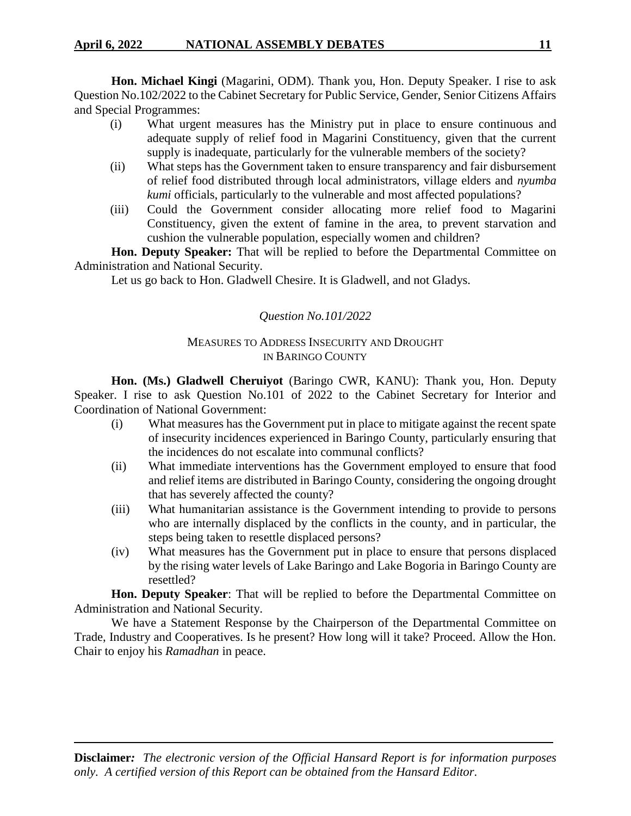**Hon. Michael Kingi** (Magarini, ODM). Thank you, Hon. Deputy Speaker. I rise to ask Question No.102/2022 to the Cabinet Secretary for Public Service, Gender, Senior Citizens Affairs and Special Programmes:

- (i) What urgent measures has the Ministry put in place to ensure continuous and adequate supply of relief food in Magarini Constituency, given that the current supply is inadequate, particularly for the vulnerable members of the society?
- (ii) What steps has the Government taken to ensure transparency and fair disbursement of relief food distributed through local administrators, village elders and *nyumba kumi* officials, particularly to the vulnerable and most affected populations?
- (iii) Could the Government consider allocating more relief food to Magarini Constituency, given the extent of famine in the area, to prevent starvation and cushion the vulnerable population, especially women and children?

**Hon. Deputy Speaker:** That will be replied to before the Departmental Committee on Administration and National Security.

Let us go back to Hon. Gladwell Chesire. It is Gladwell, and not Gladys.

## *Question No.101/2022*

## MEASURES TO ADDRESS INSECURITY AND DROUGHT IN BARINGO COUNTY

**Hon. (Ms.) Gladwell Cheruiyot** (Baringo CWR, KANU): Thank you, Hon. Deputy Speaker. I rise to ask Question No.101 of 2022 to the Cabinet Secretary for Interior and Coordination of National Government:

- (i) What measures has the Government put in place to mitigate against the recent spate of insecurity incidences experienced in Baringo County, particularly ensuring that the incidences do not escalate into communal conflicts?
- (ii) What immediate interventions has the Government employed to ensure that food and relief items are distributed in Baringo County, considering the ongoing drought that has severely affected the county?
- (iii) What humanitarian assistance is the Government intending to provide to persons who are internally displaced by the conflicts in the county, and in particular, the steps being taken to resettle displaced persons?
- (iv) What measures has the Government put in place to ensure that persons displaced by the rising water levels of Lake Baringo and Lake Bogoria in Baringo County are resettled?

**Hon. Deputy Speaker**: That will be replied to before the Departmental Committee on Administration and National Security.

We have a Statement Response by the Chairperson of the Departmental Committee on Trade, Industry and Cooperatives. Is he present? How long will it take? Proceed. Allow the Hon. Chair to enjoy his *Ramadhan* in peace.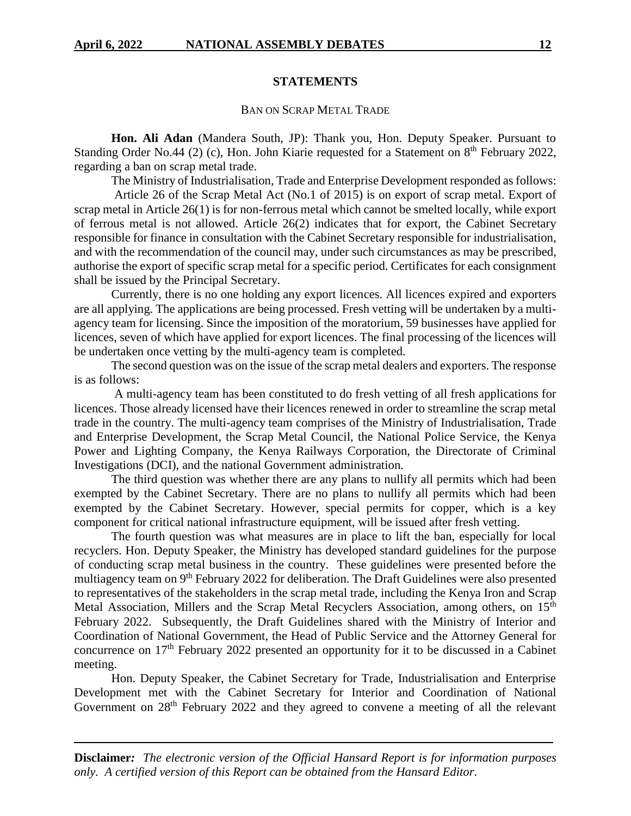## **STATEMENTS**

### BAN ON SCRAP METAL TRADE

**Hon. Ali Adan** (Mandera South, JP): Thank you, Hon. Deputy Speaker. Pursuant to Standing Order No.44 (2) (c), Hon. John Kiarie requested for a Statement on  $8<sup>th</sup>$  February 2022, regarding a ban on scrap metal trade.

The Ministry of Industrialisation, Trade and Enterprise Development responded as follows: Article 26 of the Scrap Metal Act (No.1 of 2015) is on export of scrap metal. Export of scrap metal in Article 26(1) is for non-ferrous metal which cannot be smelted locally, while export

of ferrous metal is not allowed. Article 26(2) indicates that for export, the Cabinet Secretary responsible for finance in consultation with the Cabinet Secretary responsible for industrialisation, and with the recommendation of the council may, under such circumstances as may be prescribed, authorise the export of specific scrap metal for a specific period. Certificates for each consignment shall be issued by the Principal Secretary.

Currently, there is no one holding any export licences. All licences expired and exporters are all applying. The applications are being processed. Fresh vetting will be undertaken by a multiagency team for licensing. Since the imposition of the moratorium, 59 businesses have applied for licences, seven of which have applied for export licences. The final processing of the licences will be undertaken once vetting by the multi-agency team is completed.

The second question was on the issue of the scrap metal dealers and exporters. The response is as follows:

A multi-agency team has been constituted to do fresh vetting of all fresh applications for licences. Those already licensed have their licences renewed in order to streamline the scrap metal trade in the country. The multi-agency team comprises of the Ministry of Industrialisation, Trade and Enterprise Development, the Scrap Metal Council, the National Police Service, the Kenya Power and Lighting Company, the Kenya Railways Corporation, the Directorate of Criminal Investigations (DCI), and the national Government administration.

The third question was whether there are any plans to nullify all permits which had been exempted by the Cabinet Secretary. There are no plans to nullify all permits which had been exempted by the Cabinet Secretary. However, special permits for copper, which is a key component for critical national infrastructure equipment, will be issued after fresh vetting.

The fourth question was what measures are in place to lift the ban, especially for local recyclers. Hon. Deputy Speaker, the Ministry has developed standard guidelines for the purpose of conducting scrap metal business in the country. These guidelines were presented before the multiagency team on 9th February 2022 for deliberation. The Draft Guidelines were also presented to representatives of the stakeholders in the scrap metal trade, including the Kenya Iron and Scrap Metal Association, Millers and the Scrap Metal Recyclers Association, among others, on 15<sup>th</sup> February 2022. Subsequently, the Draft Guidelines shared with the Ministry of Interior and Coordination of National Government, the Head of Public Service and the Attorney General for concurrence on 17<sup>th</sup> February 2022 presented an opportunity for it to be discussed in a Cabinet meeting.

Hon. Deputy Speaker, the Cabinet Secretary for Trade, Industrialisation and Enterprise Development met with the Cabinet Secretary for Interior and Coordination of National Government on 28<sup>th</sup> February 2022 and they agreed to convene a meeting of all the relevant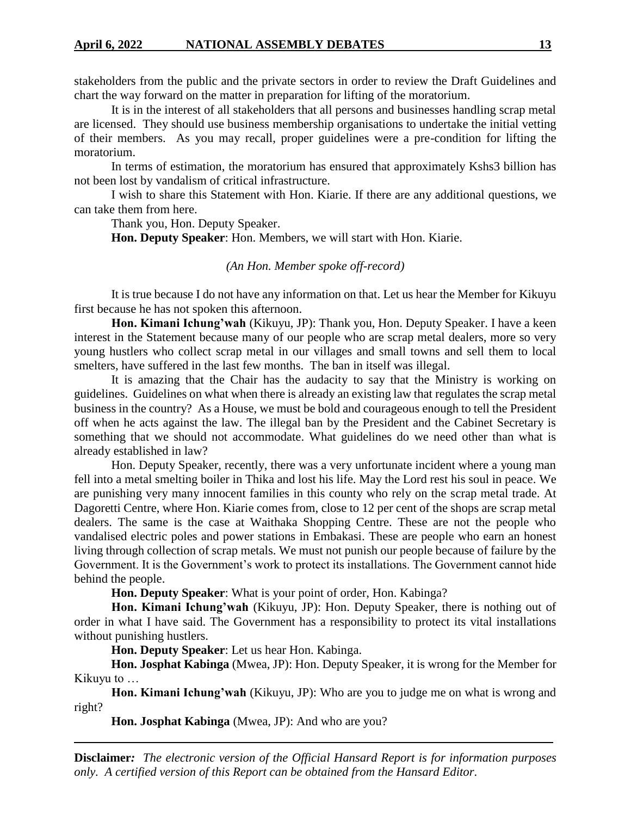stakeholders from the public and the private sectors in order to review the Draft Guidelines and chart the way forward on the matter in preparation for lifting of the moratorium.

It is in the interest of all stakeholders that all persons and businesses handling scrap metal are licensed. They should use business membership organisations to undertake the initial vetting of their members. As you may recall, proper guidelines were a pre-condition for lifting the moratorium.

In terms of estimation, the moratorium has ensured that approximately Kshs3 billion has not been lost by vandalism of critical infrastructure.

I wish to share this Statement with Hon. Kiarie. If there are any additional questions, we can take them from here.

Thank you, Hon. Deputy Speaker.

**Hon. Deputy Speaker**: Hon. Members, we will start with Hon. Kiarie.

## *(An Hon. Member spoke off-record)*

It is true because I do not have any information on that. Let us hear the Member for Kikuyu first because he has not spoken this afternoon.

**Hon. Kimani Ichung'wah** (Kikuyu, JP): Thank you, Hon. Deputy Speaker. I have a keen interest in the Statement because many of our people who are scrap metal dealers, more so very young hustlers who collect scrap metal in our villages and small towns and sell them to local smelters, have suffered in the last few months. The ban in itself was illegal.

It is amazing that the Chair has the audacity to say that the Ministry is working on guidelines. Guidelines on what when there is already an existing law that regulates the scrap metal business in the country? As a House, we must be bold and courageous enough to tell the President off when he acts against the law. The illegal ban by the President and the Cabinet Secretary is something that we should not accommodate. What guidelines do we need other than what is already established in law?

Hon. Deputy Speaker, recently, there was a very unfortunate incident where a young man fell into a metal smelting boiler in Thika and lost his life. May the Lord rest his soul in peace. We are punishing very many innocent families in this county who rely on the scrap metal trade. At Dagoretti Centre, where Hon. Kiarie comes from, close to 12 per cent of the shops are scrap metal dealers. The same is the case at Waithaka Shopping Centre. These are not the people who vandalised electric poles and power stations in Embakasi. These are people who earn an honest living through collection of scrap metals. We must not punish our people because of failure by the Government. It is the Government's work to protect its installations. The Government cannot hide behind the people.

**Hon. Deputy Speaker**: What is your point of order, Hon. Kabinga?

**Hon. Kimani Ichung'wah** (Kikuyu, JP): Hon. Deputy Speaker, there is nothing out of order in what I have said. The Government has a responsibility to protect its vital installations without punishing hustlers.

**Hon. Deputy Speaker**: Let us hear Hon. Kabinga.

**Hon. Josphat Kabinga** (Mwea, JP): Hon. Deputy Speaker, it is wrong for the Member for Kikuyu to …

**Hon. Kimani Ichung'wah** (Kikuyu, JP): Who are you to judge me on what is wrong and right?

**Hon. Josphat Kabinga** (Mwea, JP): And who are you?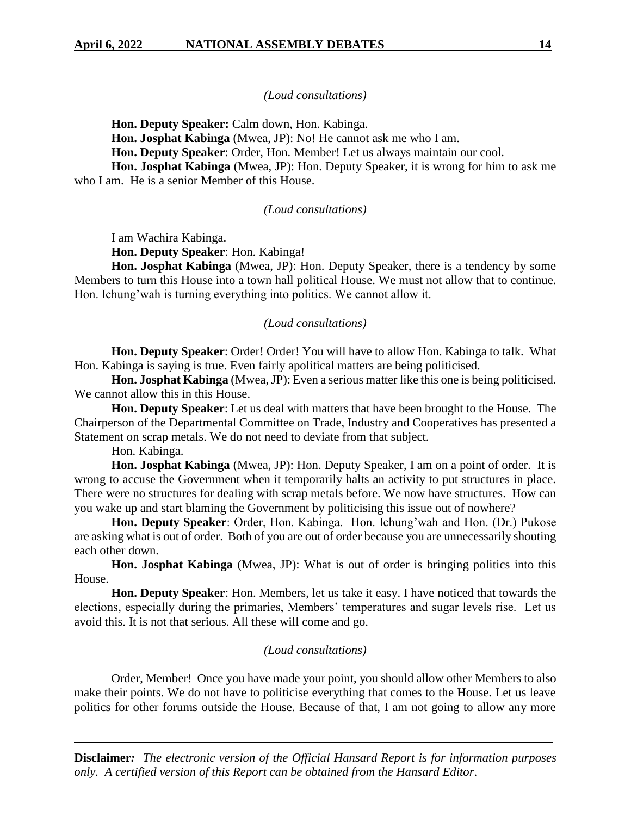## *(Loud consultations)*

**Hon. Deputy Speaker:** Calm down, Hon. Kabinga.

**Hon. Josphat Kabinga** (Mwea, JP): No! He cannot ask me who I am.

**Hon. Deputy Speaker**: Order, Hon. Member! Let us always maintain our cool.

**Hon. Josphat Kabinga** (Mwea, JP): Hon. Deputy Speaker, it is wrong for him to ask me who I am. He is a senior Member of this House.

## *(Loud consultations)*

I am Wachira Kabinga.

**Hon. Deputy Speaker**: Hon. Kabinga!

**Hon. Josphat Kabinga** (Mwea, JP): Hon. Deputy Speaker, there is a tendency by some Members to turn this House into a town hall political House. We must not allow that to continue. Hon. Ichung'wah is turning everything into politics. We cannot allow it.

## *(Loud consultations)*

**Hon. Deputy Speaker**: Order! Order! You will have to allow Hon. Kabinga to talk. What Hon. Kabinga is saying is true. Even fairly apolitical matters are being politicised.

**Hon. Josphat Kabinga** (Mwea, JP): Even a serious matter like this one is being politicised. We cannot allow this in this House.

**Hon. Deputy Speaker**: Let us deal with matters that have been brought to the House. The Chairperson of the Departmental Committee on Trade, Industry and Cooperatives has presented a Statement on scrap metals. We do not need to deviate from that subject.

Hon. Kabinga.

**Hon. Josphat Kabinga** (Mwea, JP): Hon. Deputy Speaker, I am on a point of order. It is wrong to accuse the Government when it temporarily halts an activity to put structures in place. There were no structures for dealing with scrap metals before. We now have structures. How can you wake up and start blaming the Government by politicising this issue out of nowhere?

**Hon. Deputy Speaker**: Order, Hon. Kabinga. Hon. Ichung'wah and Hon. (Dr.) Pukose are asking what is out of order. Both of you are out of order because you are unnecessarily shouting each other down.

**Hon. Josphat Kabinga** (Mwea, JP): What is out of order is bringing politics into this House.

**Hon. Deputy Speaker**: Hon. Members, let us take it easy. I have noticed that towards the elections, especially during the primaries, Members' temperatures and sugar levels rise. Let us avoid this. It is not that serious. All these will come and go.

## *(Loud consultations)*

Order, Member! Once you have made your point, you should allow other Members to also make their points. We do not have to politicise everything that comes to the House. Let us leave politics for other forums outside the House. Because of that, I am not going to allow any more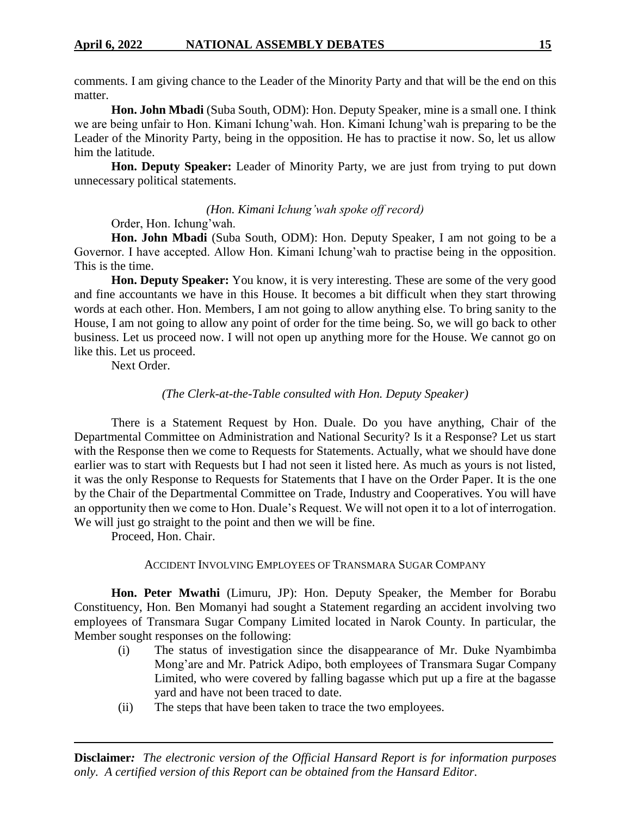comments. I am giving chance to the Leader of the Minority Party and that will be the end on this matter.

**Hon. John Mbadi** (Suba South, ODM): Hon. Deputy Speaker, mine is a small one. I think we are being unfair to Hon. Kimani Ichung'wah. Hon. Kimani Ichung'wah is preparing to be the Leader of the Minority Party, being in the opposition. He has to practise it now. So, let us allow him the latitude.

**Hon. Deputy Speaker:** Leader of Minority Party, we are just from trying to put down unnecessary political statements.

## *(Hon. Kimani Ichung'wah spoke off record)*

Order, Hon. Ichung'wah.

**Hon. John Mbadi** (Suba South, ODM): Hon. Deputy Speaker, I am not going to be a Governor. I have accepted. Allow Hon. Kimani Ichung'wah to practise being in the opposition. This is the time.

**Hon. Deputy Speaker:** You know, it is very interesting. These are some of the very good and fine accountants we have in this House. It becomes a bit difficult when they start throwing words at each other. Hon. Members, I am not going to allow anything else. To bring sanity to the House, I am not going to allow any point of order for the time being. So, we will go back to other business. Let us proceed now. I will not open up anything more for the House. We cannot go on like this. Let us proceed.

Next Order.

## *(The Clerk-at-the-Table consulted with Hon. Deputy Speaker)*

There is a Statement Request by Hon. Duale. Do you have anything, Chair of the Departmental Committee on Administration and National Security? Is it a Response? Let us start with the Response then we come to Requests for Statements. Actually, what we should have done earlier was to start with Requests but I had not seen it listed here. As much as yours is not listed, it was the only Response to Requests for Statements that I have on the Order Paper. It is the one by the Chair of the Departmental Committee on Trade, Industry and Cooperatives. You will have an opportunity then we come to Hon. Duale's Request. We will not open it to a lot of interrogation. We will just go straight to the point and then we will be fine.

Proceed, Hon. Chair.

## ACCIDENT INVOLVING EMPLOYEES OF TRANSMARA SUGAR COMPANY

**Hon. Peter Mwathi** (Limuru, JP): Hon. Deputy Speaker, the Member for Borabu Constituency, Hon. Ben Momanyi had sought a Statement regarding an accident involving two employees of Transmara Sugar Company Limited located in Narok County. In particular, the Member sought responses on the following:

- (i) The status of investigation since the disappearance of Mr. Duke Nyambimba Mong'are and Mr. Patrick Adipo, both employees of Transmara Sugar Company Limited, who were covered by falling bagasse which put up a fire at the bagasse yard and have not been traced to date.
- (ii) The steps that have been taken to trace the two employees.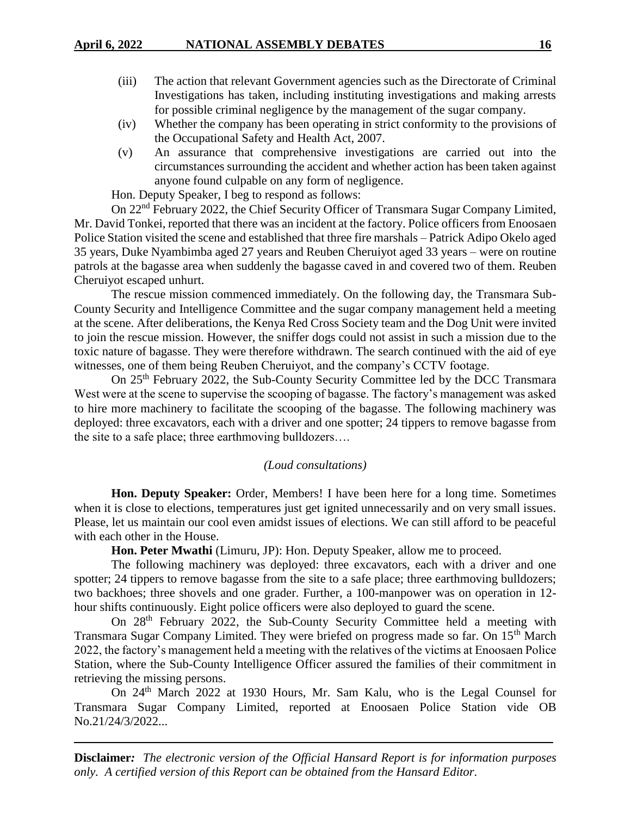- (iii) The action that relevant Government agencies such as the Directorate of Criminal Investigations has taken, including instituting investigations and making arrests for possible criminal negligence by the management of the sugar company.
- (iv) Whether the company has been operating in strict conformity to the provisions of the Occupational Safety and Health Act, 2007.
- (v) An assurance that comprehensive investigations are carried out into the circumstances surrounding the accident and whether action has been taken against anyone found culpable on any form of negligence.

Hon. Deputy Speaker, I beg to respond as follows:

On 22nd February 2022, the Chief Security Officer of Transmara Sugar Company Limited, Mr. David Tonkei, reported that there was an incident at the factory. Police officers from Enoosaen Police Station visited the scene and established that three fire marshals – Patrick Adipo Okelo aged 35 years, Duke Nyambimba aged 27 years and Reuben Cheruiyot aged 33 years – were on routine patrols at the bagasse area when suddenly the bagasse caved in and covered two of them. Reuben Cheruiyot escaped unhurt.

The rescue mission commenced immediately. On the following day, the Transmara Sub-County Security and Intelligence Committee and the sugar company management held a meeting at the scene. After deliberations, the Kenya Red Cross Society team and the Dog Unit were invited to join the rescue mission. However, the sniffer dogs could not assist in such a mission due to the toxic nature of bagasse. They were therefore withdrawn. The search continued with the aid of eye witnesses, one of them being Reuben Cheruiyot, and the company's CCTV footage.

On 25th February 2022, the Sub-County Security Committee led by the DCC Transmara West were at the scene to supervise the scooping of bagasse. The factory's management was asked to hire more machinery to facilitate the scooping of the bagasse. The following machinery was deployed: three excavators, each with a driver and one spotter; 24 tippers to remove bagasse from the site to a safe place; three earthmoving bulldozers….

## *(Loud consultations)*

**Hon. Deputy Speaker:** Order, Members! I have been here for a long time. Sometimes when it is close to elections, temperatures just get ignited unnecessarily and on very small issues. Please, let us maintain our cool even amidst issues of elections. We can still afford to be peaceful with each other in the House.

**Hon. Peter Mwathi** (Limuru, JP): Hon. Deputy Speaker, allow me to proceed.

The following machinery was deployed: three excavators, each with a driver and one spotter; 24 tippers to remove bagasse from the site to a safe place; three earthmoving bulldozers; two backhoes; three shovels and one grader. Further, a 100-manpower was on operation in 12 hour shifts continuously. Eight police officers were also deployed to guard the scene.

On 28th February 2022, the Sub-County Security Committee held a meeting with Transmara Sugar Company Limited. They were briefed on progress made so far. On 15<sup>th</sup> March 2022, the factory's management held a meeting with the relatives of the victims at Enoosaen Police Station, where the Sub-County Intelligence Officer assured the families of their commitment in retrieving the missing persons.

On 24<sup>th</sup> March 2022 at 1930 Hours, Mr. Sam Kalu, who is the Legal Counsel for Transmara Sugar Company Limited, reported at Enoosaen Police Station vide OB No.21/24/3/2022...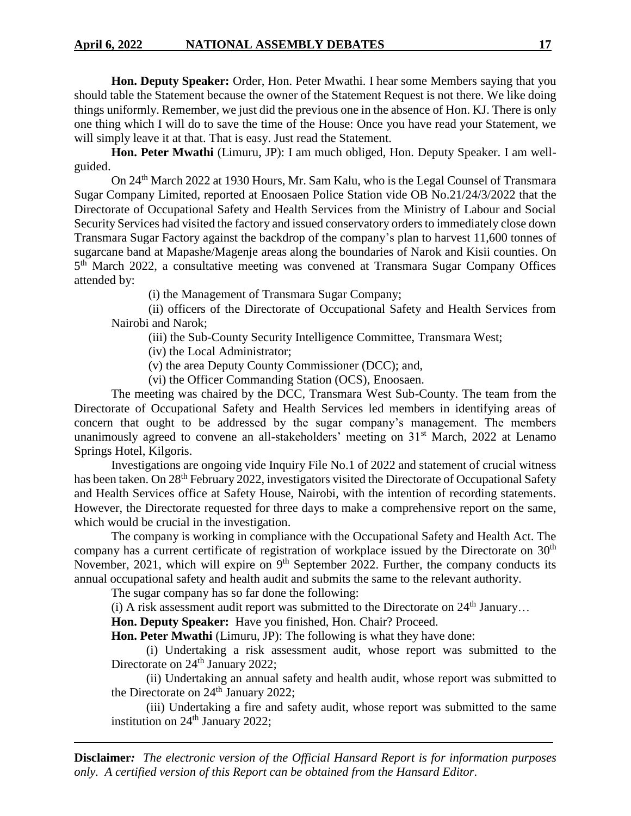**Hon. Deputy Speaker:** Order, Hon. Peter Mwathi. I hear some Members saying that you should table the Statement because the owner of the Statement Request is not there. We like doing things uniformly. Remember, we just did the previous one in the absence of Hon. KJ. There is only one thing which I will do to save the time of the House: Once you have read your Statement, we will simply leave it at that. That is easy. Just read the Statement.

**Hon. Peter Mwathi** (Limuru, JP): I am much obliged, Hon. Deputy Speaker. I am wellguided.

On 24th March 2022 at 1930 Hours, Mr. Sam Kalu, who is the Legal Counsel of Transmara Sugar Company Limited, reported at Enoosaen Police Station vide OB No.21/24/3/2022 that the Directorate of Occupational Safety and Health Services from the Ministry of Labour and Social Security Services had visited the factory and issued conservatory orders to immediately close down Transmara Sugar Factory against the backdrop of the company's plan to harvest 11,600 tonnes of sugarcane band at Mapashe/Magenje areas along the boundaries of Narok and Kisii counties. On 5<sup>th</sup> March 2022, a consultative meeting was convened at Transmara Sugar Company Offices attended by:

(i) the Management of Transmara Sugar Company;

(ii) officers of the Directorate of Occupational Safety and Health Services from Nairobi and Narok;

(iii) the Sub-County Security Intelligence Committee, Transmara West;

(iv) the Local Administrator;

(v) the area Deputy County Commissioner (DCC); and,

(vi) the Officer Commanding Station (OCS), Enoosaen.

The meeting was chaired by the DCC, Transmara West Sub-County. The team from the Directorate of Occupational Safety and Health Services led members in identifying areas of concern that ought to be addressed by the sugar company's management. The members unanimously agreed to convene an all-stakeholders' meeting on  $31<sup>st</sup>$  March, 2022 at Lenamo Springs Hotel, Kilgoris.

Investigations are ongoing vide Inquiry File No.1 of 2022 and statement of crucial witness has been taken. On 28<sup>th</sup> February 2022, investigators visited the Directorate of Occupational Safety and Health Services office at Safety House, Nairobi, with the intention of recording statements. However, the Directorate requested for three days to make a comprehensive report on the same, which would be crucial in the investigation.

The company is working in compliance with the Occupational Safety and Health Act. The company has a current certificate of registration of workplace issued by the Directorate on 30<sup>th</sup> November, 2021, which will expire on 9<sup>th</sup> September 2022. Further, the company conducts its annual occupational safety and health audit and submits the same to the relevant authority.

The sugar company has so far done the following:

(i) A risk assessment audit report was submitted to the Directorate on  $24<sup>th</sup>$  January...

**Hon. Deputy Speaker:** Have you finished, Hon. Chair? Proceed.

**Hon. Peter Mwathi** (Limuru, JP): The following is what they have done:

(i) Undertaking a risk assessment audit, whose report was submitted to the Directorate on 24<sup>th</sup> January 2022;

(ii) Undertaking an annual safety and health audit, whose report was submitted to the Directorate on  $24<sup>th</sup>$  January 2022;

(iii) Undertaking a fire and safety audit, whose report was submitted to the same institution on 24<sup>th</sup> January 2022;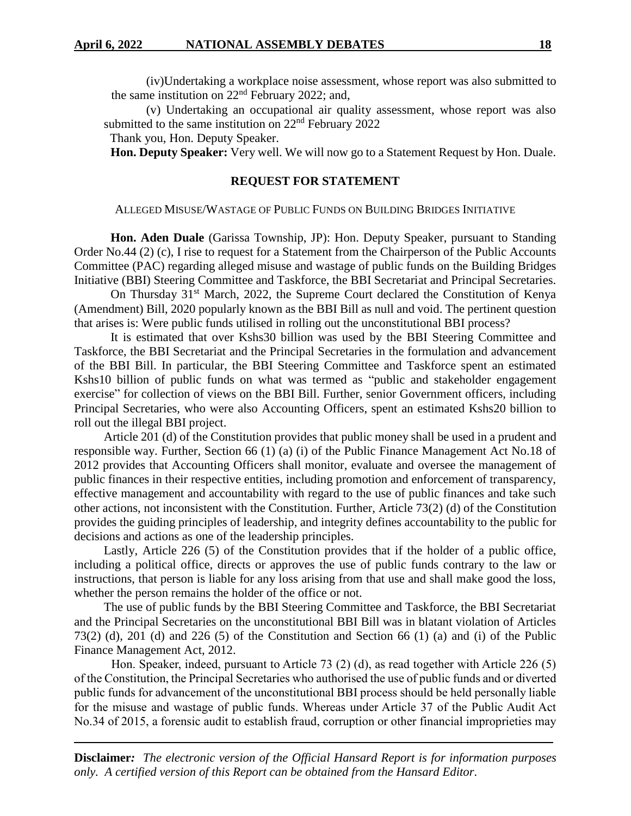(iv)Undertaking a workplace noise assessment, whose report was also submitted to the same institution on  $22<sup>nd</sup>$  February 2022; and,

(v) Undertaking an occupational air quality assessment, whose report was also submitted to the same institution on 22<sup>nd</sup> February 2022

Thank you, Hon. Deputy Speaker.

**Hon. Deputy Speaker:** Very well. We will now go to a Statement Request by Hon. Duale.

## **REQUEST FOR STATEMENT**

### ALLEGED MISUSE/WASTAGE OF PUBLIC FUNDS ON BUILDING BRIDGES INITIATIVE

**Hon. Aden Duale** (Garissa Township, JP): Hon. Deputy Speaker, pursuant to Standing Order No.44 (2) (c), I rise to request for a Statement from the Chairperson of the Public Accounts Committee (PAC) regarding alleged misuse and wastage of public funds on the Building Bridges Initiative (BBI) Steering Committee and Taskforce, the BBI Secretariat and Principal Secretaries.

On Thursday 31<sup>st</sup> March, 2022, the Supreme Court declared the Constitution of Kenya (Amendment) Bill, 2020 popularly known as the BBI Bill as null and void. The pertinent question that arises is: Were public funds utilised in rolling out the unconstitutional BBI process?

It is estimated that over Kshs30 billion was used by the BBI Steering Committee and Taskforce, the BBI Secretariat and the Principal Secretaries in the formulation and advancement of the BBI Bill. In particular, the BBI Steering Committee and Taskforce spent an estimated Kshs10 billion of public funds on what was termed as "public and stakeholder engagement exercise" for collection of views on the BBI Bill. Further, senior Government officers, including Principal Secretaries, who were also Accounting Officers, spent an estimated Kshs20 billion to roll out the illegal BBI project.

Article 201 (d) of the Constitution provides that public money shall be used in a prudent and responsible way. Further, Section 66 (1) (a) (i) of the Public Finance Management Act No.18 of 2012 provides that Accounting Officers shall monitor, evaluate and oversee the management of public finances in their respective entities, including promotion and enforcement of transparency, effective management and accountability with regard to the use of public finances and take such other actions, not inconsistent with the Constitution. Further, Article 73(2) (d) of the Constitution provides the guiding principles of leadership, and integrity defines accountability to the public for decisions and actions as one of the leadership principles.

Lastly, Article 226 (5) of the Constitution provides that if the holder of a public office, including a political office, directs or approves the use of public funds contrary to the law or instructions, that person is liable for any loss arising from that use and shall make good the loss, whether the person remains the holder of the office or not.

The use of public funds by the BBI Steering Committee and Taskforce, the BBI Secretariat and the Principal Secretaries on the unconstitutional BBI Bill was in blatant violation of Articles 73(2) (d), 201 (d) and 226 (5) of the Constitution and Section 66 (1) (a) and (i) of the Public Finance Management Act, 2012.

Hon. Speaker, indeed, pursuant to Article 73 (2) (d), as read together with Article 226 (5) of the Constitution, the Principal Secretaries who authorised the use of public funds and or diverted public funds for advancement of the unconstitutional BBI process should be held personally liable for the misuse and wastage of public funds. Whereas under Article 37 of the Public Audit Act No.34 of 2015, a forensic audit to establish fraud, corruption or other financial improprieties may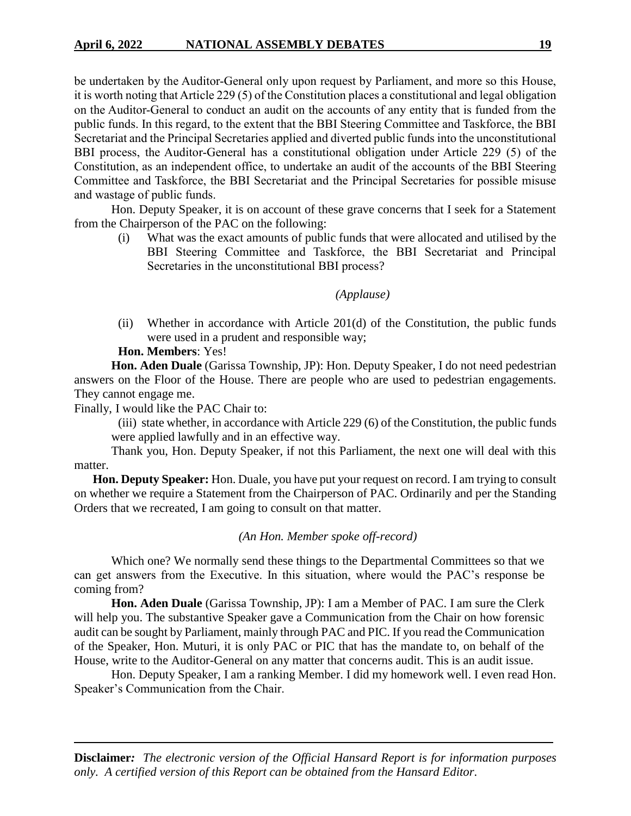be undertaken by the Auditor-General only upon request by Parliament, and more so this House, it is worth noting that Article 229 (5) of the Constitution places a constitutional and legal obligation on the Auditor-General to conduct an audit on the accounts of any entity that is funded from the public funds. In this regard, to the extent that the BBI Steering Committee and Taskforce, the BBI Secretariat and the Principal Secretaries applied and diverted public funds into the unconstitutional BBI process, the Auditor-General has a constitutional obligation under Article 229 (5) of the Constitution, as an independent office, to undertake an audit of the accounts of the BBI Steering Committee and Taskforce, the BBI Secretariat and the Principal Secretaries for possible misuse and wastage of public funds.

Hon. Deputy Speaker, it is on account of these grave concerns that I seek for a Statement from the Chairperson of the PAC on the following:

(i) What was the exact amounts of public funds that were allocated and utilised by the BBI Steering Committee and Taskforce, the BBI Secretariat and Principal Secretaries in the unconstitutional BBI process?

## *(Applause)*

(ii) Whether in accordance with Article 201(d) of the Constitution, the public funds were used in a prudent and responsible way;

## **Hon. Members**: Yes!

**Hon. Aden Duale** (Garissa Township, JP): Hon. Deputy Speaker, I do not need pedestrian answers on the Floor of the House. There are people who are used to pedestrian engagements. They cannot engage me.

Finally, I would like the PAC Chair to:

(iii) state whether, in accordance with Article 229 (6) of the Constitution, the public funds were applied lawfully and in an effective way.

Thank you, Hon. Deputy Speaker, if not this Parliament, the next one will deal with this matter.

**Hon. Deputy Speaker:** Hon. Duale, you have put your request on record. I am trying to consult on whether we require a Statement from the Chairperson of PAC. Ordinarily and per the Standing Orders that we recreated, I am going to consult on that matter.

#### *(An Hon. Member spoke off-record)*

Which one? We normally send these things to the Departmental Committees so that we can get answers from the Executive. In this situation, where would the PAC's response be coming from?

**Hon. Aden Duale** (Garissa Township, JP): I am a Member of PAC. I am sure the Clerk will help you. The substantive Speaker gave a Communication from the Chair on how forensic audit can be sought by Parliament, mainly through PAC and PIC. If you read the Communication of the Speaker, Hon. Muturi, it is only PAC or PIC that has the mandate to, on behalf of the House, write to the Auditor-General on any matter that concerns audit. This is an audit issue.

Hon. Deputy Speaker, I am a ranking Member. I did my homework well. I even read Hon. Speaker's Communication from the Chair.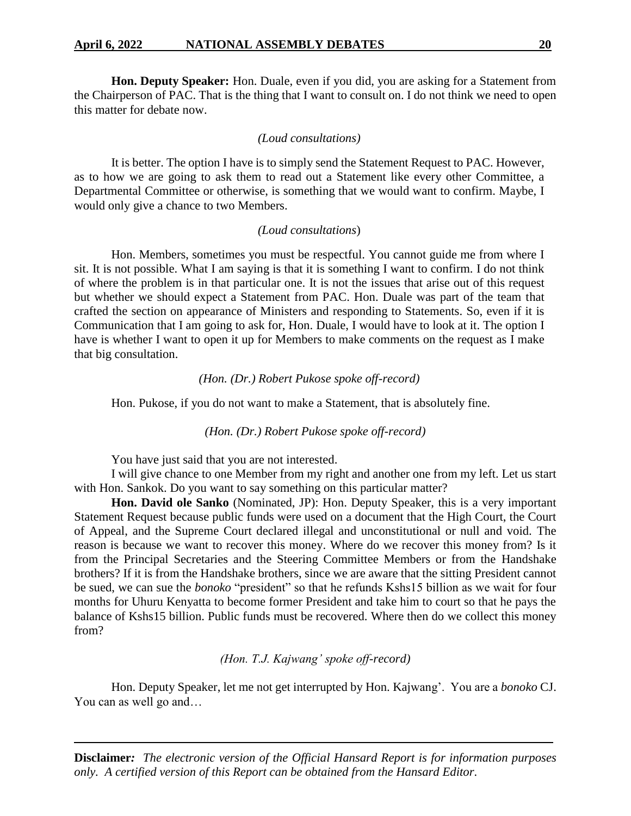#### **April 6, 2022 NATIONAL ASSEMBLY DEBATES 20**

**Hon. Deputy Speaker:** Hon. Duale, even if you did, you are asking for a Statement from the Chairperson of PAC. That is the thing that I want to consult on. I do not think we need to open this matter for debate now.

#### *(Loud consultations)*

It is better. The option I have is to simply send the Statement Request to PAC. However, as to how we are going to ask them to read out a Statement like every other Committee, a Departmental Committee or otherwise, is something that we would want to confirm. Maybe, I would only give a chance to two Members.

#### *(Loud consultations*)

Hon. Members, sometimes you must be respectful. You cannot guide me from where I sit. It is not possible. What I am saying is that it is something I want to confirm. I do not think of where the problem is in that particular one. It is not the issues that arise out of this request but whether we should expect a Statement from PAC. Hon. Duale was part of the team that crafted the section on appearance of Ministers and responding to Statements. So, even if it is Communication that I am going to ask for, Hon. Duale, I would have to look at it. The option I have is whether I want to open it up for Members to make comments on the request as I make that big consultation.

#### *(Hon. (Dr.) Robert Pukose spoke off-record)*

Hon. Pukose, if you do not want to make a Statement, that is absolutely fine.

*(Hon. (Dr.) Robert Pukose spoke off-record)*

You have just said that you are not interested.

I will give chance to one Member from my right and another one from my left. Let us start with Hon. Sankok. Do you want to say something on this particular matter?

**Hon. David ole Sanko** (Nominated, JP): Hon. Deputy Speaker, this is a very important Statement Request because public funds were used on a document that the High Court, the Court of Appeal, and the Supreme Court declared illegal and unconstitutional or null and void. The reason is because we want to recover this money. Where do we recover this money from? Is it from the Principal Secretaries and the Steering Committee Members or from the Handshake brothers? If it is from the Handshake brothers, since we are aware that the sitting President cannot be sued, we can sue the *bonoko* "president" so that he refunds Kshs15 billion as we wait for four months for Uhuru Kenyatta to become former President and take him to court so that he pays the balance of Kshs15 billion. Public funds must be recovered. Where then do we collect this money from?

*(Hon. T.J. Kajwang' spoke off-record)*

Hon. Deputy Speaker, let me not get interrupted by Hon. Kajwang'. You are a *bonoko* CJ. You can as well go and…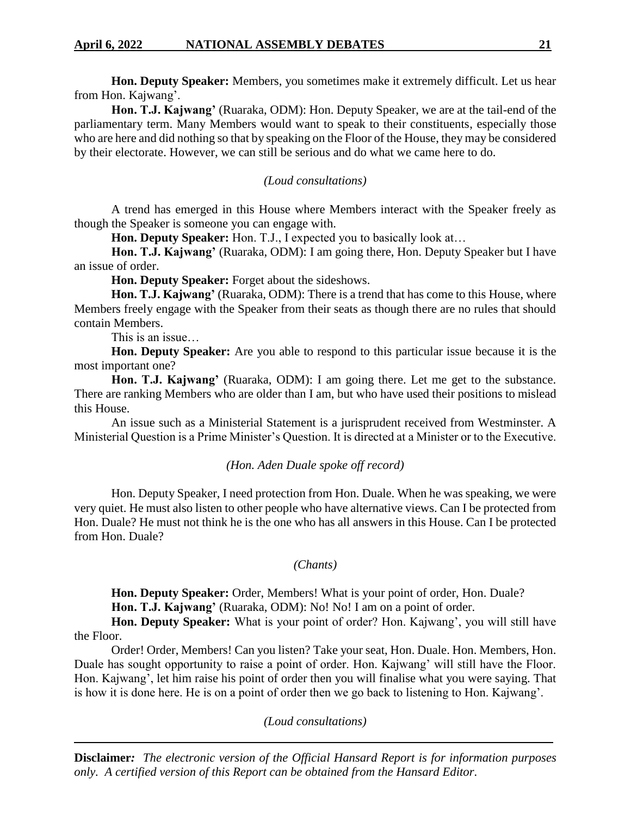**Hon. Deputy Speaker:** Members, you sometimes make it extremely difficult. Let us hear from Hon. Kajwang'.

**Hon. T.J. Kajwang'** (Ruaraka, ODM): Hon. Deputy Speaker, we are at the tail-end of the parliamentary term. Many Members would want to speak to their constituents, especially those who are here and did nothing so that by speaking on the Floor of the House, they may be considered by their electorate. However, we can still be serious and do what we came here to do.

## *(Loud consultations)*

A trend has emerged in this House where Members interact with the Speaker freely as though the Speaker is someone you can engage with.

**Hon. Deputy Speaker:** Hon. T.J., I expected you to basically look at…

**Hon. T.J. Kajwang'** (Ruaraka, ODM): I am going there, Hon. Deputy Speaker but I have an issue of order.

**Hon. Deputy Speaker:** Forget about the sideshows.

**Hon. T.J. Kajwang'** (Ruaraka, ODM): There is a trend that has come to this House, where Members freely engage with the Speaker from their seats as though there are no rules that should contain Members.

This is an issue…

**Hon. Deputy Speaker:** Are you able to respond to this particular issue because it is the most important one?

**Hon. T.J. Kajwang'** (Ruaraka, ODM): I am going there. Let me get to the substance. There are ranking Members who are older than I am, but who have used their positions to mislead this House.

An issue such as a Ministerial Statement is a jurisprudent received from Westminster. A Ministerial Question is a Prime Minister's Question. It is directed at a Minister or to the Executive.

### *(Hon. Aden Duale spoke off record)*

Hon. Deputy Speaker, I need protection from Hon. Duale. When he was speaking, we were very quiet. He must also listen to other people who have alternative views. Can I be protected from Hon. Duale? He must not think he is the one who has all answers in this House. Can I be protected from Hon. Duale?

#### *(Chants)*

**Hon. Deputy Speaker:** Order, Members! What is your point of order, Hon. Duale? Hon. T.J. Kajwang' (Ruaraka, ODM): No! No! I am on a point of order.

**Hon. Deputy Speaker:** What is your point of order? Hon. Kajwang', you will still have the Floor.

Order! Order, Members! Can you listen? Take your seat, Hon. Duale. Hon. Members, Hon. Duale has sought opportunity to raise a point of order. Hon. Kajwang' will still have the Floor. Hon. Kajwang', let him raise his point of order then you will finalise what you were saying. That is how it is done here. He is on a point of order then we go back to listening to Hon. Kajwang'.

### *(Loud consultations)*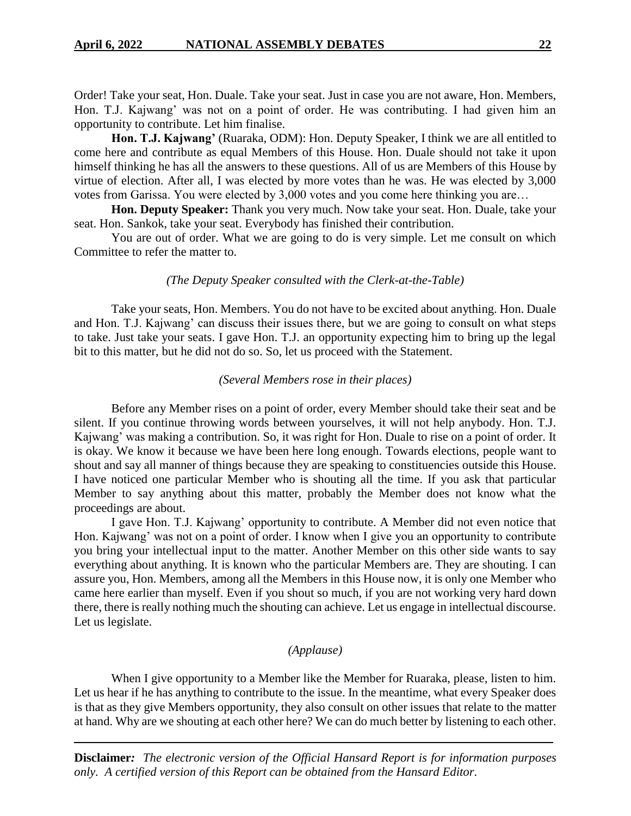Order! Take your seat, Hon. Duale. Take your seat. Just in case you are not aware, Hon. Members, Hon. T.J. Kajwang' was not on a point of order. He was contributing. I had given him an opportunity to contribute. Let him finalise.

**Hon. T.J. Kajwang'** (Ruaraka, ODM): Hon. Deputy Speaker, I think we are all entitled to come here and contribute as equal Members of this House. Hon. Duale should not take it upon himself thinking he has all the answers to these questions. All of us are Members of this House by virtue of election. After all, I was elected by more votes than he was. He was elected by 3,000 votes from Garissa. You were elected by 3,000 votes and you come here thinking you are…

**Hon. Deputy Speaker:** Thank you very much. Now take your seat. Hon. Duale, take your seat. Hon. Sankok, take your seat. Everybody has finished their contribution.

You are out of order. What we are going to do is very simple. Let me consult on which Committee to refer the matter to.

#### *(The Deputy Speaker consulted with the Clerk-at-the-Table)*

Take your seats, Hon. Members. You do not have to be excited about anything. Hon. Duale and Hon. T.J. Kajwang' can discuss their issues there, but we are going to consult on what steps to take. Just take your seats. I gave Hon. T.J. an opportunity expecting him to bring up the legal bit to this matter, but he did not do so. So, let us proceed with the Statement.

#### *(Several Members rose in their places)*

Before any Member rises on a point of order, every Member should take their seat and be silent. If you continue throwing words between yourselves, it will not help anybody. Hon. T.J. Kajwang' was making a contribution. So, it was right for Hon. Duale to rise on a point of order. It is okay. We know it because we have been here long enough. Towards elections, people want to shout and say all manner of things because they are speaking to constituencies outside this House. I have noticed one particular Member who is shouting all the time. If you ask that particular Member to say anything about this matter, probably the Member does not know what the proceedings are about.

I gave Hon. T.J. Kajwang' opportunity to contribute. A Member did not even notice that Hon. Kajwang' was not on a point of order. I know when I give you an opportunity to contribute you bring your intellectual input to the matter. Another Member on this other side wants to say everything about anything. It is known who the particular Members are. They are shouting. I can assure you, Hon. Members, among all the Members in this House now, it is only one Member who came here earlier than myself. Even if you shout so much, if you are not working very hard down there, there is really nothing much the shouting can achieve. Let us engage in intellectual discourse. Let us legislate.

#### *(Applause)*

When I give opportunity to a Member like the Member for Ruaraka, please, listen to him. Let us hear if he has anything to contribute to the issue. In the meantime, what every Speaker does is that as they give Members opportunity, they also consult on other issues that relate to the matter at hand. Why are we shouting at each other here? We can do much better by listening to each other.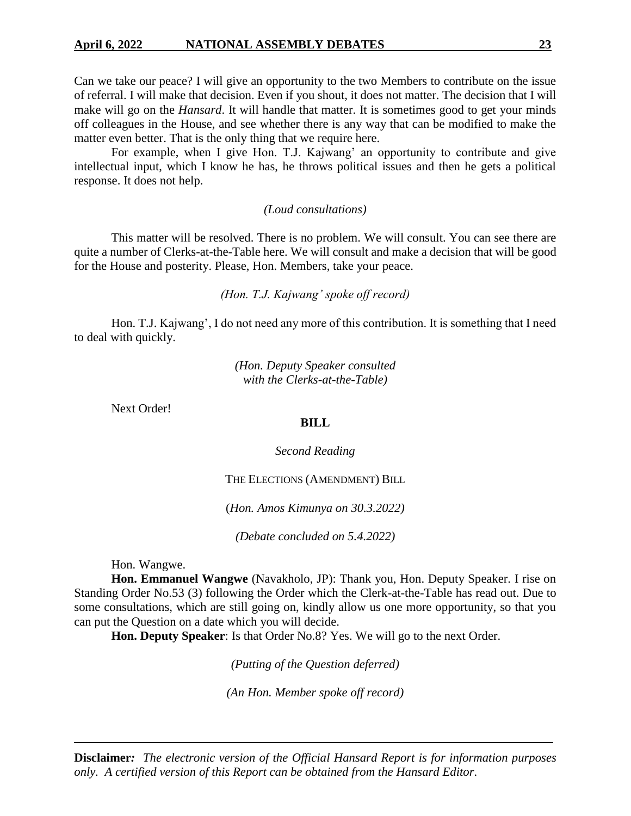## **April 6, 2022 NATIONAL ASSEMBLY DEBATES 23**

Can we take our peace? I will give an opportunity to the two Members to contribute on the issue of referral. I will make that decision. Even if you shout, it does not matter. The decision that I will make will go on the *Hansard*. It will handle that matter. It is sometimes good to get your minds off colleagues in the House, and see whether there is any way that can be modified to make the matter even better. That is the only thing that we require here.

For example, when I give Hon. T.J. Kajwang' an opportunity to contribute and give intellectual input, which I know he has, he throws political issues and then he gets a political response. It does not help.

## *(Loud consultations)*

This matter will be resolved. There is no problem. We will consult. You can see there are quite a number of Clerks-at-the-Table here. We will consult and make a decision that will be good for the House and posterity. Please, Hon. Members, take your peace.

## *(Hon. T.J. Kajwang' spoke off record)*

Hon. T.J. Kajwang', I do not need any more of this contribution. It is something that I need to deal with quickly.

> *(Hon. Deputy Speaker consulted with the Clerks-at-the-Table)*

Next Order!

## **BILL**

*Second Reading*

THE ELECTIONS (AMENDMENT) BILL

(*Hon. Amos Kimunya on 30.3.2022)*

*(Debate concluded on 5.4.2022)* 

Hon. Wangwe.

**Hon. Emmanuel Wangwe** (Navakholo, JP): Thank you, Hon. Deputy Speaker. I rise on Standing Order No.53 (3) following the Order which the Clerk-at-the-Table has read out. Due to some consultations, which are still going on, kindly allow us one more opportunity, so that you can put the Question on a date which you will decide.

**Hon. Deputy Speaker**: Is that Order No.8? Yes. We will go to the next Order.

*(Putting of the Question deferred)*

*(An Hon. Member spoke off record)*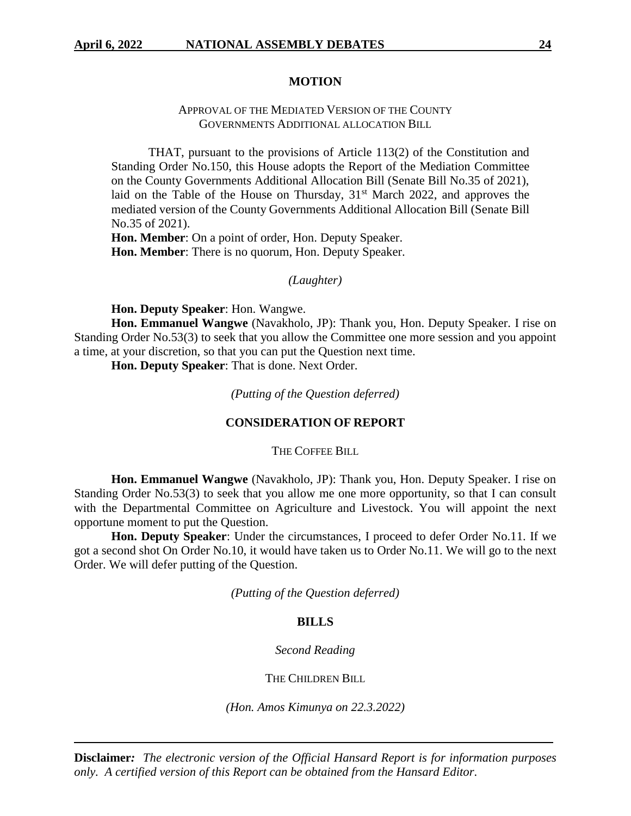## **MOTION**

## APPROVAL OF THE MEDIATED VERSION OF THE COUNTY GOVERNMENTS ADDITIONAL ALLOCATION BILL

THAT, pursuant to the provisions of Article 113(2) of the Constitution and Standing Order No.150, this House adopts the Report of the Mediation Committee on the County Governments Additional Allocation Bill (Senate Bill No.35 of 2021), laid on the Table of the House on Thursday,  $31<sup>st</sup>$  March 2022, and approves the mediated version of the County Governments Additional Allocation Bill (Senate Bill No.35 of 2021).

**Hon. Member**: On a point of order, Hon. Deputy Speaker. **Hon. Member**: There is no quorum, Hon. Deputy Speaker.

#### *(Laughter)*

**Hon. Deputy Speaker**: Hon. Wangwe.

**Hon. Emmanuel Wangwe** (Navakholo, JP): Thank you, Hon. Deputy Speaker. I rise on Standing Order No.53(3) to seek that you allow the Committee one more session and you appoint a time, at your discretion, so that you can put the Question next time.

**Hon. Deputy Speaker**: That is done. Next Order.

*(Putting of the Question deferred)*

## **CONSIDERATION OF REPORT**

THE COFFEE BILL

**Hon. Emmanuel Wangwe** (Navakholo, JP): Thank you, Hon. Deputy Speaker. I rise on Standing Order No.53(3) to seek that you allow me one more opportunity, so that I can consult with the Departmental Committee on Agriculture and Livestock. You will appoint the next opportune moment to put the Question.

**Hon. Deputy Speaker**: Under the circumstances, I proceed to defer Order No.11. If we got a second shot On Order No.10, it would have taken us to Order No.11. We will go to the next Order. We will defer putting of the Question.

*(Putting of the Question deferred)*

#### **BILLS**

*Second Reading*

THE CHILDREN BILL

*(Hon. Amos Kimunya on 22.3.2022)*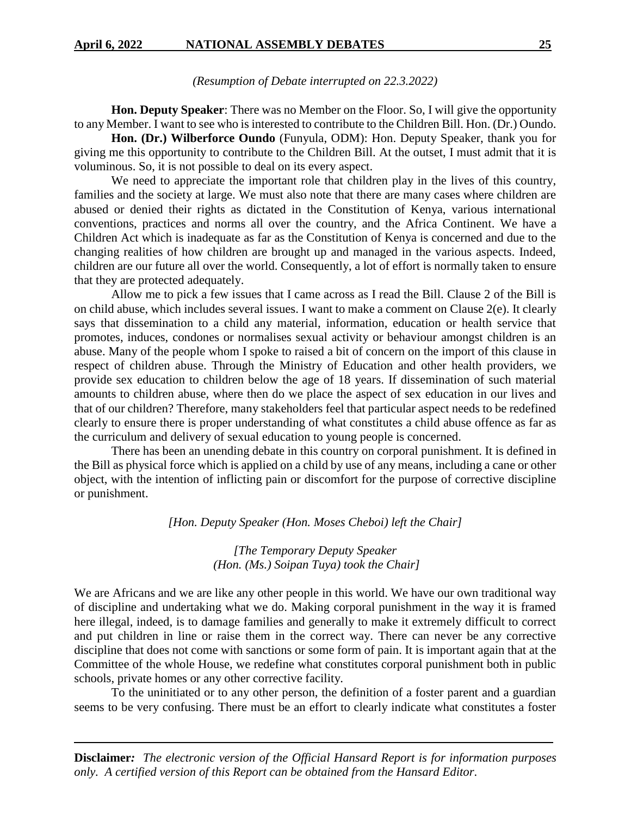*(Resumption of Debate interrupted on 22.3.2022)*

**Hon. Deputy Speaker**: There was no Member on the Floor. So, I will give the opportunity to any Member. I want to see who is interested to contribute to the Children Bill. Hon. (Dr.) Oundo.

**Hon. (Dr.) Wilberforce Oundo** (Funyula, ODM): Hon. Deputy Speaker, thank you for giving me this opportunity to contribute to the Children Bill. At the outset, I must admit that it is voluminous. So, it is not possible to deal on its every aspect.

We need to appreciate the important role that children play in the lives of this country, families and the society at large. We must also note that there are many cases where children are abused or denied their rights as dictated in the Constitution of Kenya, various international conventions, practices and norms all over the country, and the Africa Continent. We have a Children Act which is inadequate as far as the Constitution of Kenya is concerned and due to the changing realities of how children are brought up and managed in the various aspects. Indeed, children are our future all over the world. Consequently, a lot of effort is normally taken to ensure that they are protected adequately.

Allow me to pick a few issues that I came across as I read the Bill. Clause 2 of the Bill is on child abuse, which includes several issues. I want to make a comment on Clause 2(e). It clearly says that dissemination to a child any material, information, education or health service that promotes, induces, condones or normalises sexual activity or behaviour amongst children is an abuse. Many of the people whom I spoke to raised a bit of concern on the import of this clause in respect of children abuse. Through the Ministry of Education and other health providers, we provide sex education to children below the age of 18 years. If dissemination of such material amounts to children abuse, where then do we place the aspect of sex education in our lives and that of our children? Therefore, many stakeholders feel that particular aspect needs to be redefined clearly to ensure there is proper understanding of what constitutes a child abuse offence as far as the curriculum and delivery of sexual education to young people is concerned.

There has been an unending debate in this country on corporal punishment. It is defined in the Bill as physical force which is applied on a child by use of any means, including a cane or other object, with the intention of inflicting pain or discomfort for the purpose of corrective discipline or punishment.

*[Hon. Deputy Speaker (Hon. Moses Cheboi) left the Chair]*

## *[The Temporary Deputy Speaker (Hon. (Ms.) Soipan Tuya) took the Chair]*

We are Africans and we are like any other people in this world. We have our own traditional way of discipline and undertaking what we do. Making corporal punishment in the way it is framed here illegal, indeed, is to damage families and generally to make it extremely difficult to correct and put children in line or raise them in the correct way. There can never be any corrective discipline that does not come with sanctions or some form of pain. It is important again that at the Committee of the whole House, we redefine what constitutes corporal punishment both in public schools, private homes or any other corrective facility.

To the uninitiated or to any other person, the definition of a foster parent and a guardian seems to be very confusing. There must be an effort to clearly indicate what constitutes a foster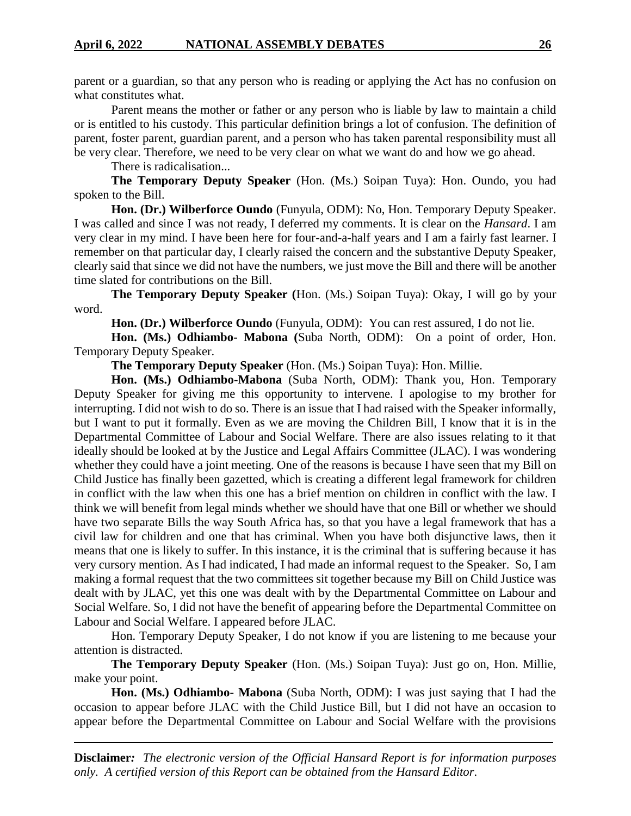parent or a guardian, so that any person who is reading or applying the Act has no confusion on what constitutes what.

Parent means the mother or father or any person who is liable by law to maintain a child or is entitled to his custody. This particular definition brings a lot of confusion. The definition of parent, foster parent, guardian parent, and a person who has taken parental responsibility must all be very clear. Therefore, we need to be very clear on what we want do and how we go ahead.

There is radicalisation...

**The Temporary Deputy Speaker** (Hon. (Ms.) Soipan Tuya): Hon. Oundo, you had spoken to the Bill.

**Hon. (Dr.) Wilberforce Oundo** (Funyula, ODM): No, Hon. Temporary Deputy Speaker. I was called and since I was not ready, I deferred my comments. It is clear on the *Hansard*. I am very clear in my mind. I have been here for four-and-a-half years and I am a fairly fast learner. I remember on that particular day, I clearly raised the concern and the substantive Deputy Speaker, clearly said that since we did not have the numbers, we just move the Bill and there will be another time slated for contributions on the Bill.

**The Temporary Deputy Speaker (**Hon. (Ms.) Soipan Tuya): Okay, I will go by your word.

**Hon. (Dr.) Wilberforce Oundo** (Funyula, ODM): You can rest assured, I do not lie.

**Hon. (Ms.) Odhiambo- Mabona (**Suba North, ODM): On a point of order, Hon. Temporary Deputy Speaker.

**The Temporary Deputy Speaker** (Hon. (Ms.) Soipan Tuya): Hon. Millie.

**Hon. (Ms.) Odhiambo-Mabona** (Suba North, ODM): Thank you, Hon. Temporary Deputy Speaker for giving me this opportunity to intervene. I apologise to my brother for interrupting. I did not wish to do so. There is an issue that I had raised with the Speaker informally, but I want to put it formally. Even as we are moving the Children Bill, I know that it is in the Departmental Committee of Labour and Social Welfare. There are also issues relating to it that ideally should be looked at by the Justice and Legal Affairs Committee (JLAC). I was wondering whether they could have a joint meeting. One of the reasons is because I have seen that my Bill on Child Justice has finally been gazetted, which is creating a different legal framework for children in conflict with the law when this one has a brief mention on children in conflict with the law. I think we will benefit from legal minds whether we should have that one Bill or whether we should have two separate Bills the way South Africa has, so that you have a legal framework that has a civil law for children and one that has criminal. When you have both disjunctive laws, then it means that one is likely to suffer. In this instance, it is the criminal that is suffering because it has very cursory mention. As I had indicated, I had made an informal request to the Speaker. So, I am making a formal request that the two committees sit together because my Bill on Child Justice was dealt with by JLAC, yet this one was dealt with by the Departmental Committee on Labour and Social Welfare. So, I did not have the benefit of appearing before the Departmental Committee on Labour and Social Welfare. I appeared before JLAC.

Hon. Temporary Deputy Speaker, I do not know if you are listening to me because your attention is distracted.

**The Temporary Deputy Speaker** (Hon. (Ms.) Soipan Tuya): Just go on, Hon. Millie, make your point.

**Hon. (Ms.) Odhiambo- Mabona** (Suba North, ODM): I was just saying that I had the occasion to appear before JLAC with the Child Justice Bill, but I did not have an occasion to appear before the Departmental Committee on Labour and Social Welfare with the provisions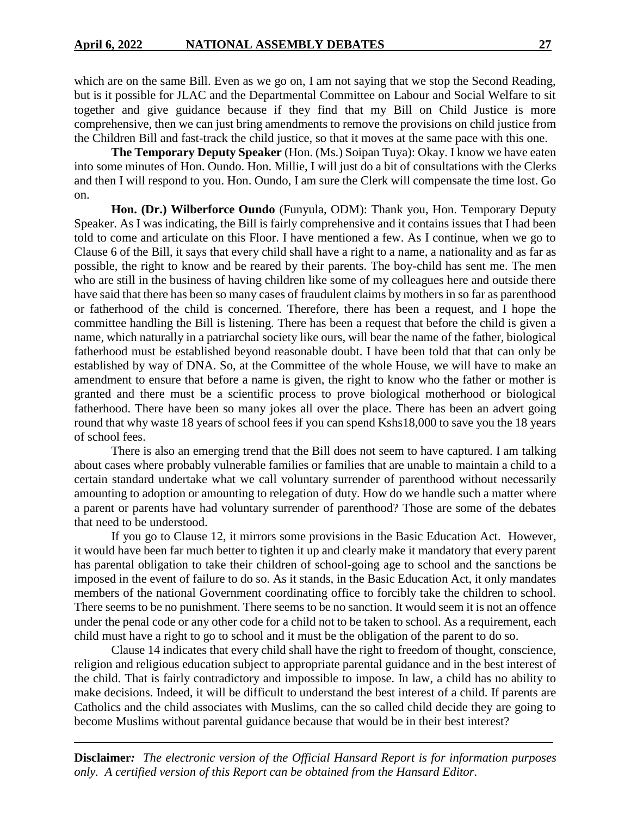which are on the same Bill. Even as we go on, I am not saying that we stop the Second Reading, but is it possible for JLAC and the Departmental Committee on Labour and Social Welfare to sit together and give guidance because if they find that my Bill on Child Justice is more comprehensive, then we can just bring amendments to remove the provisions on child justice from the Children Bill and fast-track the child justice, so that it moves at the same pace with this one.

**The Temporary Deputy Speaker** (Hon. (Ms.) Soipan Tuya): Okay. I know we have eaten into some minutes of Hon. Oundo. Hon. Millie, I will just do a bit of consultations with the Clerks and then I will respond to you. Hon. Oundo, I am sure the Clerk will compensate the time lost. Go on.

**Hon. (Dr.) Wilberforce Oundo** (Funyula, ODM): Thank you, Hon. Temporary Deputy Speaker. As I was indicating, the Bill is fairly comprehensive and it contains issues that I had been told to come and articulate on this Floor. I have mentioned a few. As I continue, when we go to Clause 6 of the Bill, it says that every child shall have a right to a name, a nationality and as far as possible, the right to know and be reared by their parents. The boy-child has sent me. The men who are still in the business of having children like some of my colleagues here and outside there have said that there has been so many cases of fraudulent claims by mothers in so far as parenthood or fatherhood of the child is concerned. Therefore, there has been a request, and I hope the committee handling the Bill is listening. There has been a request that before the child is given a name, which naturally in a patriarchal society like ours, will bear the name of the father, biological fatherhood must be established beyond reasonable doubt. I have been told that that can only be established by way of DNA. So, at the Committee of the whole House, we will have to make an amendment to ensure that before a name is given, the right to know who the father or mother is granted and there must be a scientific process to prove biological motherhood or biological fatherhood. There have been so many jokes all over the place. There has been an advert going round that why waste 18 years of school fees if you can spend Kshs18,000 to save you the 18 years of school fees.

There is also an emerging trend that the Bill does not seem to have captured. I am talking about cases where probably vulnerable families or families that are unable to maintain a child to a certain standard undertake what we call voluntary surrender of parenthood without necessarily amounting to adoption or amounting to relegation of duty. How do we handle such a matter where a parent or parents have had voluntary surrender of parenthood? Those are some of the debates that need to be understood.

If you go to Clause 12, it mirrors some provisions in the Basic Education Act. However, it would have been far much better to tighten it up and clearly make it mandatory that every parent has parental obligation to take their children of school-going age to school and the sanctions be imposed in the event of failure to do so. As it stands, in the Basic Education Act, it only mandates members of the national Government coordinating office to forcibly take the children to school. There seems to be no punishment. There seems to be no sanction. It would seem it is not an offence under the penal code or any other code for a child not to be taken to school. As a requirement, each child must have a right to go to school and it must be the obligation of the parent to do so.

Clause 14 indicates that every child shall have the right to freedom of thought, conscience, religion and religious education subject to appropriate parental guidance and in the best interest of the child. That is fairly contradictory and impossible to impose. In law, a child has no ability to make decisions. Indeed, it will be difficult to understand the best interest of a child. If parents are Catholics and the child associates with Muslims, can the so called child decide they are going to become Muslims without parental guidance because that would be in their best interest?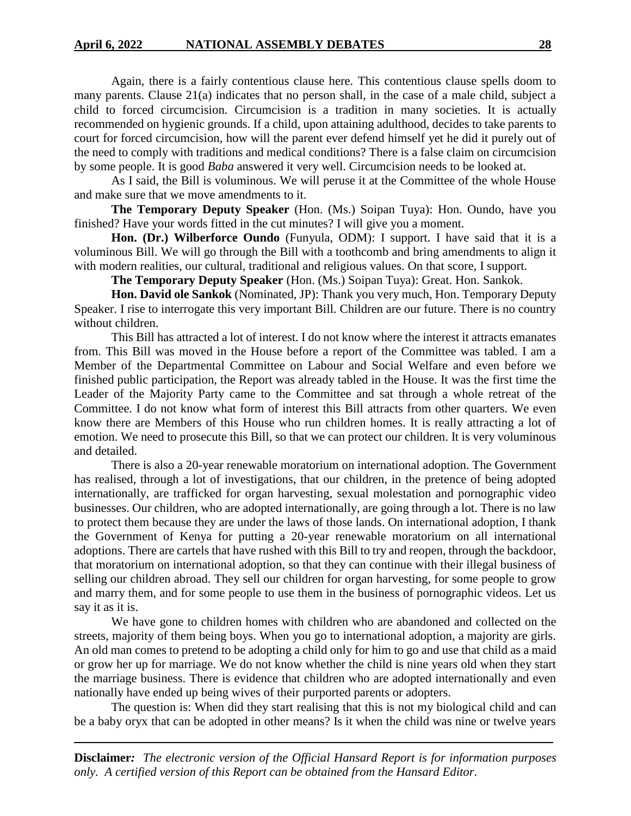Again, there is a fairly contentious clause here. This contentious clause spells doom to many parents. Clause 21(a) indicates that no person shall, in the case of a male child, subject a child to forced circumcision. Circumcision is a tradition in many societies. It is actually recommended on hygienic grounds. If a child, upon attaining adulthood, decides to take parents to court for forced circumcision, how will the parent ever defend himself yet he did it purely out of the need to comply with traditions and medical conditions? There is a false claim on circumcision by some people. It is good *Baba* answered it very well. Circumcision needs to be looked at.

As I said, the Bill is voluminous. We will peruse it at the Committee of the whole House and make sure that we move amendments to it.

**The Temporary Deputy Speaker** (Hon. (Ms.) Soipan Tuya): Hon. Oundo, have you finished? Have your words fitted in the cut minutes? I will give you a moment.

**Hon. (Dr.) Wilberforce Oundo** (Funyula, ODM): I support. I have said that it is a voluminous Bill. We will go through the Bill with a toothcomb and bring amendments to align it with modern realities, our cultural, traditional and religious values. On that score, I support.

**The Temporary Deputy Speaker** (Hon. (Ms.) Soipan Tuya): Great. Hon. Sankok.

**Hon. David ole Sankok** (Nominated, JP): Thank you very much, Hon. Temporary Deputy Speaker. I rise to interrogate this very important Bill. Children are our future. There is no country without children.

This Bill has attracted a lot of interest. I do not know where the interest it attracts emanates from. This Bill was moved in the House before a report of the Committee was tabled. I am a Member of the Departmental Committee on Labour and Social Welfare and even before we finished public participation, the Report was already tabled in the House. It was the first time the Leader of the Majority Party came to the Committee and sat through a whole retreat of the Committee. I do not know what form of interest this Bill attracts from other quarters. We even know there are Members of this House who run children homes. It is really attracting a lot of emotion. We need to prosecute this Bill, so that we can protect our children. It is very voluminous and detailed.

There is also a 20-year renewable moratorium on international adoption. The Government has realised, through a lot of investigations, that our children, in the pretence of being adopted internationally, are trafficked for organ harvesting, sexual molestation and pornographic video businesses. Our children, who are adopted internationally, are going through a lot. There is no law to protect them because they are under the laws of those lands. On international adoption, I thank the Government of Kenya for putting a 20-year renewable moratorium on all international adoptions. There are cartels that have rushed with this Bill to try and reopen, through the backdoor, that moratorium on international adoption, so that they can continue with their illegal business of selling our children abroad. They sell our children for organ harvesting, for some people to grow and marry them, and for some people to use them in the business of pornographic videos. Let us say it as it is.

We have gone to children homes with children who are abandoned and collected on the streets, majority of them being boys. When you go to international adoption, a majority are girls. An old man comes to pretend to be adopting a child only for him to go and use that child as a maid or grow her up for marriage. We do not know whether the child is nine years old when they start the marriage business. There is evidence that children who are adopted internationally and even nationally have ended up being wives of their purported parents or adopters.

The question is: When did they start realising that this is not my biological child and can be a baby oryx that can be adopted in other means? Is it when the child was nine or twelve years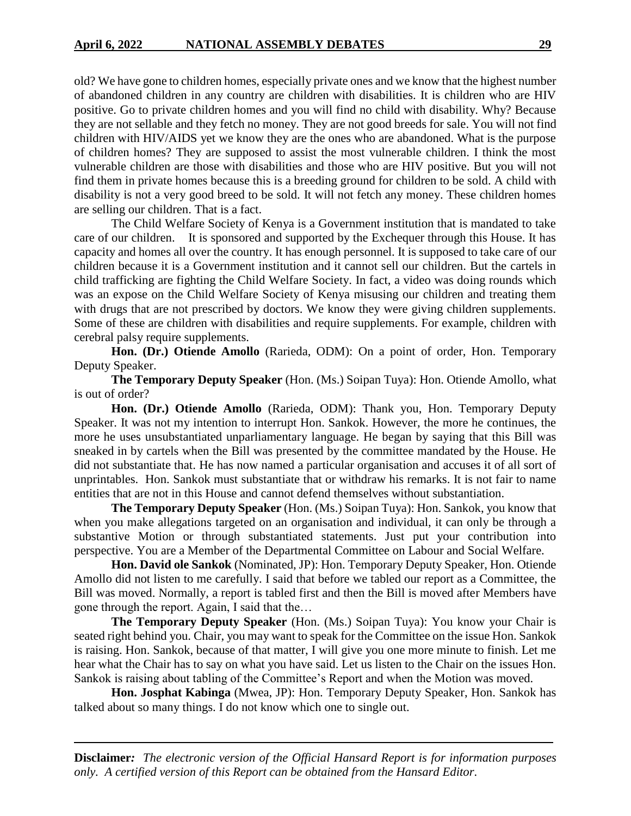old? We have gone to children homes, especially private ones and we know that the highest number of abandoned children in any country are children with disabilities. It is children who are HIV positive. Go to private children homes and you will find no child with disability. Why? Because they are not sellable and they fetch no money. They are not good breeds for sale. You will not find children with HIV/AIDS yet we know they are the ones who are abandoned. What is the purpose of children homes? They are supposed to assist the most vulnerable children. I think the most vulnerable children are those with disabilities and those who are HIV positive. But you will not find them in private homes because this is a breeding ground for children to be sold. A child with disability is not a very good breed to be sold. It will not fetch any money. These children homes are selling our children. That is a fact.

The Child Welfare Society of Kenya is a Government institution that is mandated to take care of our children. It is sponsored and supported by the Exchequer through this House. It has capacity and homes all over the country. It has enough personnel. It is supposed to take care of our children because it is a Government institution and it cannot sell our children. But the cartels in child trafficking are fighting the Child Welfare Society. In fact, a video was doing rounds which was an expose on the Child Welfare Society of Kenya misusing our children and treating them with drugs that are not prescribed by doctors. We know they were giving children supplements. Some of these are children with disabilities and require supplements. For example, children with cerebral palsy require supplements.

**Hon. (Dr.) Otiende Amollo** (Rarieda, ODM): On a point of order, Hon. Temporary Deputy Speaker.

**The Temporary Deputy Speaker** (Hon. (Ms.) Soipan Tuya): Hon. Otiende Amollo, what is out of order?

**Hon. (Dr.) Otiende Amollo** (Rarieda, ODM): Thank you, Hon. Temporary Deputy Speaker. It was not my intention to interrupt Hon. Sankok. However, the more he continues, the more he uses unsubstantiated unparliamentary language. He began by saying that this Bill was sneaked in by cartels when the Bill was presented by the committee mandated by the House. He did not substantiate that. He has now named a particular organisation and accuses it of all sort of unprintables. Hon. Sankok must substantiate that or withdraw his remarks. It is not fair to name entities that are not in this House and cannot defend themselves without substantiation.

**The Temporary Deputy Speaker** (Hon. (Ms.) Soipan Tuya): Hon. Sankok, you know that when you make allegations targeted on an organisation and individual, it can only be through a substantive Motion or through substantiated statements. Just put your contribution into perspective. You are a Member of the Departmental Committee on Labour and Social Welfare.

**Hon. David ole Sankok** (Nominated, JP): Hon. Temporary Deputy Speaker, Hon. Otiende Amollo did not listen to me carefully. I said that before we tabled our report as a Committee, the Bill was moved. Normally, a report is tabled first and then the Bill is moved after Members have gone through the report. Again, I said that the…

**The Temporary Deputy Speaker** (Hon. (Ms.) Soipan Tuya): You know your Chair is seated right behind you. Chair, you may want to speak for the Committee on the issue Hon. Sankok is raising. Hon. Sankok, because of that matter, I will give you one more minute to finish. Let me hear what the Chair has to say on what you have said. Let us listen to the Chair on the issues Hon. Sankok is raising about tabling of the Committee's Report and when the Motion was moved.

**Hon. Josphat Kabinga** (Mwea, JP): Hon. Temporary Deputy Speaker, Hon. Sankok has talked about so many things. I do not know which one to single out.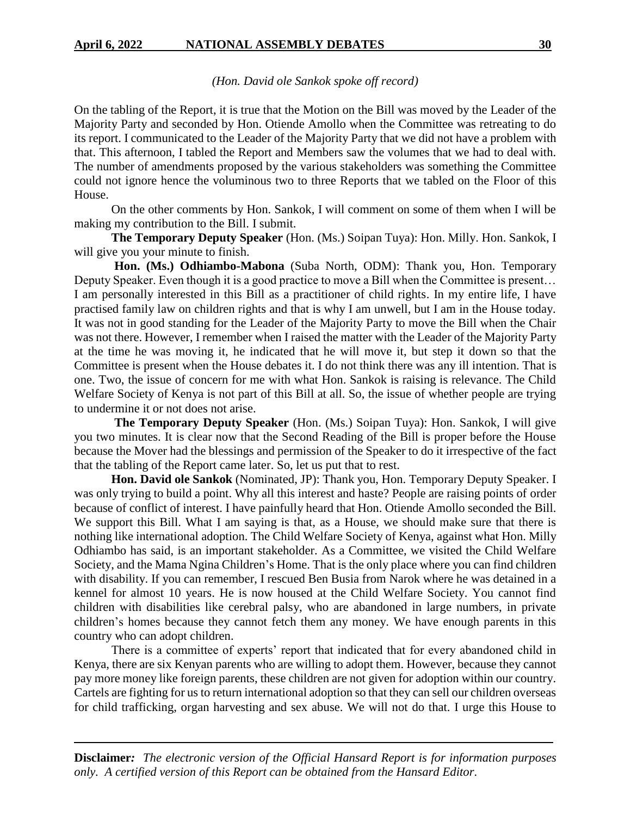## *(Hon. David ole Sankok spoke off record)*

On the tabling of the Report, it is true that the Motion on the Bill was moved by the Leader of the Majority Party and seconded by Hon. Otiende Amollo when the Committee was retreating to do its report. I communicated to the Leader of the Majority Party that we did not have a problem with that. This afternoon, I tabled the Report and Members saw the volumes that we had to deal with. The number of amendments proposed by the various stakeholders was something the Committee could not ignore hence the voluminous two to three Reports that we tabled on the Floor of this House.

On the other comments by Hon. Sankok, I will comment on some of them when I will be making my contribution to the Bill. I submit.

**The Temporary Deputy Speaker** (Hon. (Ms.) Soipan Tuya): Hon. Milly. Hon. Sankok, I will give you your minute to finish.

**Hon. (Ms.) Odhiambo-Mabona** (Suba North, ODM): Thank you, Hon. Temporary Deputy Speaker. Even though it is a good practice to move a Bill when the Committee is present… I am personally interested in this Bill as a practitioner of child rights. In my entire life, I have practised family law on children rights and that is why I am unwell, but I am in the House today. It was not in good standing for the Leader of the Majority Party to move the Bill when the Chair was not there. However, I remember when I raised the matter with the Leader of the Majority Party at the time he was moving it, he indicated that he will move it, but step it down so that the Committee is present when the House debates it. I do not think there was any ill intention. That is one. Two, the issue of concern for me with what Hon. Sankok is raising is relevance. The Child Welfare Society of Kenya is not part of this Bill at all. So, the issue of whether people are trying to undermine it or not does not arise.

**The Temporary Deputy Speaker** (Hon. (Ms.) Soipan Tuya): Hon. Sankok, I will give you two minutes. It is clear now that the Second Reading of the Bill is proper before the House because the Mover had the blessings and permission of the Speaker to do it irrespective of the fact that the tabling of the Report came later. So, let us put that to rest.

**Hon. David ole Sankok** (Nominated, JP): Thank you, Hon. Temporary Deputy Speaker. I was only trying to build a point. Why all this interest and haste? People are raising points of order because of conflict of interest. I have painfully heard that Hon. Otiende Amollo seconded the Bill. We support this Bill. What I am saying is that, as a House, we should make sure that there is nothing like international adoption. The Child Welfare Society of Kenya, against what Hon. Milly Odhiambo has said, is an important stakeholder. As a Committee, we visited the Child Welfare Society, and the Mama Ngina Children's Home. That is the only place where you can find children with disability. If you can remember, I rescued Ben Busia from Narok where he was detained in a kennel for almost 10 years. He is now housed at the Child Welfare Society. You cannot find children with disabilities like cerebral palsy, who are abandoned in large numbers, in private children's homes because they cannot fetch them any money. We have enough parents in this country who can adopt children.

There is a committee of experts' report that indicated that for every abandoned child in Kenya, there are six Kenyan parents who are willing to adopt them. However, because they cannot pay more money like foreign parents, these children are not given for adoption within our country. Cartels are fighting for us to return international adoption so that they can sell our children overseas for child trafficking, organ harvesting and sex abuse. We will not do that. I urge this House to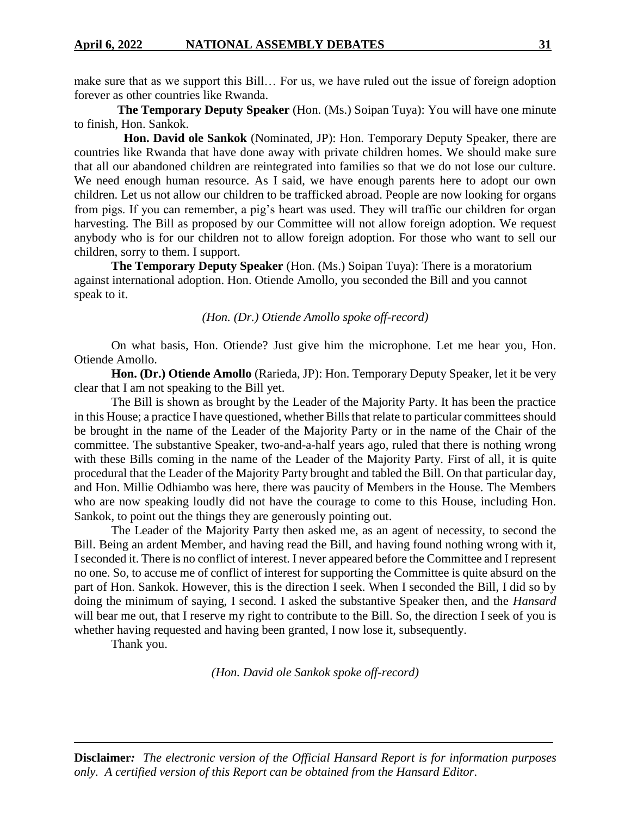make sure that as we support this Bill… For us, we have ruled out the issue of foreign adoption forever as other countries like Rwanda.

 **The Temporary Deputy Speaker** (Hon. (Ms.) Soipan Tuya): You will have one minute to finish, Hon. Sankok.

 **Hon. David ole Sankok** (Nominated, JP): Hon. Temporary Deputy Speaker, there are countries like Rwanda that have done away with private children homes. We should make sure that all our abandoned children are reintegrated into families so that we do not lose our culture. We need enough human resource. As I said, we have enough parents here to adopt our own children. Let us not allow our children to be trafficked abroad. People are now looking for organs from pigs. If you can remember, a pig's heart was used. They will traffic our children for organ harvesting. The Bill as proposed by our Committee will not allow foreign adoption. We request anybody who is for our children not to allow foreign adoption. For those who want to sell our children, sorry to them. I support.

**The Temporary Deputy Speaker** (Hon. (Ms.) Soipan Tuya): There is a moratorium against international adoption. Hon. Otiende Amollo, you seconded the Bill and you cannot speak to it.

## *(Hon. (Dr.) Otiende Amollo spoke off-record)*

On what basis, Hon. Otiende? Just give him the microphone. Let me hear you, Hon. Otiende Amollo.

**Hon. (Dr.) Otiende Amollo** (Rarieda, JP): Hon. Temporary Deputy Speaker, let it be very clear that I am not speaking to the Bill yet.

The Bill is shown as brought by the Leader of the Majority Party. It has been the practice in this House; a practice I have questioned, whether Bills that relate to particular committees should be brought in the name of the Leader of the Majority Party or in the name of the Chair of the committee. The substantive Speaker, two-and-a-half years ago, ruled that there is nothing wrong with these Bills coming in the name of the Leader of the Majority Party. First of all, it is quite procedural that the Leader of the Majority Party brought and tabled the Bill. On that particular day, and Hon. Millie Odhiambo was here, there was paucity of Members in the House. The Members who are now speaking loudly did not have the courage to come to this House, including Hon. Sankok, to point out the things they are generously pointing out.

The Leader of the Majority Party then asked me, as an agent of necessity, to second the Bill. Being an ardent Member, and having read the Bill, and having found nothing wrong with it, I seconded it. There is no conflict of interest. I never appeared before the Committee and I represent no one. So, to accuse me of conflict of interest for supporting the Committee is quite absurd on the part of Hon. Sankok. However, this is the direction I seek. When I seconded the Bill, I did so by doing the minimum of saying, I second. I asked the substantive Speaker then, and the *Hansard* will bear me out, that I reserve my right to contribute to the Bill. So, the direction I seek of you is whether having requested and having been granted, I now lose it, subsequently.

Thank you.

*(Hon. David ole Sankok spoke off-record)*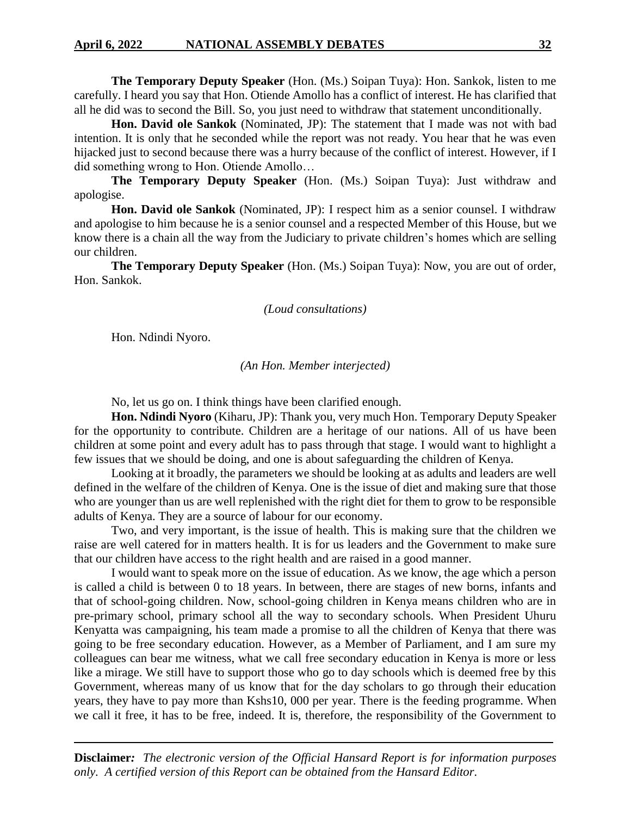**The Temporary Deputy Speaker** (Hon. (Ms.) Soipan Tuya): Hon. Sankok, listen to me carefully. I heard you say that Hon. Otiende Amollo has a conflict of interest. He has clarified that all he did was to second the Bill. So, you just need to withdraw that statement unconditionally.

**Hon. David ole Sankok** (Nominated, JP): The statement that I made was not with bad intention. It is only that he seconded while the report was not ready. You hear that he was even hijacked just to second because there was a hurry because of the conflict of interest. However, if I did something wrong to Hon. Otiende Amollo…

**The Temporary Deputy Speaker** (Hon. (Ms.) Soipan Tuya): Just withdraw and apologise.

**Hon. David ole Sankok** (Nominated, JP): I respect him as a senior counsel. I withdraw and apologise to him because he is a senior counsel and a respected Member of this House, but we know there is a chain all the way from the Judiciary to private children's homes which are selling our children.

**The Temporary Deputy Speaker** (Hon. (Ms.) Soipan Tuya): Now, you are out of order, Hon. Sankok.

### *(Loud consultations)*

Hon. Ndindi Nyoro.

*(An Hon. Member interjected)*

No, let us go on. I think things have been clarified enough.

**Hon. Ndindi Nyoro** (Kiharu, JP): Thank you, very much Hon. Temporary Deputy Speaker for the opportunity to contribute. Children are a heritage of our nations. All of us have been children at some point and every adult has to pass through that stage. I would want to highlight a few issues that we should be doing, and one is about safeguarding the children of Kenya.

Looking at it broadly, the parameters we should be looking at as adults and leaders are well defined in the welfare of the children of Kenya. One is the issue of diet and making sure that those who are younger than us are well replenished with the right diet for them to grow to be responsible adults of Kenya. They are a source of labour for our economy.

Two, and very important, is the issue of health. This is making sure that the children we raise are well catered for in matters health. It is for us leaders and the Government to make sure that our children have access to the right health and are raised in a good manner.

I would want to speak more on the issue of education. As we know, the age which a person is called a child is between 0 to 18 years. In between, there are stages of new borns, infants and that of school-going children. Now, school-going children in Kenya means children who are in pre-primary school, primary school all the way to secondary schools. When President Uhuru Kenyatta was campaigning, his team made a promise to all the children of Kenya that there was going to be free secondary education. However, as a Member of Parliament, and I am sure my colleagues can bear me witness, what we call free secondary education in Kenya is more or less like a mirage. We still have to support those who go to day schools which is deemed free by this Government, whereas many of us know that for the day scholars to go through their education years, they have to pay more than Kshs10, 000 per year. There is the feeding programme. When we call it free, it has to be free, indeed. It is, therefore, the responsibility of the Government to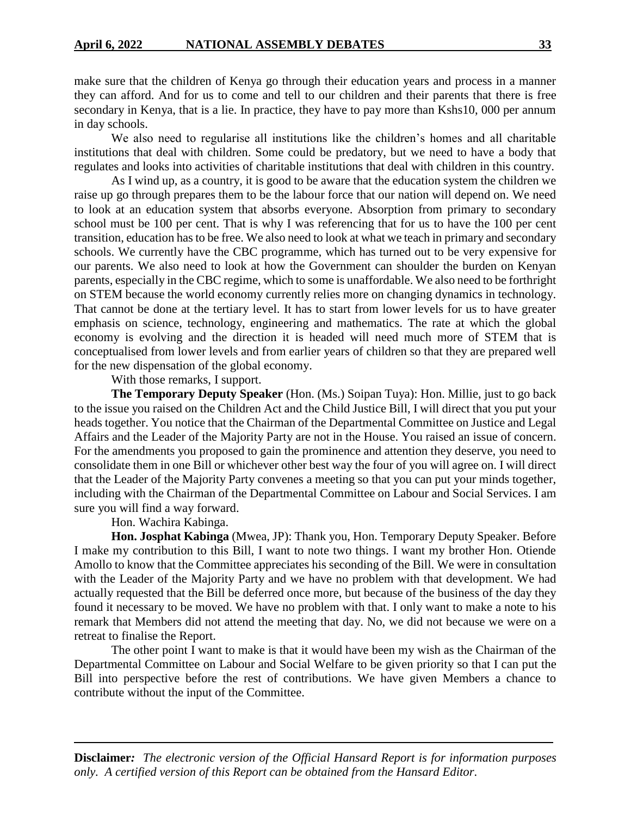make sure that the children of Kenya go through their education years and process in a manner they can afford. And for us to come and tell to our children and their parents that there is free secondary in Kenya, that is a lie. In practice, they have to pay more than Kshs10, 000 per annum in day schools.

We also need to regularise all institutions like the children's homes and all charitable institutions that deal with children. Some could be predatory, but we need to have a body that regulates and looks into activities of charitable institutions that deal with children in this country.

As I wind up, as a country, it is good to be aware that the education system the children we raise up go through prepares them to be the labour force that our nation will depend on. We need to look at an education system that absorbs everyone. Absorption from primary to secondary school must be 100 per cent. That is why I was referencing that for us to have the 100 per cent transition, education has to be free. We also need to look at what we teach in primary and secondary schools. We currently have the CBC programme, which has turned out to be very expensive for our parents. We also need to look at how the Government can shoulder the burden on Kenyan parents, especially in the CBC regime, which to some is unaffordable. We also need to be forthright on STEM because the world economy currently relies more on changing dynamics in technology. That cannot be done at the tertiary level. It has to start from lower levels for us to have greater emphasis on science, technology, engineering and mathematics. The rate at which the global economy is evolving and the direction it is headed will need much more of STEM that is conceptualised from lower levels and from earlier years of children so that they are prepared well for the new dispensation of the global economy.

## With those remarks, I support.

**The Temporary Deputy Speaker** (Hon. (Ms.) Soipan Tuya): Hon. Millie, just to go back to the issue you raised on the Children Act and the Child Justice Bill, I will direct that you put your heads together. You notice that the Chairman of the Departmental Committee on Justice and Legal Affairs and the Leader of the Majority Party are not in the House. You raised an issue of concern. For the amendments you proposed to gain the prominence and attention they deserve, you need to consolidate them in one Bill or whichever other best way the four of you will agree on. I will direct that the Leader of the Majority Party convenes a meeting so that you can put your minds together, including with the Chairman of the Departmental Committee on Labour and Social Services. I am sure you will find a way forward.

## Hon. Wachira Kabinga.

**Hon. Josphat Kabinga** (Mwea, JP): Thank you, Hon. Temporary Deputy Speaker. Before I make my contribution to this Bill, I want to note two things. I want my brother Hon. Otiende Amollo to know that the Committee appreciates his seconding of the Bill. We were in consultation with the Leader of the Majority Party and we have no problem with that development. We had actually requested that the Bill be deferred once more, but because of the business of the day they found it necessary to be moved. We have no problem with that. I only want to make a note to his remark that Members did not attend the meeting that day. No, we did not because we were on a retreat to finalise the Report.

The other point I want to make is that it would have been my wish as the Chairman of the Departmental Committee on Labour and Social Welfare to be given priority so that I can put the Bill into perspective before the rest of contributions. We have given Members a chance to contribute without the input of the Committee.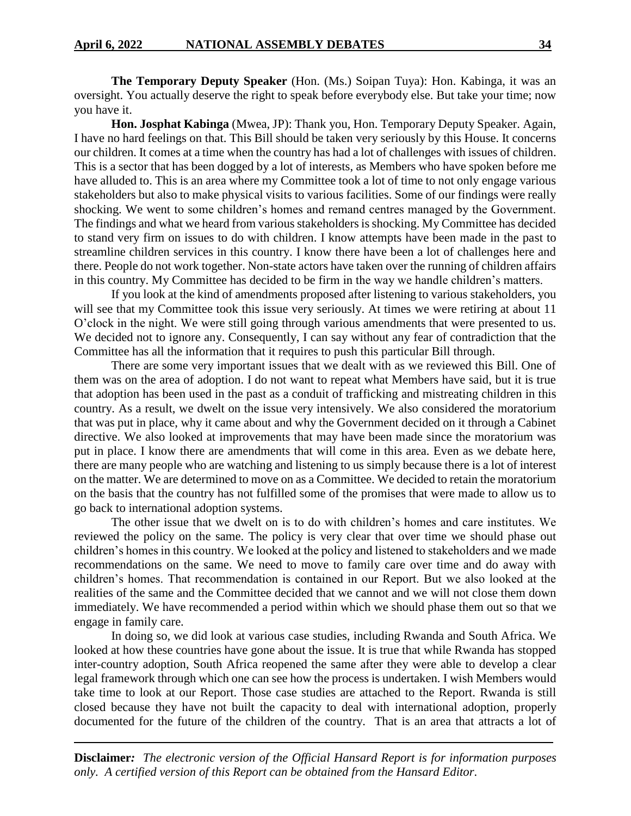**The Temporary Deputy Speaker** (Hon. (Ms.) Soipan Tuya): Hon. Kabinga, it was an oversight. You actually deserve the right to speak before everybody else. But take your time; now you have it.

**Hon. Josphat Kabinga** (Mwea, JP): Thank you, Hon. Temporary Deputy Speaker. Again, I have no hard feelings on that. This Bill should be taken very seriously by this House. It concerns our children. It comes at a time when the country has had a lot of challenges with issues of children. This is a sector that has been dogged by a lot of interests, as Members who have spoken before me have alluded to. This is an area where my Committee took a lot of time to not only engage various stakeholders but also to make physical visits to various facilities. Some of our findings were really shocking. We went to some children's homes and remand centres managed by the Government. The findings and what we heard from various stakeholders is shocking. My Committee has decided to stand very firm on issues to do with children. I know attempts have been made in the past to streamline children services in this country. I know there have been a lot of challenges here and there. People do not work together. Non-state actors have taken over the running of children affairs in this country. My Committee has decided to be firm in the way we handle children's matters.

If you look at the kind of amendments proposed after listening to various stakeholders, you will see that my Committee took this issue very seriously. At times we were retiring at about 11 O'clock in the night. We were still going through various amendments that were presented to us. We decided not to ignore any. Consequently, I can say without any fear of contradiction that the Committee has all the information that it requires to push this particular Bill through.

There are some very important issues that we dealt with as we reviewed this Bill. One of them was on the area of adoption. I do not want to repeat what Members have said, but it is true that adoption has been used in the past as a conduit of trafficking and mistreating children in this country. As a result, we dwelt on the issue very intensively. We also considered the moratorium that was put in place, why it came about and why the Government decided on it through a Cabinet directive. We also looked at improvements that may have been made since the moratorium was put in place. I know there are amendments that will come in this area. Even as we debate here, there are many people who are watching and listening to us simply because there is a lot of interest on the matter. We are determined to move on as a Committee. We decided to retain the moratorium on the basis that the country has not fulfilled some of the promises that were made to allow us to go back to international adoption systems.

The other issue that we dwelt on is to do with children's homes and care institutes. We reviewed the policy on the same. The policy is very clear that over time we should phase out children's homes in this country. We looked at the policy and listened to stakeholders and we made recommendations on the same. We need to move to family care over time and do away with children's homes. That recommendation is contained in our Report. But we also looked at the realities of the same and the Committee decided that we cannot and we will not close them down immediately. We have recommended a period within which we should phase them out so that we engage in family care.

In doing so, we did look at various case studies, including Rwanda and South Africa. We looked at how these countries have gone about the issue. It is true that while Rwanda has stopped inter-country adoption, South Africa reopened the same after they were able to develop a clear legal framework through which one can see how the process is undertaken. I wish Members would take time to look at our Report. Those case studies are attached to the Report. Rwanda is still closed because they have not built the capacity to deal with international adoption, properly documented for the future of the children of the country. That is an area that attracts a lot of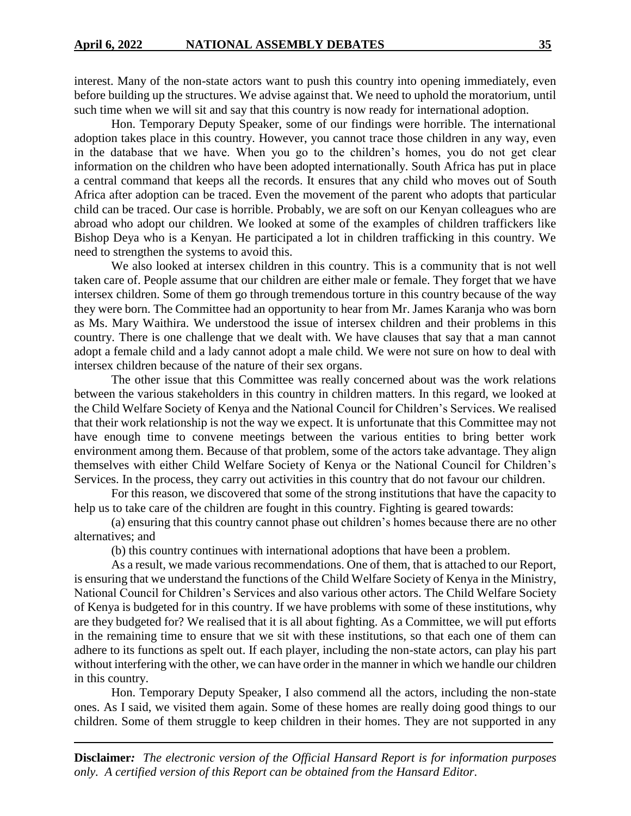interest. Many of the non-state actors want to push this country into opening immediately, even before building up the structures. We advise against that. We need to uphold the moratorium, until such time when we will sit and say that this country is now ready for international adoption.

Hon. Temporary Deputy Speaker, some of our findings were horrible. The international adoption takes place in this country. However, you cannot trace those children in any way, even in the database that we have. When you go to the children's homes, you do not get clear information on the children who have been adopted internationally. South Africa has put in place a central command that keeps all the records. It ensures that any child who moves out of South Africa after adoption can be traced. Even the movement of the parent who adopts that particular child can be traced. Our case is horrible. Probably, we are soft on our Kenyan colleagues who are abroad who adopt our children. We looked at some of the examples of children traffickers like Bishop Deya who is a Kenyan. He participated a lot in children trafficking in this country. We need to strengthen the systems to avoid this.

We also looked at intersex children in this country. This is a community that is not well taken care of. People assume that our children are either male or female. They forget that we have intersex children. Some of them go through tremendous torture in this country because of the way they were born. The Committee had an opportunity to hear from Mr. James Karanja who was born as Ms. Mary Waithira. We understood the issue of intersex children and their problems in this country. There is one challenge that we dealt with. We have clauses that say that a man cannot adopt a female child and a lady cannot adopt a male child. We were not sure on how to deal with intersex children because of the nature of their sex organs.

The other issue that this Committee was really concerned about was the work relations between the various stakeholders in this country in children matters. In this regard, we looked at the Child Welfare Society of Kenya and the National Council for Children's Services. We realised that their work relationship is not the way we expect. It is unfortunate that this Committee may not have enough time to convene meetings between the various entities to bring better work environment among them. Because of that problem, some of the actors take advantage. They align themselves with either Child Welfare Society of Kenya or the National Council for Children's Services. In the process, they carry out activities in this country that do not favour our children.

For this reason, we discovered that some of the strong institutions that have the capacity to help us to take care of the children are fought in this country. Fighting is geared towards:

(a) ensuring that this country cannot phase out children's homes because there are no other alternatives; and

(b) this country continues with international adoptions that have been a problem.

As a result, we made various recommendations. One of them, that is attached to our Report, is ensuring that we understand the functions of the Child Welfare Society of Kenya in the Ministry, National Council for Children's Services and also various other actors. The Child Welfare Society of Kenya is budgeted for in this country. If we have problems with some of these institutions, why are they budgeted for? We realised that it is all about fighting. As a Committee, we will put efforts in the remaining time to ensure that we sit with these institutions, so that each one of them can adhere to its functions as spelt out. If each player, including the non-state actors, can play his part without interfering with the other, we can have order in the manner in which we handle our children in this country.

Hon. Temporary Deputy Speaker, I also commend all the actors, including the non-state ones. As I said, we visited them again. Some of these homes are really doing good things to our children. Some of them struggle to keep children in their homes. They are not supported in any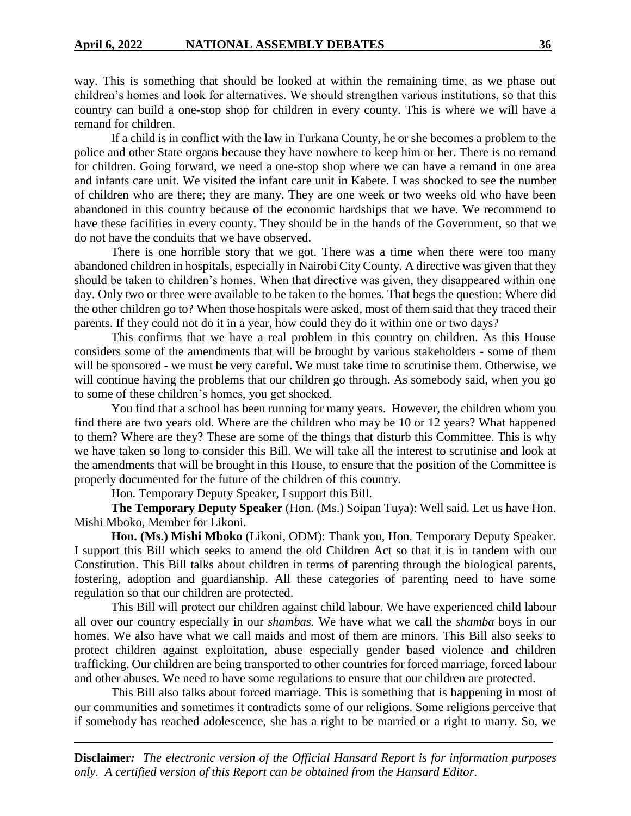way. This is something that should be looked at within the remaining time, as we phase out children's homes and look for alternatives. We should strengthen various institutions, so that this country can build a one-stop shop for children in every county. This is where we will have a remand for children.

If a child is in conflict with the law in Turkana County, he or she becomes a problem to the police and other State organs because they have nowhere to keep him or her. There is no remand for children. Going forward, we need a one-stop shop where we can have a remand in one area and infants care unit. We visited the infant care unit in Kabete. I was shocked to see the number of children who are there; they are many. They are one week or two weeks old who have been abandoned in this country because of the economic hardships that we have. We recommend to have these facilities in every county. They should be in the hands of the Government, so that we do not have the conduits that we have observed.

There is one horrible story that we got. There was a time when there were too many abandoned children in hospitals, especially in Nairobi City County. A directive was given that they should be taken to children's homes. When that directive was given, they disappeared within one day. Only two or three were available to be taken to the homes. That begs the question: Where did the other children go to? When those hospitals were asked, most of them said that they traced their parents. If they could not do it in a year, how could they do it within one or two days?

This confirms that we have a real problem in this country on children. As this House considers some of the amendments that will be brought by various stakeholders - some of them will be sponsored - we must be very careful. We must take time to scrutinise them. Otherwise, we will continue having the problems that our children go through. As somebody said, when you go to some of these children's homes, you get shocked.

You find that a school has been running for many years. However, the children whom you find there are two years old. Where are the children who may be 10 or 12 years? What happened to them? Where are they? These are some of the things that disturb this Committee. This is why we have taken so long to consider this Bill. We will take all the interest to scrutinise and look at the amendments that will be brought in this House, to ensure that the position of the Committee is properly documented for the future of the children of this country.

Hon. Temporary Deputy Speaker, I support this Bill.

**The Temporary Deputy Speaker** (Hon. (Ms.) Soipan Tuya): Well said. Let us have Hon. Mishi Mboko, Member for Likoni.

**Hon. (Ms.) Mishi Mboko** (Likoni, ODM): Thank you, Hon. Temporary Deputy Speaker. I support this Bill which seeks to amend the old Children Act so that it is in tandem with our Constitution. This Bill talks about children in terms of parenting through the biological parents, fostering, adoption and guardianship. All these categories of parenting need to have some regulation so that our children are protected.

This Bill will protect our children against child labour. We have experienced child labour all over our country especially in our *shambas.* We have what we call the *shamba* boys in our homes. We also have what we call maids and most of them are minors. This Bill also seeks to protect children against exploitation, abuse especially gender based violence and children trafficking. Our children are being transported to other countries for forced marriage, forced labour and other abuses. We need to have some regulations to ensure that our children are protected.

This Bill also talks about forced marriage. This is something that is happening in most of our communities and sometimes it contradicts some of our religions. Some religions perceive that if somebody has reached adolescence, she has a right to be married or a right to marry. So, we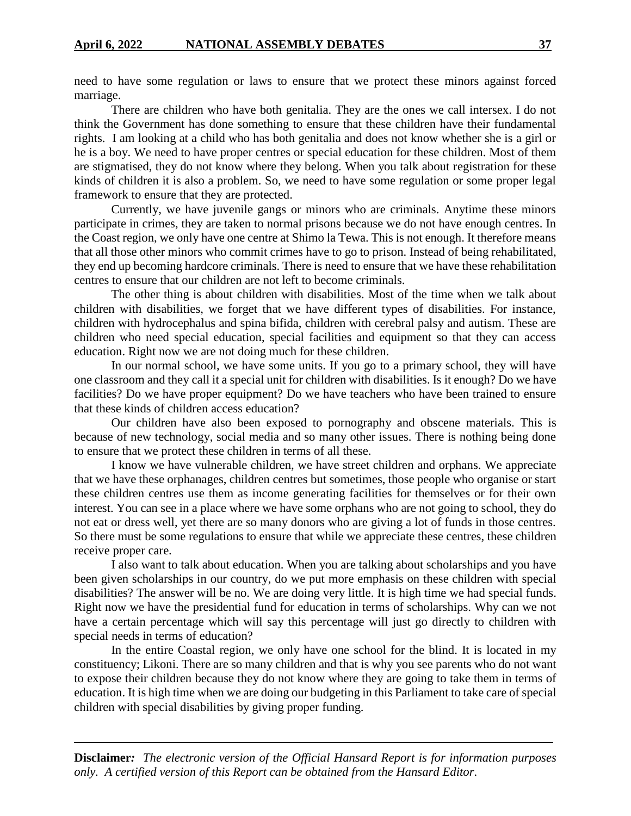need to have some regulation or laws to ensure that we protect these minors against forced marriage.

There are children who have both genitalia. They are the ones we call intersex. I do not think the Government has done something to ensure that these children have their fundamental rights. I am looking at a child who has both genitalia and does not know whether she is a girl or he is a boy. We need to have proper centres or special education for these children. Most of them are stigmatised, they do not know where they belong. When you talk about registration for these kinds of children it is also a problem. So, we need to have some regulation or some proper legal framework to ensure that they are protected.

Currently, we have juvenile gangs or minors who are criminals. Anytime these minors participate in crimes, they are taken to normal prisons because we do not have enough centres. In the Coast region, we only have one centre at Shimo la Tewa. This is not enough. It therefore means that all those other minors who commit crimes have to go to prison. Instead of being rehabilitated, they end up becoming hardcore criminals. There is need to ensure that we have these rehabilitation centres to ensure that our children are not left to become criminals.

The other thing is about children with disabilities. Most of the time when we talk about children with disabilities, we forget that we have different types of disabilities. For instance, children with hydrocephalus and spina bifida, children with cerebral palsy and autism. These are children who need special education, special facilities and equipment so that they can access education. Right now we are not doing much for these children.

In our normal school, we have some units. If you go to a primary school, they will have one classroom and they call it a special unit for children with disabilities. Is it enough? Do we have facilities? Do we have proper equipment? Do we have teachers who have been trained to ensure that these kinds of children access education?

Our children have also been exposed to pornography and obscene materials. This is because of new technology, social media and so many other issues. There is nothing being done to ensure that we protect these children in terms of all these.

I know we have vulnerable children, we have street children and orphans. We appreciate that we have these orphanages, children centres but sometimes, those people who organise or start these children centres use them as income generating facilities for themselves or for their own interest. You can see in a place where we have some orphans who are not going to school, they do not eat or dress well, yet there are so many donors who are giving a lot of funds in those centres. So there must be some regulations to ensure that while we appreciate these centres, these children receive proper care.

I also want to talk about education. When you are talking about scholarships and you have been given scholarships in our country, do we put more emphasis on these children with special disabilities? The answer will be no. We are doing very little. It is high time we had special funds. Right now we have the presidential fund for education in terms of scholarships. Why can we not have a certain percentage which will say this percentage will just go directly to children with special needs in terms of education?

In the entire Coastal region, we only have one school for the blind. It is located in my constituency; Likoni. There are so many children and that is why you see parents who do not want to expose their children because they do not know where they are going to take them in terms of education. It is high time when we are doing our budgeting in this Parliament to take care of special children with special disabilities by giving proper funding.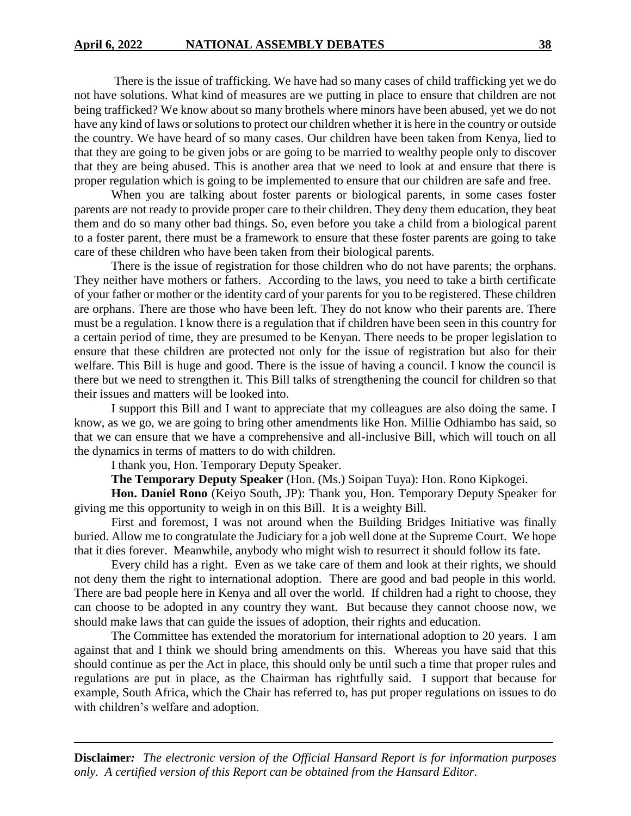There is the issue of trafficking. We have had so many cases of child trafficking yet we do not have solutions. What kind of measures are we putting in place to ensure that children are not being trafficked? We know about so many brothels where minors have been abused, yet we do not have any kind of laws or solutions to protect our children whether it is here in the country or outside the country. We have heard of so many cases. Our children have been taken from Kenya, lied to that they are going to be given jobs or are going to be married to wealthy people only to discover that they are being abused. This is another area that we need to look at and ensure that there is proper regulation which is going to be implemented to ensure that our children are safe and free.

When you are talking about foster parents or biological parents, in some cases foster parents are not ready to provide proper care to their children. They deny them education, they beat them and do so many other bad things. So, even before you take a child from a biological parent to a foster parent, there must be a framework to ensure that these foster parents are going to take care of these children who have been taken from their biological parents.

There is the issue of registration for those children who do not have parents; the orphans. They neither have mothers or fathers. According to the laws, you need to take a birth certificate of your father or mother or the identity card of your parents for you to be registered. These children are orphans. There are those who have been left. They do not know who their parents are. There must be a regulation. I know there is a regulation that if children have been seen in this country for a certain period of time, they are presumed to be Kenyan. There needs to be proper legislation to ensure that these children are protected not only for the issue of registration but also for their welfare. This Bill is huge and good. There is the issue of having a council. I know the council is there but we need to strengthen it. This Bill talks of strengthening the council for children so that their issues and matters will be looked into.

I support this Bill and I want to appreciate that my colleagues are also doing the same. I know, as we go, we are going to bring other amendments like Hon. Millie Odhiambo has said, so that we can ensure that we have a comprehensive and all-inclusive Bill, which will touch on all the dynamics in terms of matters to do with children.

I thank you, Hon. Temporary Deputy Speaker.

**The Temporary Deputy Speaker** (Hon. (Ms.) Soipan Tuya): Hon. Rono Kipkogei.

**Hon. Daniel Rono** (Keiyo South, JP): Thank you, Hon. Temporary Deputy Speaker for giving me this opportunity to weigh in on this Bill. It is a weighty Bill.

First and foremost, I was not around when the Building Bridges Initiative was finally buried. Allow me to congratulate the Judiciary for a job well done at the Supreme Court. We hope that it dies forever. Meanwhile, anybody who might wish to resurrect it should follow its fate.

Every child has a right. Even as we take care of them and look at their rights, we should not deny them the right to international adoption. There are good and bad people in this world. There are bad people here in Kenya and all over the world. If children had a right to choose, they can choose to be adopted in any country they want. But because they cannot choose now, we should make laws that can guide the issues of adoption, their rights and education.

The Committee has extended the moratorium for international adoption to 20 years. I am against that and I think we should bring amendments on this. Whereas you have said that this should continue as per the Act in place, this should only be until such a time that proper rules and regulations are put in place, as the Chairman has rightfully said. I support that because for example, South Africa, which the Chair has referred to, has put proper regulations on issues to do with children's welfare and adoption.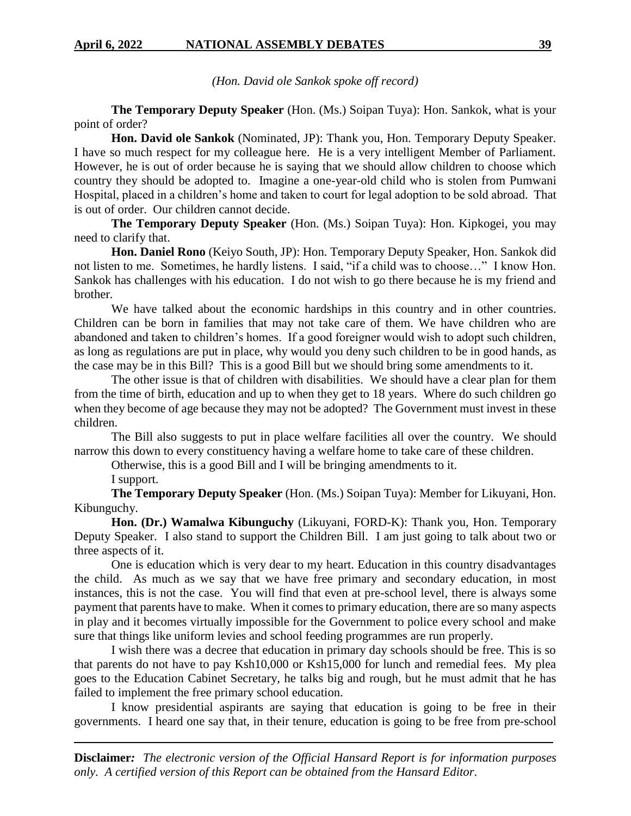*(Hon. David ole Sankok spoke off record)*

**The Temporary Deputy Speaker** (Hon. (Ms.) Soipan Tuya): Hon. Sankok, what is your point of order?

**Hon. David ole Sankok** (Nominated, JP): Thank you, Hon. Temporary Deputy Speaker. I have so much respect for my colleague here. He is a very intelligent Member of Parliament. However, he is out of order because he is saying that we should allow children to choose which country they should be adopted to. Imagine a one-year-old child who is stolen from Pumwani Hospital, placed in a children's home and taken to court for legal adoption to be sold abroad. That is out of order. Our children cannot decide.

**The Temporary Deputy Speaker** (Hon. (Ms.) Soipan Tuya): Hon. Kipkogei, you may need to clarify that.

**Hon. Daniel Rono** (Keiyo South, JP): Hon. Temporary Deputy Speaker, Hon. Sankok did not listen to me. Sometimes, he hardly listens. I said, "if a child was to choose…" I know Hon. Sankok has challenges with his education. I do not wish to go there because he is my friend and brother.

We have talked about the economic hardships in this country and in other countries. Children can be born in families that may not take care of them. We have children who are abandoned and taken to children's homes. If a good foreigner would wish to adopt such children, as long as regulations are put in place, why would you deny such children to be in good hands, as the case may be in this Bill? This is a good Bill but we should bring some amendments to it.

The other issue is that of children with disabilities. We should have a clear plan for them from the time of birth, education and up to when they get to 18 years. Where do such children go when they become of age because they may not be adopted? The Government must invest in these children.

The Bill also suggests to put in place welfare facilities all over the country. We should narrow this down to every constituency having a welfare home to take care of these children.

Otherwise, this is a good Bill and I will be bringing amendments to it.

I support.

**The Temporary Deputy Speaker** (Hon. (Ms.) Soipan Tuya): Member for Likuyani, Hon. Kibunguchy.

**Hon. (Dr.) Wamalwa Kibunguchy** (Likuyani, FORD-K): Thank you, Hon. Temporary Deputy Speaker. I also stand to support the Children Bill. I am just going to talk about two or three aspects of it.

One is education which is very dear to my heart. Education in this country disadvantages the child. As much as we say that we have free primary and secondary education, in most instances, this is not the case. You will find that even at pre-school level, there is always some payment that parents have to make. When it comes to primary education, there are so many aspects in play and it becomes virtually impossible for the Government to police every school and make sure that things like uniform levies and school feeding programmes are run properly.

I wish there was a decree that education in primary day schools should be free. This is so that parents do not have to pay Ksh10,000 or Ksh15,000 for lunch and remedial fees. My plea goes to the Education Cabinet Secretary, he talks big and rough, but he must admit that he has failed to implement the free primary school education.

I know presidential aspirants are saying that education is going to be free in their governments. I heard one say that, in their tenure, education is going to be free from pre-school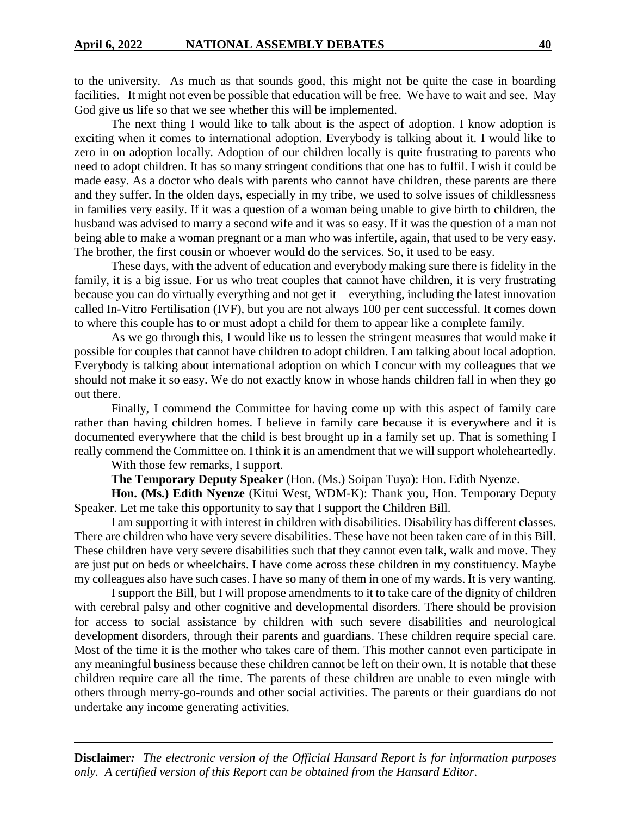to the university. As much as that sounds good, this might not be quite the case in boarding facilities. It might not even be possible that education will be free. We have to wait and see. May God give us life so that we see whether this will be implemented.

The next thing I would like to talk about is the aspect of adoption. I know adoption is exciting when it comes to international adoption. Everybody is talking about it. I would like to zero in on adoption locally. Adoption of our children locally is quite frustrating to parents who need to adopt children. It has so many stringent conditions that one has to fulfil. I wish it could be made easy. As a doctor who deals with parents who cannot have children, these parents are there and they suffer. In the olden days, especially in my tribe, we used to solve issues of childlessness in families very easily. If it was a question of a woman being unable to give birth to children, the husband was advised to marry a second wife and it was so easy. If it was the question of a man not being able to make a woman pregnant or a man who was infertile, again, that used to be very easy. The brother, the first cousin or whoever would do the services. So, it used to be easy.

These days, with the advent of education and everybody making sure there is fidelity in the family, it is a big issue. For us who treat couples that cannot have children, it is very frustrating because you can do virtually everything and not get it—everything, including the latest innovation called In-Vitro Fertilisation (IVF), but you are not always 100 per cent successful. It comes down to where this couple has to or must adopt a child for them to appear like a complete family.

As we go through this, I would like us to lessen the stringent measures that would make it possible for couples that cannot have children to adopt children. I am talking about local adoption. Everybody is talking about international adoption on which I concur with my colleagues that we should not make it so easy. We do not exactly know in whose hands children fall in when they go out there.

Finally, I commend the Committee for having come up with this aspect of family care rather than having children homes. I believe in family care because it is everywhere and it is documented everywhere that the child is best brought up in a family set up. That is something I really commend the Committee on. I think it is an amendment that we will support wholeheartedly.

With those few remarks, I support.

**The Temporary Deputy Speaker** (Hon. (Ms.) Soipan Tuya): Hon. Edith Nyenze.

**Hon. (Ms.) Edith Nyenze** (Kitui West, WDM-K): Thank you, Hon. Temporary Deputy Speaker. Let me take this opportunity to say that I support the Children Bill.

I am supporting it with interest in children with disabilities. Disability has different classes. There are children who have very severe disabilities. These have not been taken care of in this Bill. These children have very severe disabilities such that they cannot even talk, walk and move. They are just put on beds or wheelchairs. I have come across these children in my constituency. Maybe my colleagues also have such cases. I have so many of them in one of my wards. It is very wanting.

I support the Bill, but I will propose amendments to it to take care of the dignity of children with cerebral palsy and other cognitive and developmental disorders. There should be provision for access to social assistance by children with such severe disabilities and neurological development disorders, through their parents and guardians. These children require special care. Most of the time it is the mother who takes care of them. This mother cannot even participate in any meaningful business because these children cannot be left on their own. It is notable that these children require care all the time. The parents of these children are unable to even mingle with others through merry-go-rounds and other social activities. The parents or their guardians do not undertake any income generating activities.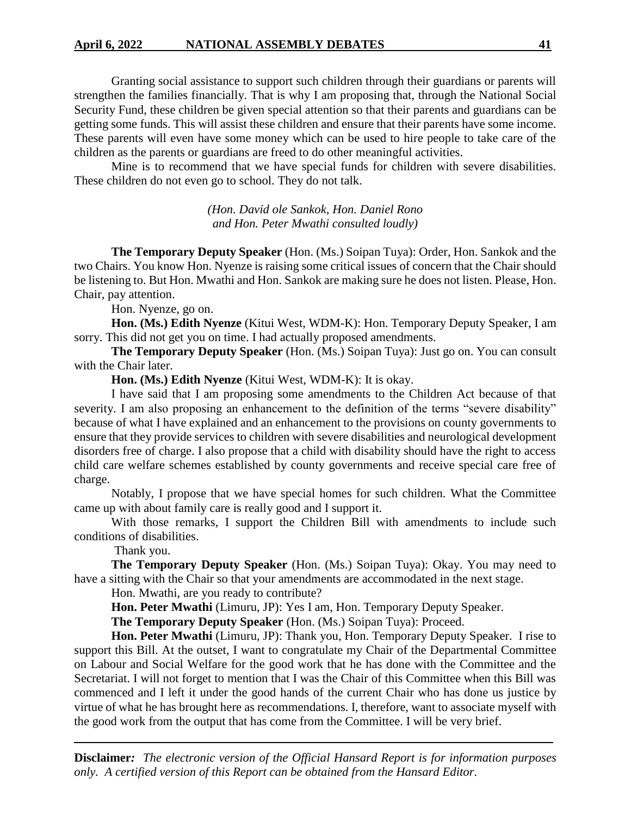## **April 6, 2022 NATIONAL ASSEMBLY DEBATES 41**

Granting social assistance to support such children through their guardians or parents will strengthen the families financially. That is why I am proposing that, through the National Social Security Fund, these children be given special attention so that their parents and guardians can be getting some funds. This will assist these children and ensure that their parents have some income. These parents will even have some money which can be used to hire people to take care of the children as the parents or guardians are freed to do other meaningful activities.

Mine is to recommend that we have special funds for children with severe disabilities. These children do not even go to school. They do not talk.

> *(Hon. David ole Sankok, Hon. Daniel Rono and Hon. Peter Mwathi consulted loudly)*

**The Temporary Deputy Speaker** (Hon. (Ms.) Soipan Tuya): Order, Hon. Sankok and the two Chairs. You know Hon. Nyenze is raising some critical issues of concern that the Chair should be listening to. But Hon. Mwathi and Hon. Sankok are making sure he does not listen. Please, Hon. Chair, pay attention.

Hon. Nyenze, go on.

**Hon. (Ms.) Edith Nyenze** (Kitui West, WDM-K): Hon. Temporary Deputy Speaker, I am sorry. This did not get you on time. I had actually proposed amendments.

**The Temporary Deputy Speaker** (Hon. (Ms.) Soipan Tuya): Just go on. You can consult with the Chair later.

**Hon. (Ms.) Edith Nyenze** (Kitui West, WDM-K): It is okay.

I have said that I am proposing some amendments to the Children Act because of that severity. I am also proposing an enhancement to the definition of the terms "severe disability" because of what I have explained and an enhancement to the provisions on county governments to ensure that they provide services to children with severe disabilities and neurological development disorders free of charge. I also propose that a child with disability should have the right to access child care welfare schemes established by county governments and receive special care free of charge.

Notably, I propose that we have special homes for such children. What the Committee came up with about family care is really good and I support it.

With those remarks, I support the Children Bill with amendments to include such conditions of disabilities.

Thank you.

**The Temporary Deputy Speaker** (Hon. (Ms.) Soipan Tuya): Okay. You may need to have a sitting with the Chair so that your amendments are accommodated in the next stage.

Hon. Mwathi, are you ready to contribute?

**Hon. Peter Mwathi** (Limuru, JP): Yes I am, Hon. Temporary Deputy Speaker.

**The Temporary Deputy Speaker** (Hon. (Ms.) Soipan Tuya): Proceed.

**Hon. Peter Mwathi** (Limuru, JP): Thank you, Hon. Temporary Deputy Speaker. I rise to support this Bill. At the outset, I want to congratulate my Chair of the Departmental Committee on Labour and Social Welfare for the good work that he has done with the Committee and the Secretariat. I will not forget to mention that I was the Chair of this Committee when this Bill was commenced and I left it under the good hands of the current Chair who has done us justice by virtue of what he has brought here as recommendations. I, therefore, want to associate myself with the good work from the output that has come from the Committee. I will be very brief.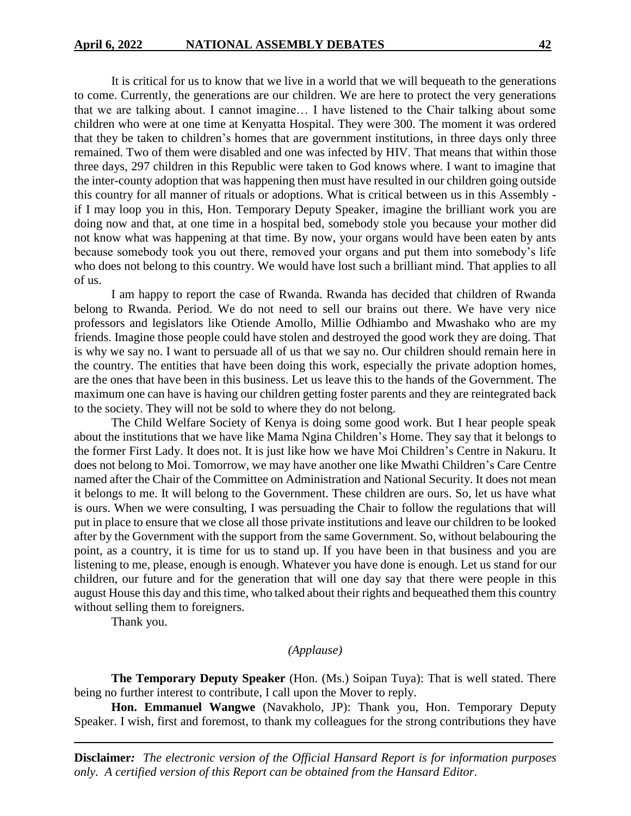It is critical for us to know that we live in a world that we will bequeath to the generations to come. Currently, the generations are our children. We are here to protect the very generations that we are talking about. I cannot imagine… I have listened to the Chair talking about some children who were at one time at Kenyatta Hospital. They were 300. The moment it was ordered that they be taken to children's homes that are government institutions, in three days only three remained. Two of them were disabled and one was infected by HIV. That means that within those three days, 297 children in this Republic were taken to God knows where. I want to imagine that the inter-county adoption that was happening then must have resulted in our children going outside this country for all manner of rituals or adoptions. What is critical between us in this Assembly if I may loop you in this, Hon. Temporary Deputy Speaker, imagine the brilliant work you are doing now and that, at one time in a hospital bed, somebody stole you because your mother did not know what was happening at that time. By now, your organs would have been eaten by ants because somebody took you out there, removed your organs and put them into somebody's life who does not belong to this country. We would have lost such a brilliant mind. That applies to all of us.

I am happy to report the case of Rwanda. Rwanda has decided that children of Rwanda belong to Rwanda. Period. We do not need to sell our brains out there. We have very nice professors and legislators like Otiende Amollo, Millie Odhiambo and Mwashako who are my friends. Imagine those people could have stolen and destroyed the good work they are doing. That is why we say no. I want to persuade all of us that we say no. Our children should remain here in the country. The entities that have been doing this work, especially the private adoption homes, are the ones that have been in this business. Let us leave this to the hands of the Government. The maximum one can have is having our children getting foster parents and they are reintegrated back to the society. They will not be sold to where they do not belong.

The Child Welfare Society of Kenya is doing some good work. But I hear people speak about the institutions that we have like Mama Ngina Children's Home. They say that it belongs to the former First Lady. It does not. It is just like how we have Moi Children's Centre in Nakuru. It does not belong to Moi. Tomorrow, we may have another one like Mwathi Children's Care Centre named after the Chair of the Committee on Administration and National Security. It does not mean it belongs to me. It will belong to the Government. These children are ours. So, let us have what is ours. When we were consulting, I was persuading the Chair to follow the regulations that will put in place to ensure that we close all those private institutions and leave our children to be looked after by the Government with the support from the same Government. So, without belabouring the point, as a country, it is time for us to stand up. If you have been in that business and you are listening to me, please, enough is enough. Whatever you have done is enough. Let us stand for our children, our future and for the generation that will one day say that there were people in this august House this day and this time, who talked about their rights and bequeathed them this country without selling them to foreigners.

Thank you.

#### *(Applause)*

**The Temporary Deputy Speaker** (Hon. (Ms.) Soipan Tuya): That is well stated. There being no further interest to contribute, I call upon the Mover to reply.

**Hon. Emmanuel Wangwe** (Navakholo, JP): Thank you, Hon. Temporary Deputy Speaker. I wish, first and foremost, to thank my colleagues for the strong contributions they have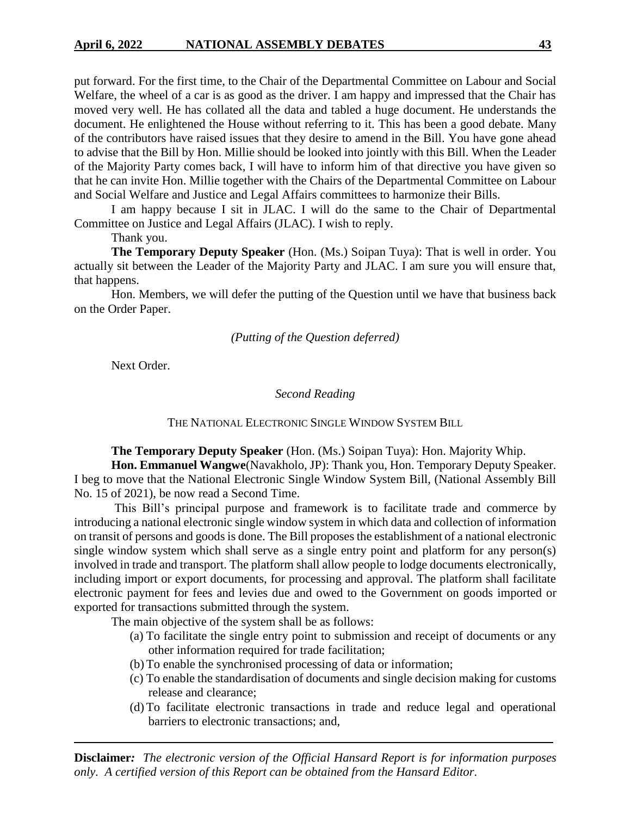put forward. For the first time, to the Chair of the Departmental Committee on Labour and Social Welfare, the wheel of a car is as good as the driver. I am happy and impressed that the Chair has moved very well. He has collated all the data and tabled a huge document. He understands the document. He enlightened the House without referring to it. This has been a good debate. Many of the contributors have raised issues that they desire to amend in the Bill. You have gone ahead to advise that the Bill by Hon. Millie should be looked into jointly with this Bill. When the Leader of the Majority Party comes back, I will have to inform him of that directive you have given so that he can invite Hon. Millie together with the Chairs of the Departmental Committee on Labour and Social Welfare and Justice and Legal Affairs committees to harmonize their Bills.

I am happy because I sit in JLAC. I will do the same to the Chair of Departmental Committee on Justice and Legal Affairs (JLAC). I wish to reply.

Thank you.

**The Temporary Deputy Speaker** (Hon. (Ms.) Soipan Tuya): That is well in order. You actually sit between the Leader of the Majority Party and JLAC. I am sure you will ensure that, that happens.

Hon. Members, we will defer the putting of the Question until we have that business back on the Order Paper.

## *(Putting of the Question deferred)*

Next Order.

#### *Second Reading*

## THE NATIONAL ELECTRONIC SINGLE WINDOW SYSTEM BILL

**The Temporary Deputy Speaker** (Hon. (Ms.) Soipan Tuya): Hon. Majority Whip.

**Hon. Emmanuel Wangwe**(Navakholo, JP): Thank you, Hon. Temporary Deputy Speaker. I beg to move that the National Electronic Single Window System Bill, (National Assembly Bill No. 15 of 2021), be now read a Second Time.

This Bill's principal purpose and framework is to facilitate trade and commerce by introducing a national electronic single window system in which data and collection of information on transit of persons and goods is done. The Bill proposes the establishment of a national electronic single window system which shall serve as a single entry point and platform for any person(s) involved in trade and transport. The platform shall allow people to lodge documents electronically, including import or export documents, for processing and approval. The platform shall facilitate electronic payment for fees and levies due and owed to the Government on goods imported or exported for transactions submitted through the system.

The main objective of the system shall be as follows:

- (a) To facilitate the single entry point to submission and receipt of documents or any other information required for trade facilitation;
- (b) To enable the synchronised processing of data or information;
- (c) To enable the standardisation of documents and single decision making for customs release and clearance;
- (d) To facilitate electronic transactions in trade and reduce legal and operational barriers to electronic transactions; and,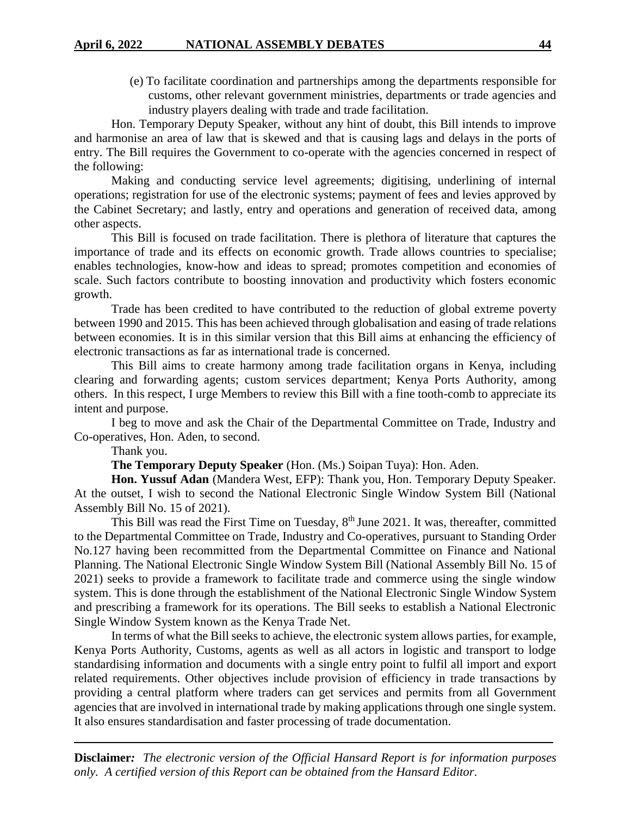(e) To facilitate coordination and partnerships among the departments responsible for customs, other relevant government ministries, departments or trade agencies and industry players dealing with trade and trade facilitation.

Hon. Temporary Deputy Speaker, without any hint of doubt, this Bill intends to improve and harmonise an area of law that is skewed and that is causing lags and delays in the ports of entry. The Bill requires the Government to co-operate with the agencies concerned in respect of the following:

Making and conducting service level agreements; digitising, underlining of internal operations; registration for use of the electronic systems; payment of fees and levies approved by the Cabinet Secretary; and lastly, entry and operations and generation of received data, among other aspects.

This Bill is focused on trade facilitation. There is plethora of literature that captures the importance of trade and its effects on economic growth. Trade allows countries to specialise; enables technologies, know-how and ideas to spread; promotes competition and economies of scale. Such factors contribute to boosting innovation and productivity which fosters economic growth.

Trade has been credited to have contributed to the reduction of global extreme poverty between 1990 and 2015. This has been achieved through globalisation and easing of trade relations between economies. It is in this similar version that this Bill aims at enhancing the efficiency of electronic transactions as far as international trade is concerned.

This Bill aims to create harmony among trade facilitation organs in Kenya, including clearing and forwarding agents; custom services department; Kenya Ports Authority, among others. In this respect, I urge Members to review this Bill with a fine tooth-comb to appreciate its intent and purpose.

I beg to move and ask the Chair of the Departmental Committee on Trade, Industry and Co-operatives, Hon. Aden, to second.

Thank you.

**The Temporary Deputy Speaker** (Hon. (Ms.) Soipan Tuya): Hon. Aden.

**Hon. Yussuf Adan** (Mandera West, EFP): Thank you, Hon. Temporary Deputy Speaker. At the outset, I wish to second the National Electronic Single Window System Bill (National Assembly Bill No. 15 of 2021).

This Bill was read the First Time on Tuesday, 8<sup>th</sup> June 2021. It was, thereafter, committed to the Departmental Committee on Trade, Industry and Co-operatives, pursuant to Standing Order No.127 having been recommitted from the Departmental Committee on Finance and National Planning. The National Electronic Single Window System Bill (National Assembly Bill No. 15 of 2021) seeks to provide a framework to facilitate trade and commerce using the single window system. This is done through the establishment of the National Electronic Single Window System and prescribing a framework for its operations. The Bill seeks to establish a National Electronic Single Window System known as the Kenya Trade Net.

In terms of what the Bill seeks to achieve, the electronic system allows parties, for example, Kenya Ports Authority, Customs, agents as well as all actors in logistic and transport to lodge standardising information and documents with a single entry point to fulfil all import and export related requirements. Other objectives include provision of efficiency in trade transactions by providing a central platform where traders can get services and permits from all Government agencies that are involved in international trade by making applications through one single system. It also ensures standardisation and faster processing of trade documentation.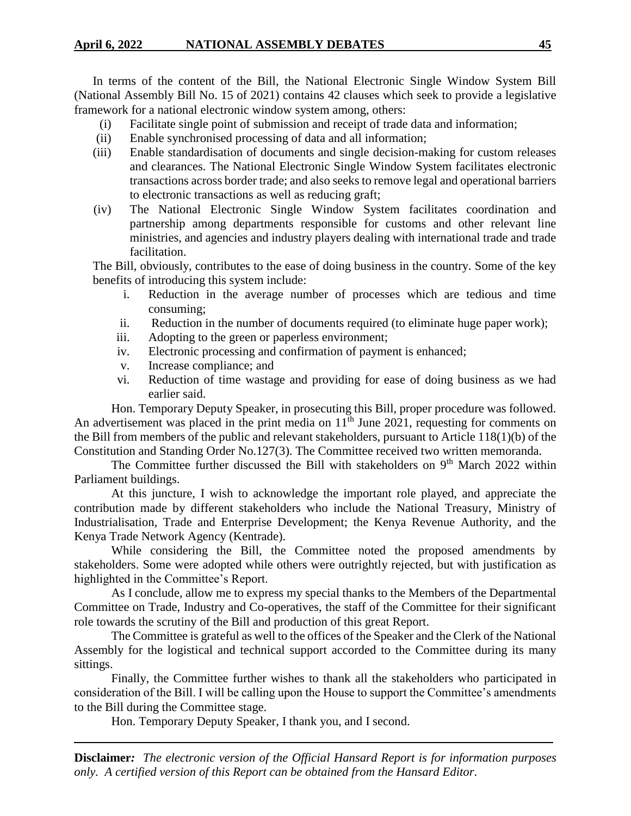In terms of the content of the Bill, the National Electronic Single Window System Bill (National Assembly Bill No. 15 of 2021) contains 42 clauses which seek to provide a legislative framework for a national electronic window system among, others:

- (i) Facilitate single point of submission and receipt of trade data and information;
- (ii) Enable synchronised processing of data and all information;
- (iii) Enable standardisation of documents and single decision-making for custom releases and clearances. The National Electronic Single Window System facilitates electronic transactions across border trade; and also seeks to remove legal and operational barriers to electronic transactions as well as reducing graft;
- (iv) The National Electronic Single Window System facilitates coordination and partnership among departments responsible for customs and other relevant line ministries, and agencies and industry players dealing with international trade and trade facilitation.

The Bill, obviously, contributes to the ease of doing business in the country. Some of the key benefits of introducing this system include:

- i. Reduction in the average number of processes which are tedious and time consuming;
- ii. Reduction in the number of documents required (to eliminate huge paper work);
- iii. Adopting to the green or paperless environment;
- iv. Electronic processing and confirmation of payment is enhanced;
- v. Increase compliance; and
- vi. Reduction of time wastage and providing for ease of doing business as we had earlier said.

Hon. Temporary Deputy Speaker, in prosecuting this Bill, proper procedure was followed. An advertisement was placed in the print media on  $11<sup>th</sup>$  June 2021, requesting for comments on the Bill from members of the public and relevant stakeholders, pursuant to Article 118(1)(b) of the Constitution and Standing Order No.127(3). The Committee received two written memoranda.

The Committee further discussed the Bill with stakeholders on  $9<sup>th</sup>$  March 2022 within Parliament buildings.

At this juncture, I wish to acknowledge the important role played, and appreciate the contribution made by different stakeholders who include the National Treasury, Ministry of Industrialisation, Trade and Enterprise Development; the Kenya Revenue Authority, and the Kenya Trade Network Agency (Kentrade).

While considering the Bill, the Committee noted the proposed amendments by stakeholders. Some were adopted while others were outrightly rejected, but with justification as highlighted in the Committee's Report.

As I conclude, allow me to express my special thanks to the Members of the Departmental Committee on Trade, Industry and Co-operatives, the staff of the Committee for their significant role towards the scrutiny of the Bill and production of this great Report.

The Committee is grateful as well to the offices of the Speaker and the Clerk of the National Assembly for the logistical and technical support accorded to the Committee during its many sittings.

Finally, the Committee further wishes to thank all the stakeholders who participated in consideration of the Bill. I will be calling upon the House to support the Committee's amendments to the Bill during the Committee stage.

Hon. Temporary Deputy Speaker, I thank you, and I second.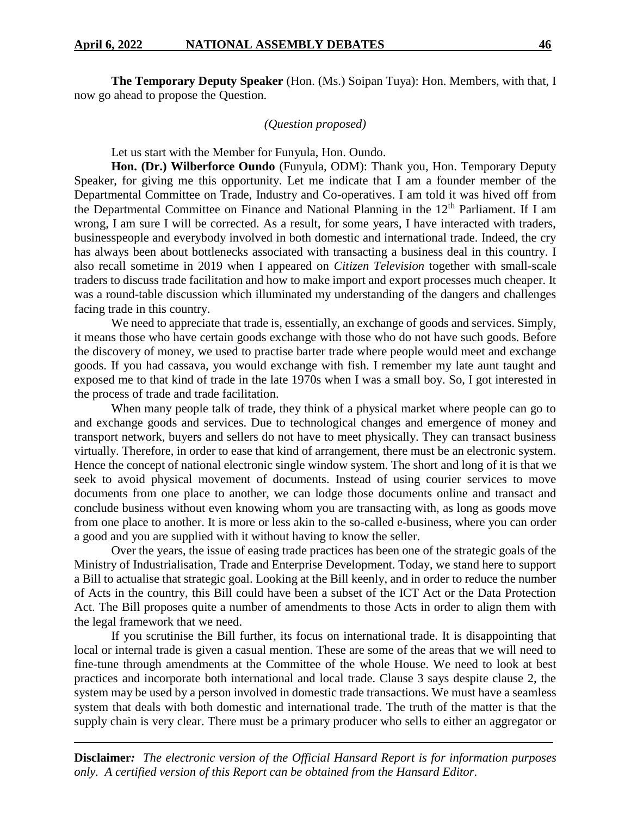**The Temporary Deputy Speaker** (Hon. (Ms.) Soipan Tuya): Hon. Members, with that, I now go ahead to propose the Question.

## *(Question proposed)*

Let us start with the Member for Funyula, Hon. Oundo.

**Hon. (Dr.) Wilberforce Oundo** (Funyula, ODM): Thank you, Hon. Temporary Deputy Speaker, for giving me this opportunity. Let me indicate that I am a founder member of the Departmental Committee on Trade, Industry and Co-operatives. I am told it was hived off from the Departmental Committee on Finance and National Planning in the 12<sup>th</sup> Parliament. If I am wrong, I am sure I will be corrected. As a result, for some years, I have interacted with traders, businesspeople and everybody involved in both domestic and international trade. Indeed, the cry has always been about bottlenecks associated with transacting a business deal in this country. I also recall sometime in 2019 when I appeared on *Citizen Television* together with small-scale traders to discuss trade facilitation and how to make import and export processes much cheaper. It was a round-table discussion which illuminated my understanding of the dangers and challenges facing trade in this country.

We need to appreciate that trade is, essentially, an exchange of goods and services. Simply, it means those who have certain goods exchange with those who do not have such goods. Before the discovery of money, we used to practise barter trade where people would meet and exchange goods. If you had cassava, you would exchange with fish. I remember my late aunt taught and exposed me to that kind of trade in the late 1970s when I was a small boy. So, I got interested in the process of trade and trade facilitation.

When many people talk of trade, they think of a physical market where people can go to and exchange goods and services. Due to technological changes and emergence of money and transport network, buyers and sellers do not have to meet physically. They can transact business virtually. Therefore, in order to ease that kind of arrangement, there must be an electronic system. Hence the concept of national electronic single window system. The short and long of it is that we seek to avoid physical movement of documents. Instead of using courier services to move documents from one place to another, we can lodge those documents online and transact and conclude business without even knowing whom you are transacting with, as long as goods move from one place to another. It is more or less akin to the so-called e-business, where you can order a good and you are supplied with it without having to know the seller.

Over the years, the issue of easing trade practices has been one of the strategic goals of the Ministry of Industrialisation, Trade and Enterprise Development. Today, we stand here to support a Bill to actualise that strategic goal. Looking at the Bill keenly, and in order to reduce the number of Acts in the country, this Bill could have been a subset of the ICT Act or the Data Protection Act. The Bill proposes quite a number of amendments to those Acts in order to align them with the legal framework that we need.

If you scrutinise the Bill further, its focus on international trade. It is disappointing that local or internal trade is given a casual mention. These are some of the areas that we will need to fine-tune through amendments at the Committee of the whole House. We need to look at best practices and incorporate both international and local trade. Clause 3 says despite clause 2, the system may be used by a person involved in domestic trade transactions. We must have a seamless system that deals with both domestic and international trade. The truth of the matter is that the supply chain is very clear. There must be a primary producer who sells to either an aggregator or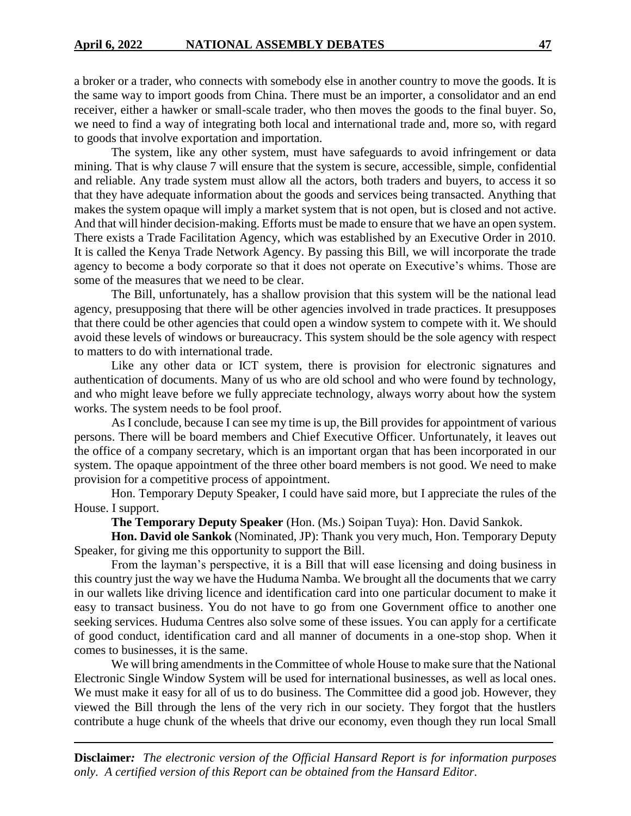a broker or a trader, who connects with somebody else in another country to move the goods. It is the same way to import goods from China. There must be an importer, a consolidator and an end receiver, either a hawker or small-scale trader, who then moves the goods to the final buyer. So, we need to find a way of integrating both local and international trade and, more so, with regard to goods that involve exportation and importation.

The system, like any other system, must have safeguards to avoid infringement or data mining. That is why clause 7 will ensure that the system is secure, accessible, simple, confidential and reliable. Any trade system must allow all the actors, both traders and buyers, to access it so that they have adequate information about the goods and services being transacted. Anything that makes the system opaque will imply a market system that is not open, but is closed and not active. And that will hinder decision-making. Efforts must be made to ensure that we have an open system. There exists a Trade Facilitation Agency, which was established by an Executive Order in 2010. It is called the Kenya Trade Network Agency. By passing this Bill, we will incorporate the trade agency to become a body corporate so that it does not operate on Executive's whims. Those are some of the measures that we need to be clear.

The Bill, unfortunately, has a shallow provision that this system will be the national lead agency, presupposing that there will be other agencies involved in trade practices. It presupposes that there could be other agencies that could open a window system to compete with it. We should avoid these levels of windows or bureaucracy. This system should be the sole agency with respect to matters to do with international trade.

Like any other data or ICT system, there is provision for electronic signatures and authentication of documents. Many of us who are old school and who were found by technology, and who might leave before we fully appreciate technology, always worry about how the system works. The system needs to be fool proof.

As I conclude, because I can see my time is up, the Bill provides for appointment of various persons. There will be board members and Chief Executive Officer. Unfortunately, it leaves out the office of a company secretary, which is an important organ that has been incorporated in our system. The opaque appointment of the three other board members is not good. We need to make provision for a competitive process of appointment.

Hon. Temporary Deputy Speaker, I could have said more, but I appreciate the rules of the House. I support.

**The Temporary Deputy Speaker** (Hon. (Ms.) Soipan Tuya): Hon. David Sankok.

**Hon. David ole Sankok** (Nominated, JP): Thank you very much, Hon. Temporary Deputy Speaker, for giving me this opportunity to support the Bill.

From the layman's perspective, it is a Bill that will ease licensing and doing business in this country just the way we have the Huduma Namba. We brought all the documents that we carry in our wallets like driving licence and identification card into one particular document to make it easy to transact business. You do not have to go from one Government office to another one seeking services. Huduma Centres also solve some of these issues. You can apply for a certificate of good conduct, identification card and all manner of documents in a one-stop shop. When it comes to businesses, it is the same.

We will bring amendments in the Committee of whole House to make sure that the National Electronic Single Window System will be used for international businesses, as well as local ones. We must make it easy for all of us to do business. The Committee did a good job. However, they viewed the Bill through the lens of the very rich in our society. They forgot that the hustlers contribute a huge chunk of the wheels that drive our economy, even though they run local Small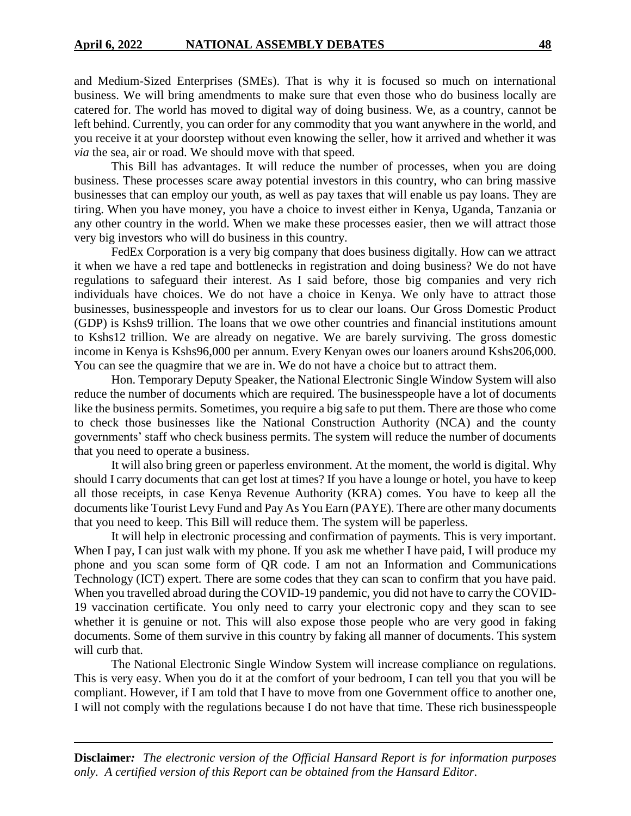and Medium-Sized Enterprises (SMEs). That is why it is focused so much on international business. We will bring amendments to make sure that even those who do business locally are catered for. The world has moved to digital way of doing business. We, as a country, cannot be left behind. Currently, you can order for any commodity that you want anywhere in the world, and you receive it at your doorstep without even knowing the seller, how it arrived and whether it was *via* the sea, air or road. We should move with that speed.

This Bill has advantages. It will reduce the number of processes, when you are doing business. These processes scare away potential investors in this country, who can bring massive businesses that can employ our youth, as well as pay taxes that will enable us pay loans. They are tiring. When you have money, you have a choice to invest either in Kenya, Uganda, Tanzania or any other country in the world. When we make these processes easier, then we will attract those very big investors who will do business in this country.

FedEx Corporation is a very big company that does business digitally. How can we attract it when we have a red tape and bottlenecks in registration and doing business? We do not have regulations to safeguard their interest. As I said before, those big companies and very rich individuals have choices. We do not have a choice in Kenya. We only have to attract those businesses, businesspeople and investors for us to clear our loans. Our Gross Domestic Product (GDP) is Kshs9 trillion. The loans that we owe other countries and financial institutions amount to Kshs12 trillion. We are already on negative. We are barely surviving. The gross domestic income in Kenya is Kshs96,000 per annum. Every Kenyan owes our loaners around Kshs206,000. You can see the quagmire that we are in. We do not have a choice but to attract them.

Hon. Temporary Deputy Speaker, the National Electronic Single Window System will also reduce the number of documents which are required. The businesspeople have a lot of documents like the business permits. Sometimes, you require a big safe to put them. There are those who come to check those businesses like the National Construction Authority (NCA) and the county governments' staff who check business permits. The system will reduce the number of documents that you need to operate a business.

It will also bring green or paperless environment. At the moment, the world is digital. Why should I carry documents that can get lost at times? If you have a lounge or hotel, you have to keep all those receipts, in case Kenya Revenue Authority (KRA) comes. You have to keep all the documents like Tourist Levy Fund and Pay As You Earn (PAYE). There are other many documents that you need to keep. This Bill will reduce them. The system will be paperless.

It will help in electronic processing and confirmation of payments. This is very important. When I pay, I can just walk with my phone. If you ask me whether I have paid, I will produce my phone and you scan some form of QR code. I am not an Information and Communications Technology (ICT) expert. There are some codes that they can scan to confirm that you have paid. When you travelled abroad during the COVID-19 pandemic, you did not have to carry the COVID-19 vaccination certificate. You only need to carry your electronic copy and they scan to see whether it is genuine or not. This will also expose those people who are very good in faking documents. Some of them survive in this country by faking all manner of documents. This system will curb that.

The National Electronic Single Window System will increase compliance on regulations. This is very easy. When you do it at the comfort of your bedroom, I can tell you that you will be compliant. However, if I am told that I have to move from one Government office to another one, I will not comply with the regulations because I do not have that time. These rich businesspeople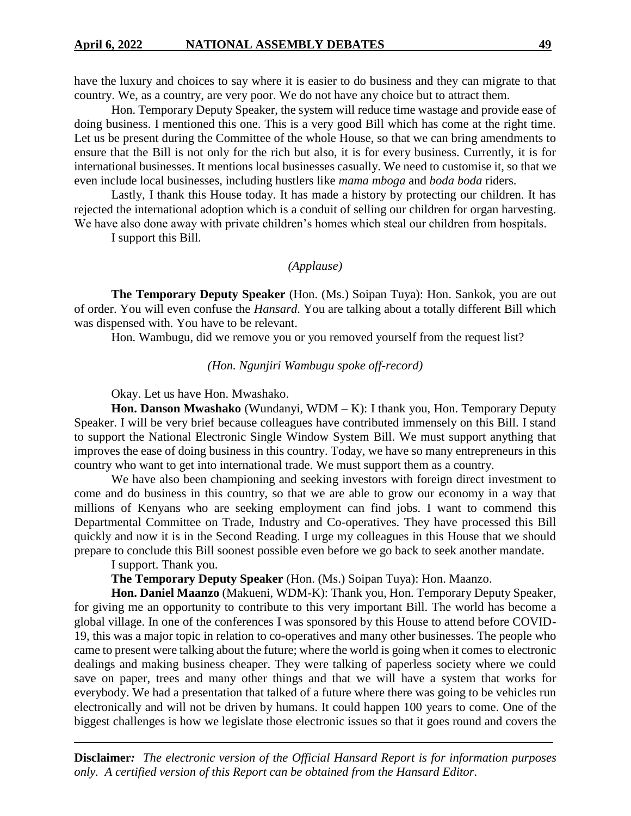have the luxury and choices to say where it is easier to do business and they can migrate to that country. We, as a country, are very poor. We do not have any choice but to attract them.

Hon. Temporary Deputy Speaker, the system will reduce time wastage and provide ease of doing business. I mentioned this one. This is a very good Bill which has come at the right time. Let us be present during the Committee of the whole House, so that we can bring amendments to ensure that the Bill is not only for the rich but also, it is for every business. Currently, it is for international businesses. It mentions local businesses casually. We need to customise it, so that we even include local businesses, including hustlers like *mama mboga* and *boda boda* riders.

Lastly, I thank this House today. It has made a history by protecting our children. It has rejected the international adoption which is a conduit of selling our children for organ harvesting. We have also done away with private children's homes which steal our children from hospitals.

I support this Bill.

## *(Applause)*

**The Temporary Deputy Speaker** (Hon. (Ms.) Soipan Tuya): Hon. Sankok, you are out of order. You will even confuse the *Hansard*. You are talking about a totally different Bill which was dispensed with. You have to be relevant.

Hon. Wambugu, did we remove you or you removed yourself from the request list?

## *(Hon. Ngunjiri Wambugu spoke off-record)*

Okay. Let us have Hon. Mwashako.

**Hon. Danson Mwashako** (Wundanyi, WDM – K): I thank you, Hon. Temporary Deputy Speaker. I will be very brief because colleagues have contributed immensely on this Bill. I stand to support the National Electronic Single Window System Bill. We must support anything that improves the ease of doing business in this country. Today, we have so many entrepreneurs in this country who want to get into international trade. We must support them as a country.

We have also been championing and seeking investors with foreign direct investment to come and do business in this country, so that we are able to grow our economy in a way that millions of Kenyans who are seeking employment can find jobs. I want to commend this Departmental Committee on Trade, Industry and Co-operatives. They have processed this Bill quickly and now it is in the Second Reading. I urge my colleagues in this House that we should prepare to conclude this Bill soonest possible even before we go back to seek another mandate.

I support. Thank you.

**The Temporary Deputy Speaker** (Hon. (Ms.) Soipan Tuya): Hon. Maanzo.

**Hon. Daniel Maanzo** (Makueni, WDM-K): Thank you, Hon. Temporary Deputy Speaker, for giving me an opportunity to contribute to this very important Bill. The world has become a global village. In one of the conferences I was sponsored by this House to attend before COVID-19, this was a major topic in relation to co-operatives and many other businesses. The people who came to present were talking about the future; where the world is going when it comes to electronic dealings and making business cheaper. They were talking of paperless society where we could save on paper, trees and many other things and that we will have a system that works for everybody. We had a presentation that talked of a future where there was going to be vehicles run electronically and will not be driven by humans. It could happen 100 years to come. One of the biggest challenges is how we legislate those electronic issues so that it goes round and covers the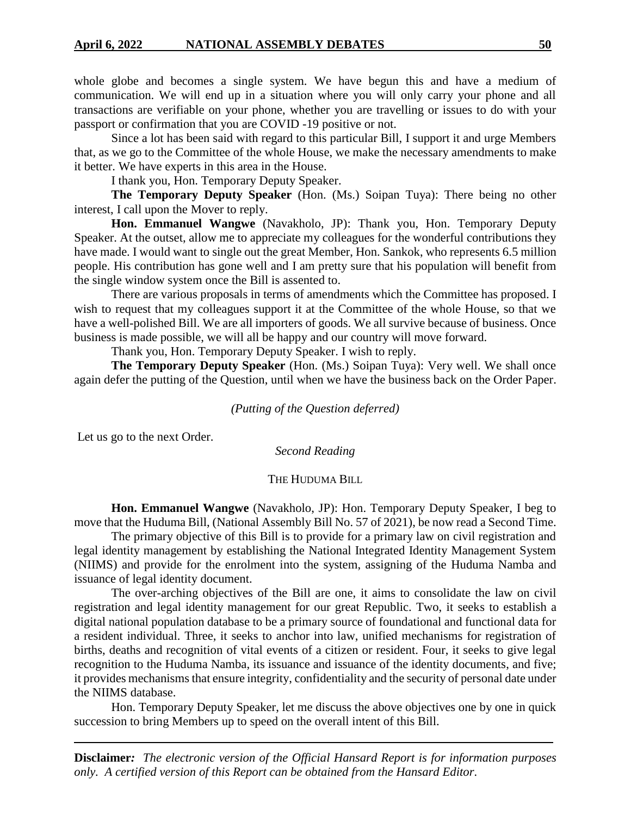whole globe and becomes a single system. We have begun this and have a medium of communication. We will end up in a situation where you will only carry your phone and all transactions are verifiable on your phone, whether you are travelling or issues to do with your passport or confirmation that you are COVID -19 positive or not.

Since a lot has been said with regard to this particular Bill, I support it and urge Members that, as we go to the Committee of the whole House, we make the necessary amendments to make it better. We have experts in this area in the House.

I thank you, Hon. Temporary Deputy Speaker.

**The Temporary Deputy Speaker** (Hon. (Ms.) Soipan Tuya): There being no other interest, I call upon the Mover to reply.

**Hon. Emmanuel Wangwe** (Navakholo, JP): Thank you, Hon. Temporary Deputy Speaker. At the outset, allow me to appreciate my colleagues for the wonderful contributions they have made. I would want to single out the great Member, Hon. Sankok, who represents 6.5 million people. His contribution has gone well and I am pretty sure that his population will benefit from the single window system once the Bill is assented to.

There are various proposals in terms of amendments which the Committee has proposed. I wish to request that my colleagues support it at the Committee of the whole House, so that we have a well-polished Bill. We are all importers of goods. We all survive because of business. Once business is made possible, we will all be happy and our country will move forward.

Thank you, Hon. Temporary Deputy Speaker. I wish to reply.

**The Temporary Deputy Speaker** (Hon. (Ms.) Soipan Tuya): Very well. We shall once again defer the putting of the Question, until when we have the business back on the Order Paper.

#### *(Putting of the Question deferred)*

Let us go to the next Order.

*Second Reading*

#### THE HUDUMA BILL

**Hon. Emmanuel Wangwe** (Navakholo, JP): Hon. Temporary Deputy Speaker, I beg to move that the Huduma Bill, (National Assembly Bill No. 57 of 2021), be now read a Second Time.

The primary objective of this Bill is to provide for a primary law on civil registration and legal identity management by establishing the National Integrated Identity Management System (NIIMS) and provide for the enrolment into the system, assigning of the Huduma Namba and issuance of legal identity document.

The over-arching objectives of the Bill are one, it aims to consolidate the law on civil registration and legal identity management for our great Republic. Two, it seeks to establish a digital national population database to be a primary source of foundational and functional data for a resident individual. Three, it seeks to anchor into law, unified mechanisms for registration of births, deaths and recognition of vital events of a citizen or resident. Four, it seeks to give legal recognition to the Huduma Namba, its issuance and issuance of the identity documents, and five; it provides mechanisms that ensure integrity, confidentiality and the security of personal date under the NIIMS database.

Hon. Temporary Deputy Speaker, let me discuss the above objectives one by one in quick succession to bring Members up to speed on the overall intent of this Bill.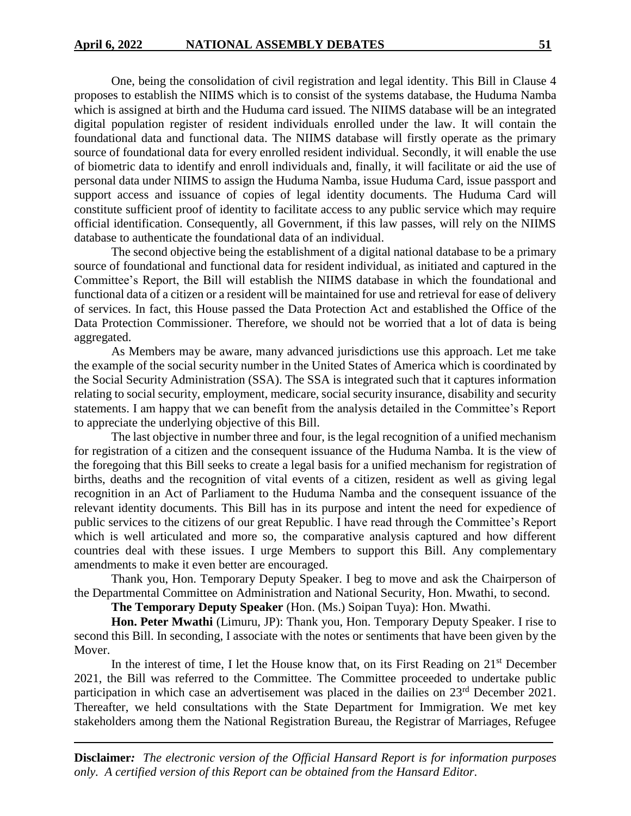One, being the consolidation of civil registration and legal identity. This Bill in Clause 4 proposes to establish the NIIMS which is to consist of the systems database, the Huduma Namba which is assigned at birth and the Huduma card issued. The NIIMS database will be an integrated digital population register of resident individuals enrolled under the law. It will contain the foundational data and functional data. The NIIMS database will firstly operate as the primary source of foundational data for every enrolled resident individual. Secondly, it will enable the use of biometric data to identify and enroll individuals and, finally, it will facilitate or aid the use of personal data under NIIMS to assign the Huduma Namba, issue Huduma Card, issue passport and support access and issuance of copies of legal identity documents. The Huduma Card will constitute sufficient proof of identity to facilitate access to any public service which may require official identification. Consequently, all Government, if this law passes, will rely on the NIIMS database to authenticate the foundational data of an individual.

The second objective being the establishment of a digital national database to be a primary source of foundational and functional data for resident individual, as initiated and captured in the Committee's Report, the Bill will establish the NIIMS database in which the foundational and functional data of a citizen or a resident will be maintained for use and retrieval for ease of delivery of services. In fact, this House passed the Data Protection Act and established the Office of the Data Protection Commissioner. Therefore, we should not be worried that a lot of data is being aggregated.

As Members may be aware, many advanced jurisdictions use this approach. Let me take the example of the social security number in the United States of America which is coordinated by the Social Security Administration (SSA). The SSA is integrated such that it captures information relating to social security, employment, medicare, social security insurance, disability and security statements. I am happy that we can benefit from the analysis detailed in the Committee's Report to appreciate the underlying objective of this Bill.

The last objective in number three and four, is the legal recognition of a unified mechanism for registration of a citizen and the consequent issuance of the Huduma Namba. It is the view of the foregoing that this Bill seeks to create a legal basis for a unified mechanism for registration of births, deaths and the recognition of vital events of a citizen, resident as well as giving legal recognition in an Act of Parliament to the Huduma Namba and the consequent issuance of the relevant identity documents. This Bill has in its purpose and intent the need for expedience of public services to the citizens of our great Republic. I have read through the Committee's Report which is well articulated and more so, the comparative analysis captured and how different countries deal with these issues. I urge Members to support this Bill. Any complementary amendments to make it even better are encouraged.

Thank you, Hon. Temporary Deputy Speaker. I beg to move and ask the Chairperson of the Departmental Committee on Administration and National Security, Hon. Mwathi, to second.

**The Temporary Deputy Speaker** (Hon. (Ms.) Soipan Tuya): Hon. Mwathi.

**Hon. Peter Mwathi** (Limuru, JP): Thank you, Hon. Temporary Deputy Speaker. I rise to second this Bill. In seconding, I associate with the notes or sentiments that have been given by the Mover.

In the interest of time, I let the House know that, on its First Reading on  $21<sup>st</sup>$  December 2021, the Bill was referred to the Committee. The Committee proceeded to undertake public participation in which case an advertisement was placed in the dailies on 23rd December 2021. Thereafter, we held consultations with the State Department for Immigration. We met key stakeholders among them the National Registration Bureau, the Registrar of Marriages, Refugee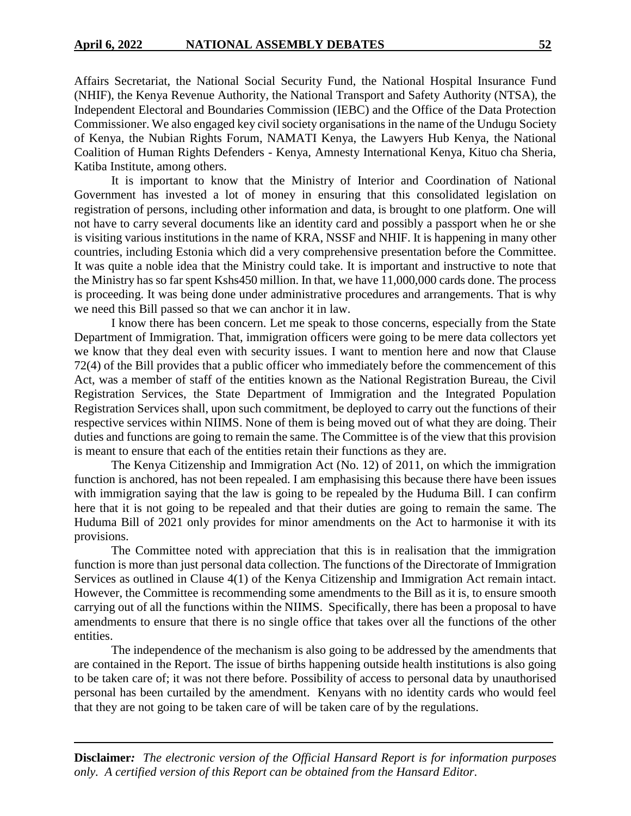Affairs Secretariat, the National Social Security Fund, the National Hospital Insurance Fund (NHIF), the Kenya Revenue Authority, the National Transport and Safety Authority (NTSA), the Independent Electoral and Boundaries Commission (IEBC) and the Office of the Data Protection Commissioner. We also engaged key civil society organisations in the name of the Undugu Society of Kenya, the Nubian Rights Forum, NAMATI Kenya, the Lawyers Hub Kenya, the National Coalition of Human Rights Defenders - Kenya, Amnesty International Kenya, Kituo cha Sheria, Katiba Institute, among others.

It is important to know that the Ministry of Interior and Coordination of National Government has invested a lot of money in ensuring that this consolidated legislation on registration of persons, including other information and data, is brought to one platform. One will not have to carry several documents like an identity card and possibly a passport when he or she is visiting various institutions in the name of KRA, NSSF and NHIF. It is happening in many other countries, including Estonia which did a very comprehensive presentation before the Committee. It was quite a noble idea that the Ministry could take. It is important and instructive to note that the Ministry has so far spent Kshs450 million. In that, we have 11,000,000 cards done. The process is proceeding. It was being done under administrative procedures and arrangements. That is why we need this Bill passed so that we can anchor it in law.

I know there has been concern. Let me speak to those concerns, especially from the State Department of Immigration. That, immigration officers were going to be mere data collectors yet we know that they deal even with security issues. I want to mention here and now that Clause 72(4) of the Bill provides that a public officer who immediately before the commencement of this Act, was a member of staff of the entities known as the National Registration Bureau, the Civil Registration Services, the State Department of Immigration and the Integrated Population Registration Services shall, upon such commitment, be deployed to carry out the functions of their respective services within NIIMS. None of them is being moved out of what they are doing. Their duties and functions are going to remain the same. The Committee is of the view that this provision is meant to ensure that each of the entities retain their functions as they are.

The Kenya Citizenship and Immigration Act (No. 12) of 2011, on which the immigration function is anchored, has not been repealed. I am emphasising this because there have been issues with immigration saying that the law is going to be repealed by the Huduma Bill. I can confirm here that it is not going to be repealed and that their duties are going to remain the same. The Huduma Bill of 2021 only provides for minor amendments on the Act to harmonise it with its provisions.

The Committee noted with appreciation that this is in realisation that the immigration function is more than just personal data collection. The functions of the Directorate of Immigration Services as outlined in Clause 4(1) of the Kenya Citizenship and Immigration Act remain intact. However, the Committee is recommending some amendments to the Bill as it is, to ensure smooth carrying out of all the functions within the NIIMS. Specifically, there has been a proposal to have amendments to ensure that there is no single office that takes over all the functions of the other entities.

The independence of the mechanism is also going to be addressed by the amendments that are contained in the Report. The issue of births happening outside health institutions is also going to be taken care of; it was not there before. Possibility of access to personal data by unauthorised personal has been curtailed by the amendment. Kenyans with no identity cards who would feel that they are not going to be taken care of will be taken care of by the regulations.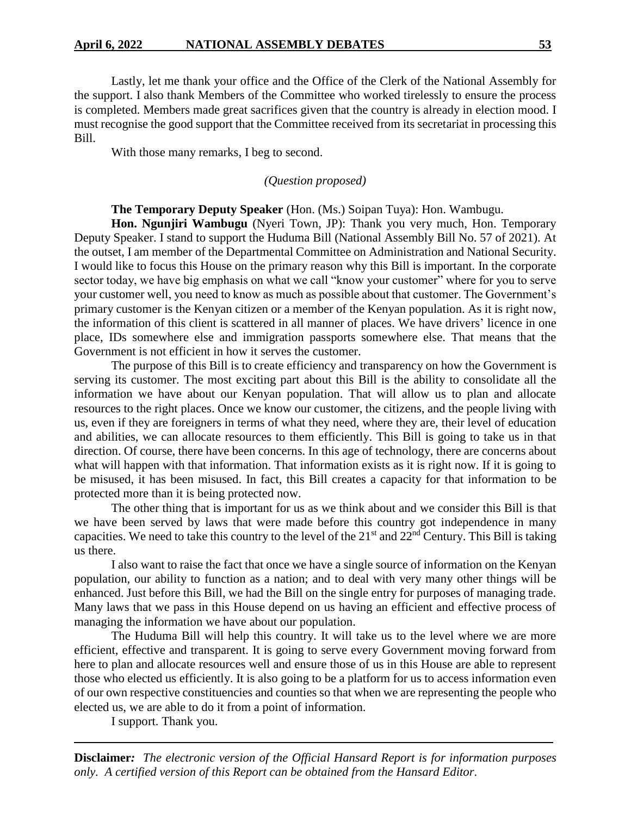Lastly, let me thank your office and the Office of the Clerk of the National Assembly for the support. I also thank Members of the Committee who worked tirelessly to ensure the process is completed. Members made great sacrifices given that the country is already in election mood. I must recognise the good support that the Committee received from its secretariat in processing this Bill.

With those many remarks, I beg to second.

## *(Question proposed)*

## **The Temporary Deputy Speaker** (Hon. (Ms.) Soipan Tuya): Hon. Wambugu.

**Hon. Ngunjiri Wambugu** (Nyeri Town, JP): Thank you very much, Hon. Temporary Deputy Speaker. I stand to support the Huduma Bill (National Assembly Bill No. 57 of 2021). At the outset, I am member of the Departmental Committee on Administration and National Security. I would like to focus this House on the primary reason why this Bill is important. In the corporate sector today, we have big emphasis on what we call "know your customer" where for you to serve your customer well, you need to know as much as possible about that customer. The Government's primary customer is the Kenyan citizen or a member of the Kenyan population. As it is right now, the information of this client is scattered in all manner of places. We have drivers' licence in one place, IDs somewhere else and immigration passports somewhere else. That means that the Government is not efficient in how it serves the customer.

The purpose of this Bill is to create efficiency and transparency on how the Government is serving its customer. The most exciting part about this Bill is the ability to consolidate all the information we have about our Kenyan population. That will allow us to plan and allocate resources to the right places. Once we know our customer, the citizens, and the people living with us, even if they are foreigners in terms of what they need, where they are, their level of education and abilities, we can allocate resources to them efficiently. This Bill is going to take us in that direction. Of course, there have been concerns. In this age of technology, there are concerns about what will happen with that information. That information exists as it is right now. If it is going to be misused, it has been misused. In fact, this Bill creates a capacity for that information to be protected more than it is being protected now.

The other thing that is important for us as we think about and we consider this Bill is that we have been served by laws that were made before this country got independence in many capacities. We need to take this country to the level of the  $21<sup>st</sup>$  and  $22<sup>nd</sup>$  Century. This Bill is taking us there.

I also want to raise the fact that once we have a single source of information on the Kenyan population, our ability to function as a nation; and to deal with very many other things will be enhanced. Just before this Bill, we had the Bill on the single entry for purposes of managing trade. Many laws that we pass in this House depend on us having an efficient and effective process of managing the information we have about our population.

The Huduma Bill will help this country. It will take us to the level where we are more efficient, effective and transparent. It is going to serve every Government moving forward from here to plan and allocate resources well and ensure those of us in this House are able to represent those who elected us efficiently. It is also going to be a platform for us to access information even of our own respective constituencies and counties so that when we are representing the people who elected us, we are able to do it from a point of information.

I support. Thank you.